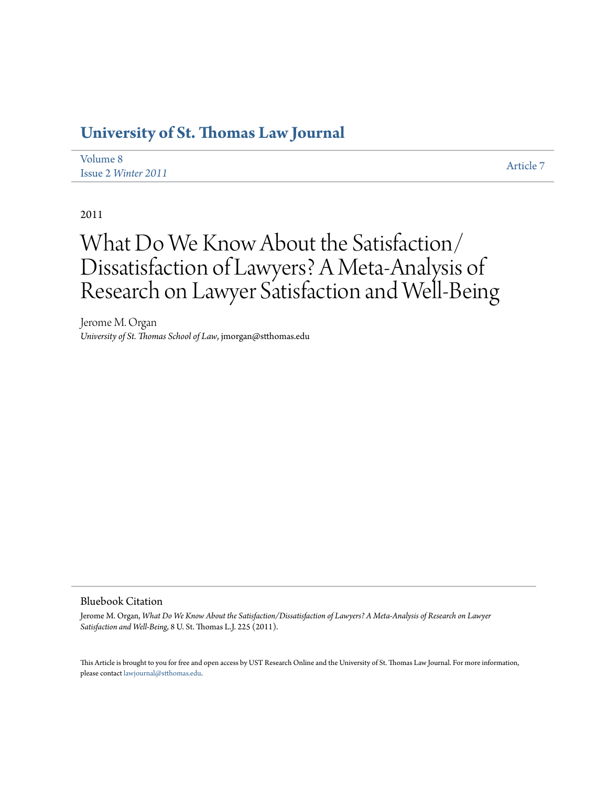# **[University of St. Thomas Law Journal](http://ir.stthomas.edu/ustlj)**

| Volume 8                   | Article 7 |
|----------------------------|-----------|
| Issue 2 <i>Winter</i> 2011 |           |

2011

# What Do We Know About the Satisfaction/ Dissatisfaction of Lawyers? A Meta-Analysis of Research on Lawyer Satisfaction and Well-Being

Jerome M. Organ *University of St. Thomas School of Law*, jmorgan@stthomas.edu

#### Bluebook Citation

Jerome M. Organ, *What Do We Know About the Satisfaction/Dissatisfaction of Lawyers? A Meta-Analysis of Research on Lawyer Satisfaction and Well-Being*, 8 U. St. Thomas L.J. 225 (2011).

This Article is brought to you for free and open access by UST Research Online and the University of St. Thomas Law Journal. For more information, please contact [lawjournal@stthomas.edu.](mailto:lawjournal@stthomas.edu)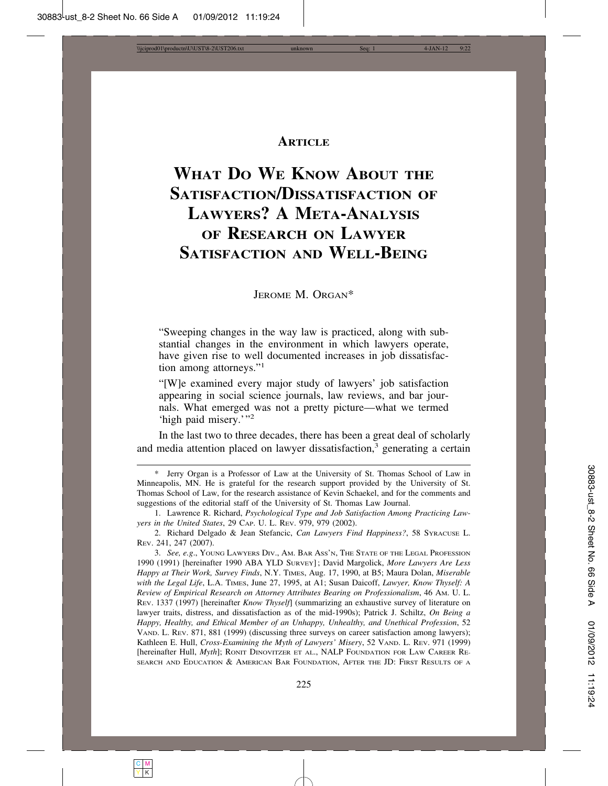# **ARTICLE**

# **WHAT DO WE KNOW ABOUT THE SATISFACTION/DISSATISFACTION OF LAWYERS? A META-ANALYSIS OF RESEARCH ON LAWYER SATISFACTION AND WELL-BEING**

JEROME M. ORGAN\*

"Sweeping changes in the way law is practiced, along with substantial changes in the environment in which lawyers operate, have given rise to well documented increases in job dissatisfaction among attorneys."<sup>1</sup>

"[W]e examined every major study of lawyers' job satisfaction appearing in social science journals, law reviews, and bar journals. What emerged was not a pretty picture—what we termed 'high paid misery.'"<sup>2</sup>

In the last two to three decades, there has been a great deal of scholarly and media attention placed on lawyer dissatisfaction,<sup>3</sup> generating a certain

<sup>\*</sup> Jerry Organ is a Professor of Law at the University of St. Thomas School of Law in Minneapolis, MN. He is grateful for the research support provided by the University of St. Thomas School of Law, for the research assistance of Kevin Schaekel, and for the comments and suggestions of the editorial staff of the University of St. Thomas Law Journal.

<sup>1.</sup> Lawrence R. Richard, *Psychological Type and Job Satisfaction Among Practicing Lawyers in the United States*, 29 CAP. U. L. REV. 979, 979 (2002).

<sup>2.</sup> Richard Delgado & Jean Stefancic, *Can Lawyers Find Happiness?*, 58 SYRACUSE L. REV. 241, 247 (2007).

<sup>3.</sup> *See, e.g*., YOUNG LAWYERS DIV., AM. BAR ASS'N, THE STATE OF THE LEGAL PROFESSION 1990 (1991) [hereinafter 1990 ABA YLD SURVEY] ; David Margolick, *More Lawyers Are Less Happy at Their Work, Survey Finds*, N.Y. TIMES, Aug. 17, 1990, at B5; Maura Dolan, *Miserable with the Legal Life*, L.A. TIMES, June 27, 1995, at A1; Susan Daicoff, *Lawyer, Know Thyself: A Review of Empirical Research on Attorney Attributes Bearing on Professionalism*, 46 AM. U. L. REV. 1337 (1997) [hereinafter *Know Thyself*] (summarizing an exhaustive survey of literature on lawyer traits, distress, and dissatisfaction as of the mid-1990s); Patrick J. Schiltz, *On Being a Happy, Healthy, and Ethical Member of an Unhappy, Unhealthy, and Unethical Profession*, 52 VAND. L. REV. 871, 881 (1999) (discussing three surveys on career satisfaction among lawyers); Kathleen E. Hull, *Cross-Examining the Myth of Lawyers' Misery*, 52 VAND. L. REV. 971 (1999) [hereinafter Hull, *Myth*]; RONIT DINOVITZER ET AL., NALP FOUNDATION FOR LAW CAREER RE-SEARCH AND EDUCATION & AMERICAN BAR FOUNDATION, AFTER THE JD: FIRST RESULTS OF A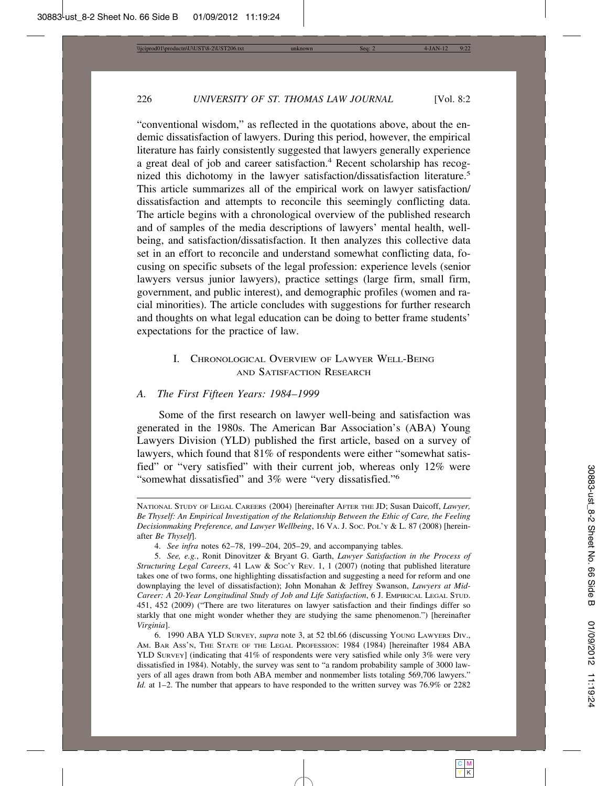"conventional wisdom," as reflected in the quotations above, about the endemic dissatisfaction of lawyers. During this period, however, the empirical literature has fairly consistently suggested that lawyers generally experience a great deal of job and career satisfaction.<sup>4</sup> Recent scholarship has recognized this dichotomy in the lawyer satisfaction/dissatisfaction literature.<sup>5</sup> This article summarizes all of the empirical work on lawyer satisfaction/ dissatisfaction and attempts to reconcile this seemingly conflicting data. The article begins with a chronological overview of the published research and of samples of the media descriptions of lawyers' mental health, wellbeing, and satisfaction/dissatisfaction. It then analyzes this collective data set in an effort to reconcile and understand somewhat conflicting data, focusing on specific subsets of the legal profession: experience levels (senior lawyers versus junior lawyers), practice settings (large firm, small firm, government, and public interest), and demographic profiles (women and racial minorities). The article concludes with suggestions for further research and thoughts on what legal education can be doing to better frame students' expectations for the practice of law.

# I. CHRONOLOGICAL OVERVIEW OF LAWYER WELL-BEING AND SATISFACTION RESEARCH

#### *A. The First Fifteen Years: 1984–1999*

Some of the first research on lawyer well-being and satisfaction was generated in the 1980s. The American Bar Association's (ABA) Young Lawyers Division (YLD) published the first article, based on a survey of lawyers, which found that 81% of respondents were either "somewhat satisfied" or "very satisfied" with their current job, whereas only 12% were "somewhat dissatisfied" and 3% were "very dissatisfied."<sup>6</sup>

NATIONAL STUDY OF LEGAL CAREERS (2004) [hereinafter AFTER THE JD; Susan Daicoff, *Lawyer, Be Thyself: An Empirical Investigation of the Relationship Between the Ethic of Care, the Feeling Decisionmaking Preference, and Lawyer Wellbeing*, 16 VA. J. SOC. POL'Y & L. 87 (2008) [hereinafter *Be Thyself*].

<sup>4.</sup> *See infra* notes 62–78, 199–204, 205–29, and accompanying tables.

<sup>5.</sup> *See, e.g.*, Ronit Dinovitzer & Bryant G. Garth, *Lawyer Satisfaction in the Process of Structuring Legal Careers*, 41 LAW & Soc'y Rev. 1, 1 (2007) (noting that published literature takes one of two forms, one highlighting dissatisfaction and suggesting a need for reform and one downplaying the level of dissatisfaction); John Monahan & Jeffrey Swanson, *Lawyers at Mid-Career: A 20-Year Longitudinal Study of Job and Life Satisfaction*, 6 J. EMPIRICAL LEGAL STUD. 451, 452 (2009) ("There are two literatures on lawyer satisfaction and their findings differ so starkly that one might wonder whether they are studying the same phenomenon.") [hereinafter *Virginia*].

<sup>6. 1990</sup> ABA YLD SURVEY, *supra* note 3, at 52 tbl.66 (discussing YOUNG LAWYERS DIV., AM. BAR ASS'N, THE STATE OF THE LEGAL PROFESSION: 1984 (1984) [hereinafter 1984 ABA YLD SURVEY] (indicating that 41% of respondents were very satisfied while only 3% were very dissatisfied in 1984). Notably, the survey was sent to "a random probability sample of 3000 lawyers of all ages drawn from both ABA member and nonmember lists totaling 569,706 lawyers." *Id.* at 1–2. The number that appears to have responded to the written survey was 76.9% or 2282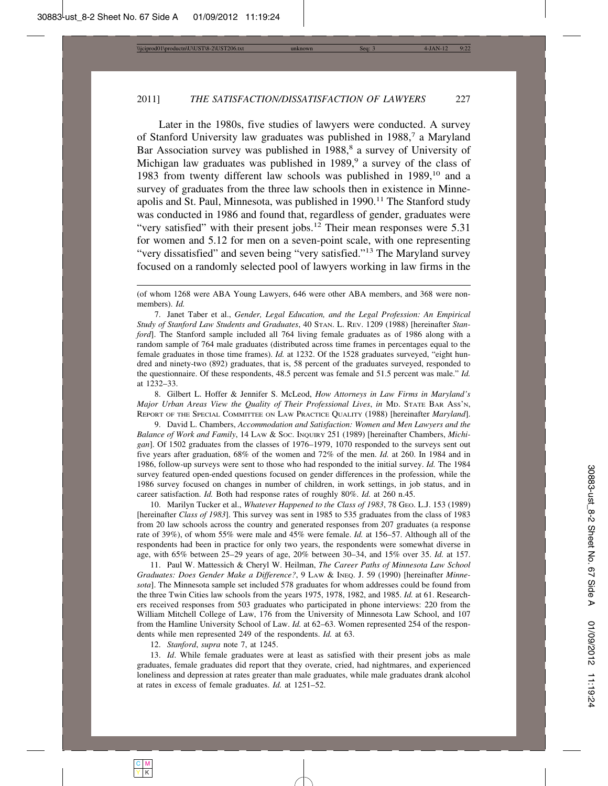Later in the 1980s, five studies of lawyers were conducted. A survey of Stanford University law graduates was published in 1988,7 a Maryland Bar Association survey was published in 1988,<sup>8</sup> a survey of University of Michigan law graduates was published in 1989,<sup>9</sup> a survey of the class of 1983 from twenty different law schools was published in  $1989$ ,<sup>10</sup> and a survey of graduates from the three law schools then in existence in Minneapolis and St. Paul, Minnesota, was published in  $1990<sup>11</sup>$  The Stanford study was conducted in 1986 and found that, regardless of gender, graduates were "very satisfied" with their present jobs.<sup>12</sup> Their mean responses were 5.31 for women and 5.12 for men on a seven-point scale, with one representing "very dissatisfied" and seven being "very satisfied."<sup>13</sup> The Maryland survey focused on a randomly selected pool of lawyers working in law firms in the

8. Gilbert L. Hoffer & Jennifer S. McLeod, *How Attorneys in Law Firms in Maryland's Major Urban Areas View the Quality of Their Professional Lives*, *in* MD. STATE BAR ASS'N, REPORT OF THE SPECIAL COMMITTEE ON LAW PRACTICE QUALITY (1988) [hereinafter *Maryland*].

9. David L. Chambers, *Accommodation and Satisfaction: Women and Men Lawyers and the Balance of Work and Family*, 14 LAW & SOC. INQUIRY 251 (1989) [hereinafter Chambers, *Michigan*]. Of 1502 graduates from the classes of 1976–1979, 1070 responded to the surveys sent out five years after graduation, 68% of the women and 72% of the men. *Id.* at 260. In 1984 and in 1986, follow-up surveys were sent to those who had responded to the initial survey. *Id.* The 1984 survey featured open-ended questions focused on gender differences in the profession, while the 1986 survey focused on changes in number of children, in work settings, in job status, and in career satisfaction. *Id.* Both had response rates of roughly 80%. *Id.* at 260 n.45.

10. Marilyn Tucker et al., *Whatever Happened to the Class of 1983*, 78 GEO. L.J. 153 (1989) [hereinafter *Class of 1983*]. This survey was sent in 1985 to 535 graduates from the class of 1983 from 20 law schools across the country and generated responses from 207 graduates (a response rate of 39%), of whom 55% were male and 45% were female. *Id.* at 156–57. Although all of the respondents had been in practice for only two years, the respondents were somewhat diverse in age, with 65% between 25–29 years of age, 20% between 30–34, and 15% over 35. *Id.* at 157.

11. Paul W. Mattessich & Cheryl W. Heilman, *The Career Paths of Minnesota Law School Graduates: Does Gender Make a Difference?*, 9 LAW & INEQ. J. 59 (1990) [hereinafter *Minnesota*]. The Minnesota sample set included 578 graduates for whom addresses could be found from the three Twin Cities law schools from the years 1975, 1978, 1982, and 1985. *Id.* at 61. Researchers received responses from 503 graduates who participated in phone interviews: 220 from the William Mitchell College of Law, 176 from the University of Minnesota Law School, and 107 from the Hamline University School of Law. *Id.* at 62–63. Women represented 254 of the respondents while men represented 249 of the respondents. *Id.* at 63.

12. *Stanford*, *supra* note 7, at 1245.

13. *Id*. While female graduates were at least as satisfied with their present jobs as male graduates, female graduates did report that they overate, cried, had nightmares, and experienced loneliness and depression at rates greater than male graduates, while male graduates drank alcohol at rates in excess of female graduates. *Id.* at 1251–52.

<sup>(</sup>of whom 1268 were ABA Young Lawyers, 646 were other ABA members, and 368 were nonmembers). *Id.*

<sup>7.</sup> Janet Taber et al., *Gender, Legal Education, and the Legal Profession: An Empirical Study of Stanford Law Students and Graduates*, 40 STAN. L. REV. 1209 (1988) [hereinafter *Stanford*]. The Stanford sample included all 764 living female graduates as of 1986 along with a random sample of 764 male graduates (distributed across time frames in percentages equal to the female graduates in those time frames). *Id.* at 1232. Of the 1528 graduates surveyed, "eight hundred and ninety-two (892) graduates, that is, 58 percent of the graduates surveyed, responded to the questionnaire. Of these respondents, 48.5 percent was female and 51.5 percent was male." *Id.* at 1232–33.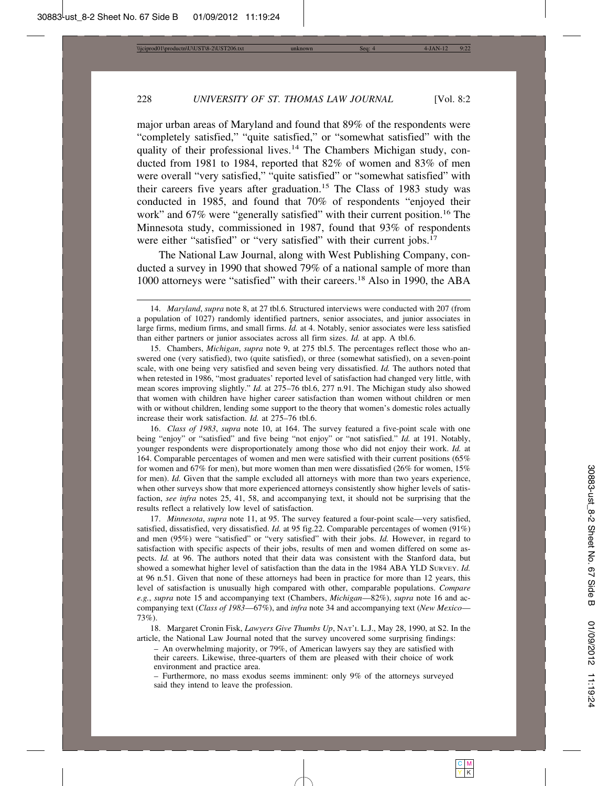major urban areas of Maryland and found that 89% of the respondents were "completely satisfied," "quite satisfied," or "somewhat satisfied" with the quality of their professional lives.<sup>14</sup> The Chambers Michigan study, conducted from 1981 to 1984, reported that 82% of women and 83% of men were overall "very satisfied," "quite satisfied" or "somewhat satisfied" with their careers five years after graduation.<sup>15</sup> The Class of 1983 study was conducted in 1985, and found that 70% of respondents "enjoyed their work" and 67% were "generally satisfied" with their current position.<sup>16</sup> The Minnesota study, commissioned in 1987, found that 93% of respondents were either "satisfied" or "very satisfied" with their current jobs.<sup>17</sup>

The National Law Journal, along with West Publishing Company, conducted a survey in 1990 that showed 79% of a national sample of more than 1000 attorneys were "satisfied" with their careers.<sup>18</sup> Also in 1990, the ABA

15. Chambers, *Michigan*, *supra* note 9, at 275 tbl.5. The percentages reflect those who answered one (very satisfied), two (quite satisfied), or three (somewhat satisfied), on a seven-point scale, with one being very satisfied and seven being very dissatisfied. *Id.* The authors noted that when retested in 1986, "most graduates' reported level of satisfaction had changed very little, with mean scores improving slightly." *Id.* at 275–76 tbl.6, 277 n.91. The Michigan study also showed that women with children have higher career satisfaction than women without children or men with or without children, lending some support to the theory that women's domestic roles actually increase their work satisfaction. *Id.* at 275–76 tbl.6.

16. *Class of 1983*, *supra* note 10, at 164. The survey featured a five-point scale with one being "enjoy" or "satisfied" and five being "not enjoy" or "not satisfied." *Id.* at 191. Notably, younger respondents were disproportionately among those who did not enjoy their work. *Id.* at 164. Comparable percentages of women and men were satisfied with their current positions (65% for women and 67% for men), but more women than men were dissatisfied (26% for women, 15% for men). *Id.* Given that the sample excluded all attorneys with more than two years experience, when other surveys show that more experienced attorneys consistently show higher levels of satisfaction, *see infra* notes 25, 41, 58, and accompanying text, it should not be surprising that the results reflect a relatively low level of satisfaction.

17. *Minnesota*, *supra* note 11, at 95. The survey featured a four-point scale—very satisfied, satisfied, dissatisfied, very dissatisfied. *Id.* at 95 fig.22. Comparable percentages of women (91%) and men (95%) were "satisfied" or "very satisfied" with their jobs. *Id.* However, in regard to satisfaction with specific aspects of their jobs, results of men and women differed on some aspects. *Id.* at 96. The authors noted that their data was consistent with the Stanford data, but showed a somewhat higher level of satisfaction than the data in the 1984 ABA YLD SURVEY. *Id.* at 96 n.51. Given that none of these attorneys had been in practice for more than 12 years, this level of satisfaction is unusually high compared with other, comparable populations. *Compare e.g.*, *supra* note 15 and accompanying text (Chambers, *Michigan*—82%), *supra* note 16 and accompanying text (*Class of 1983*—67%), and *infra* note 34 and accompanying text (*New Mexico*— 73%).

18. Margaret Cronin Fisk, *Lawyers Give Thumbs Up*, NAT'L L.J., May 28, 1990, at S2. In the article, the National Law Journal noted that the survey uncovered some surprising findings:

– An overwhelming majority, or 79%, of American lawyers say they are satisfied with their careers. Likewise, three-quarters of them are pleased with their choice of work environment and practice area.

– Furthermore, no mass exodus seems imminent: only 9% of the attorneys surveyed said they intend to leave the profession.

<sup>14.</sup> *Maryland*, *supra* note 8, at 27 tbl.6. Structured interviews were conducted with 207 (from a population of 1027) randomly identified partners, senior associates, and junior associates in large firms, medium firms, and small firms. *Id.* at 4. Notably, senior associates were less satisfied than either partners or junior associates across all firm sizes. *Id.* at app. A tbl.6.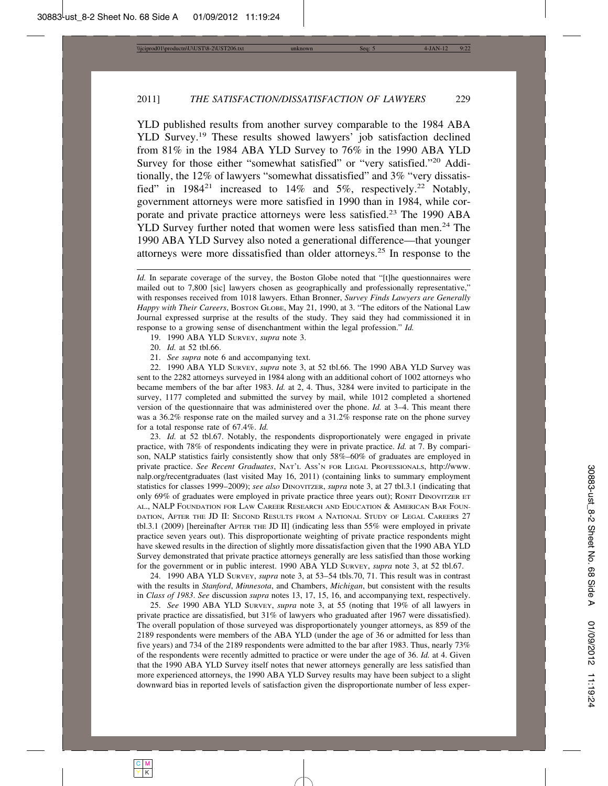YLD published results from another survey comparable to the 1984 ABA YLD Survey.<sup>19</sup> These results showed lawyers' job satisfaction declined from 81% in the 1984 ABA YLD Survey to 76% in the 1990 ABA YLD Survey for those either "somewhat satisfied" or "very satisfied."<sup>20</sup> Additionally, the 12% of lawyers "somewhat dissatisfied" and 3% "very dissatisfied" in  $1984^{21}$  increased to  $14\%$  and  $5\%$ , respectively.<sup>22</sup> Notably, government attorneys were more satisfied in 1990 than in 1984, while corporate and private practice attorneys were less satisfied.<sup>23</sup> The 1990 ABA YLD Survey further noted that women were less satisfied than men.<sup>24</sup> The 1990 ABA YLD Survey also noted a generational difference—that younger attorneys were more dissatisfied than older attorneys.25 In response to the

19. 1990 ABA YLD SURVEY, *supra* note 3.

- 20. *Id.* at 52 tbl.66.
- 21. *See supra* note 6 and accompanying text.

22. 1990 ABA YLD SURVEY, *supra* note 3, at 52 tbl.66. The 1990 ABA YLD Survey was sent to the 2282 attorneys surveyed in 1984 along with an additional cohort of 1002 attorneys who became members of the bar after 1983. *Id.* at 2, 4. Thus, 3284 were invited to participate in the survey, 1177 completed and submitted the survey by mail, while 1012 completed a shortened version of the questionnaire that was administered over the phone. *Id.* at 3–4. This meant there was a 36.2% response rate on the mailed survey and a 31.2% response rate on the phone survey for a total response rate of 67.4%. *Id.*

23. *Id.* at 52 tbl.67. Notably, the respondents disproportionately were engaged in private practice, with 78% of respondents indicating they were in private practice. *Id.* at 7. By comparison, NALP statistics fairly consistently show that only 58%–60% of graduates are employed in private practice. *See Recent Graduates*, NAT'L ASS'N FOR LEGAL PROFESSIONALS, http://www. nalp.org/recentgraduates (last visited May 16, 2011) (containing links to summary employment statistics for classes 1999–2009); *see also* DINOVITZER, *supra* note 3, at 27 tbl.3.1 (indicating that only 69% of graduates were employed in private practice three years out); RONIT DINOVITZER ET AL., NALP FOUNDATION FOR LAW CAREER RESEARCH AND EDUCATION & AMERICAN BAR FOUN-DATION, AFTER THE JD II: SECOND RESULTS FROM A NATIONAL STUDY OF LEGAL CAREERS 27 tbl.3.1 (2009) [hereinafter AFTER THE JD II] (indicating less than 55% were employed in private practice seven years out). This disproportionate weighting of private practice respondents might have skewed results in the direction of slightly more dissatisfaction given that the 1990 ABA YLD Survey demonstrated that private practice attorneys generally are less satisfied than those working for the government or in public interest. 1990 ABA YLD SURVEY, *supra* note 3, at 52 tbl.67.

24. 1990 ABA YLD SURVEY, *supra* note 3, at 53–54 tbls.70, 71. This result was in contrast with the results in *Stanford*, *Minnesota*, and Chambers, *Michigan*, but consistent with the results in *Class of 1983*. *See* discussion *supra* notes 13, 17, 15, 16, and accompanying text, respectively.

25. *See* 1990 ABA YLD SURVEY, *supra* note 3, at 55 (noting that 19% of all lawyers in private practice are dissatisfied, but 31% of lawyers who graduated after 1967 were dissatisfied). The overall population of those surveyed was disproportionately younger attorneys, as 859 of the 2189 respondents were members of the ABA YLD (under the age of 36 or admitted for less than five years) and 734 of the 2189 respondents were admitted to the bar after 1983. Thus, nearly 73% of the respondents were recently admitted to practice or were under the age of 36. *Id.* at 4. Given that the 1990 ABA YLD Survey itself notes that newer attorneys generally are less satisfied than more experienced attorneys, the 1990 ABA YLD Survey results may have been subject to a slight downward bias in reported levels of satisfaction given the disproportionate number of less exper-

*Id.* In separate coverage of the survey, the Boston Globe noted that "[t]he questionnaires were mailed out to 7,800 [sic] lawyers chosen as geographically and professionally representative," with responses received from 1018 lawyers. Ethan Bronner, *Survey Finds Lawyers are Generally Happy with Their Careers*, BOSTON GLOBE, May 21, 1990, at 3. "The editors of the National Law Journal expressed surprise at the results of the study. They said they had commissioned it in response to a growing sense of disenchantment within the legal profession." *Id.*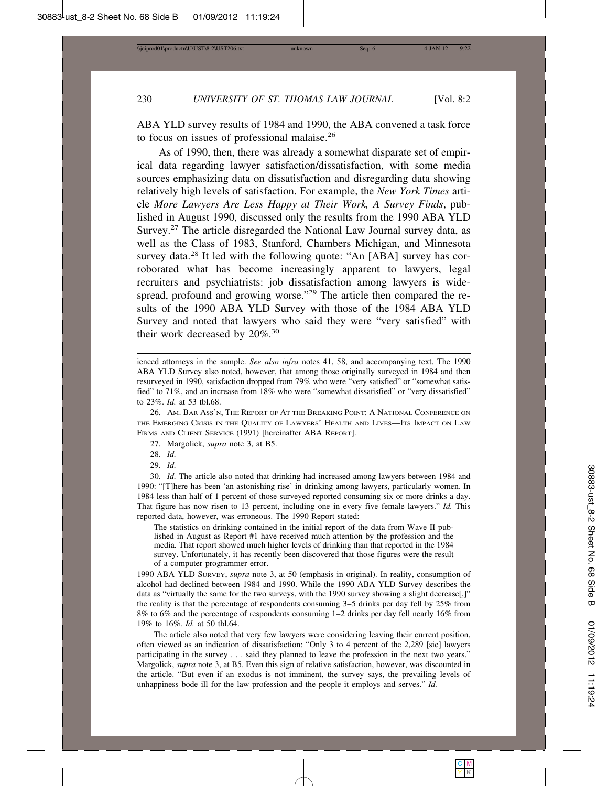ABA YLD survey results of 1984 and 1990, the ABA convened a task force to focus on issues of professional malaise.<sup>26</sup>

As of 1990, then, there was already a somewhat disparate set of empirical data regarding lawyer satisfaction/dissatisfaction, with some media sources emphasizing data on dissatisfaction and disregarding data showing relatively high levels of satisfaction. For example, the *New York Times* article *More Lawyers Are Less Happy at Their Work, A Survey Finds*, published in August 1990, discussed only the results from the 1990 ABA YLD Survey.<sup>27</sup> The article disregarded the National Law Journal survey data, as well as the Class of 1983, Stanford, Chambers Michigan, and Minnesota survey data.<sup>28</sup> It led with the following quote: "An [ABA] survey has corroborated what has become increasingly apparent to lawyers, legal recruiters and psychiatrists: job dissatisfaction among lawyers is widespread, profound and growing worse."<sup>29</sup> The article then compared the results of the 1990 ABA YLD Survey with those of the 1984 ABA YLD Survey and noted that lawyers who said they were "very satisfied" with their work decreased by 20%.<sup>30</sup>

- 27. Margolick, *supra* note 3, at B5.
- 28. *Id.*
- 29. *Id.*

30. *Id.* The article also noted that drinking had increased among lawyers between 1984 and 1990: "[T]here has been 'an astonishing rise' in drinking among lawyers, particularly women. In 1984 less than half of 1 percent of those surveyed reported consuming six or more drinks a day. That figure has now risen to 13 percent, including one in every five female lawyers." *Id.* This reported data, however, was erroneous. The 1990 Report stated:

The statistics on drinking contained in the initial report of the data from Wave II published in August as Report #1 have received much attention by the profession and the media. That report showed much higher levels of drinking than that reported in the 1984 survey. Unfortunately, it has recently been discovered that those figures were the result of a computer programmer error.

1990 ABA YLD SURVEY, *supra* note 3, at 50 (emphasis in original). In reality, consumption of alcohol had declined between 1984 and 1990. While the 1990 ABA YLD Survey describes the data as "virtually the same for the two surveys, with the 1990 survey showing a slight decrease.]" the reality is that the percentage of respondents consuming 3–5 drinks per day fell by 25% from 8% to 6% and the percentage of respondents consuming 1–2 drinks per day fell nearly 16% from 19% to 16%. *Id.* at 50 tbl.64.

The article also noted that very few lawyers were considering leaving their current position, often viewed as an indication of dissatisfaction: "Only 3 to 4 percent of the 2,289 [sic] lawyers participating in the survey . . . said they planned to leave the profession in the next two years." Margolick, *supra* note 3, at B5. Even this sign of relative satisfaction, however, was discounted in the article. "But even if an exodus is not imminent, the survey says, the prevailing levels of unhappiness bode ill for the law profession and the people it employs and serves." *Id.*

ienced attorneys in the sample. *See also infra* notes 41, 58, and accompanying text. The 1990 ABA YLD Survey also noted, however, that among those originally surveyed in 1984 and then resurveyed in 1990, satisfaction dropped from 79% who were "very satisfied" or "somewhat satisfied" to 71%, and an increase from 18% who were "somewhat dissatisfied" or "very dissatisfied" to 23%. *Id.* at 53 tbl.68.

<sup>26.</sup> AM. BAR ASS'N, THE REPORT OF AT THE BREAKING POINT: A NATIONAL CONFERENCE ON THE EMERGING CRISIS IN THE QUALITY OF LAWYERS' HEALTH AND LIVES—ITS IMPACT ON LAW FIRMS AND CLIENT SERVICE (1991) [hereinafter ABA REPORT].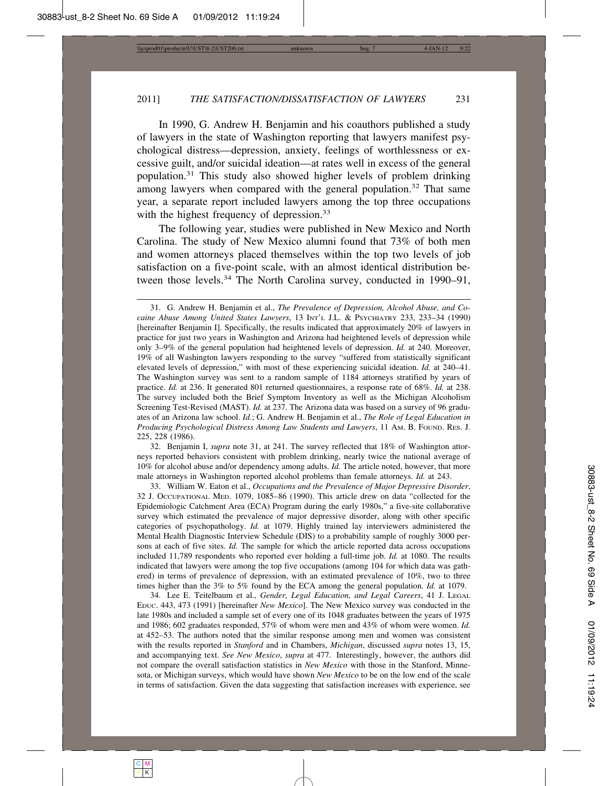In 1990, G. Andrew H. Benjamin and his coauthors published a study of lawyers in the state of Washington reporting that lawyers manifest psychological distress—depression, anxiety, feelings of worthlessness or excessive guilt, and/or suicidal ideation—at rates well in excess of the general population.31 This study also showed higher levels of problem drinking among lawyers when compared with the general population.<sup>32</sup> That same year, a separate report included lawyers among the top three occupations with the highest frequency of depression.<sup>33</sup>

The following year, studies were published in New Mexico and North Carolina. The study of New Mexico alumni found that 73% of both men and women attorneys placed themselves within the top two levels of job satisfaction on a five-point scale, with an almost identical distribution between those levels.<sup>34</sup> The North Carolina survey, conducted in 1990–91,

32. Benjamin I, *supra* note 31, at 241. The survey reflected that 18% of Washington attorneys reported behaviors consistent with problem drinking, nearly twice the national average of 10% for alcohol abuse and/or dependency among adults. *Id.* The article noted, however, that more male attorneys in Washington reported alcohol problems than female attorneys. *Id.* at 243.

33. William W. Eaton et al., *Occupations and the Prevalence of Major Depressive Disorder*, 32 J. OCCUPATIONAL MED. 1079, 1085–86 (1990). This article drew on data "collected for the Epidemiologic Catchment Area (ECA) Program during the early 1980s," a five-site collaborative survey which estimated the prevalence of major depressive disorder, along with other specific categories of psychopathology. *Id.* at 1079. Highly trained lay interviewers administered the Mental Health Diagnostic Interview Schedule (DIS) to a probability sample of roughly 3000 persons at each of five sites. *Id.* The sample for which the article reported data across occupations included 11,789 respondents who reported ever holding a full-time job. *Id.* at 1080. The results indicated that lawyers were among the top five occupations (among 104 for which data was gathered) in terms of prevalence of depression, with an estimated prevalence of 10%, two to three times higher than the 3% to 5% found by the ECA among the general population. *Id.* at 1079.

34. Lee E. Teitelbaum et al., *Gender, Legal Education, and Legal Careers*, 41 J. LEGAL EDUC. 443, 473 (1991) [hereinafter *New Mexico*]. The New Mexico survey was conducted in the late 1980s and included a sample set of every one of its 1048 graduates between the years of 1975 and 1986; 602 graduates responded, 57% of whom were men and 43% of whom were women. *Id.* at 452–53. The authors noted that the similar response among men and women was consistent with the results reported in *Stanford* and in Chambers, *Michigan*, discussed *supra* notes 13, 15, and accompanying text. *See New Mexico*, *supra* at 477. Interestingly, however, the authors did not compare the overall satisfaction statistics in *New Mexico* with those in the Stanford, Minnesota, or Michigan surveys, which would have shown *New Mexico* to be on the low end of the scale in terms of satisfaction. Given the data suggesting that satisfaction increases with experience, see

<sup>31.</sup> G. Andrew H. Benjamin et al., *The Prevalence of Depression, Alcohol Abuse, and Cocaine Abuse Among United States Lawyers*, 13 INT'L J.L. & PSYCHIATRY 233, 233–34 (1990) [hereinafter Benjamin I]. Specifically, the results indicated that approximately 20% of lawyers in practice for just two years in Washington and Arizona had heightened levels of depression while only 3–9% of the general population had heightened levels of depression. *Id.* at 240. Moreover, 19% of all Washington lawyers responding to the survey "suffered from statistically significant elevated levels of depression," with most of these experiencing suicidal ideation. *Id.* at 240–41. The Washington survey was sent to a random sample of 1184 attorneys stratified by years of practice. *Id.* at 236. It generated 801 returned questionnaires, a response rate of 68%. *Id.* at 238. The survey included both the Brief Symptom Inventory as well as the Michigan Alcoholism Screening Test-Revised (MAST). *Id.* at 237. The Arizona data was based on a survey of 96 graduates of an Arizona law school. *Id.*; G. Andrew H. Benjamin et al., *The Role of Legal Education in Producing Psychological Distress Among Law Students and Lawyers*, 11 AM. B. FOUND. RES. J. 225, 228 (1986).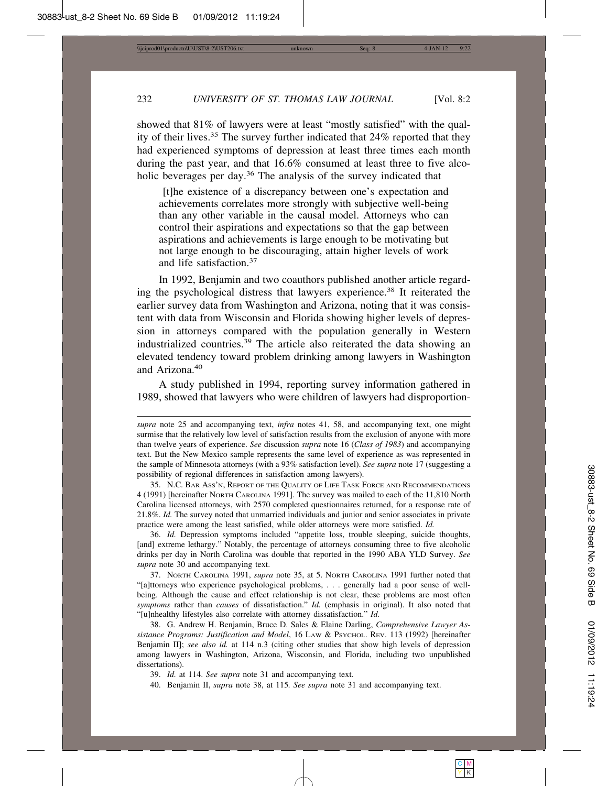showed that 81% of lawyers were at least "mostly satisfied" with the quality of their lives.35 The survey further indicated that 24% reported that they had experienced symptoms of depression at least three times each month during the past year, and that 16.6% consumed at least three to five alcoholic beverages per day.<sup>36</sup> The analysis of the survey indicated that

 [t]he existence of a discrepancy between one's expectation and achievements correlates more strongly with subjective well-being than any other variable in the causal model. Attorneys who can control their aspirations and expectations so that the gap between aspirations and achievements is large enough to be motivating but not large enough to be discouraging, attain higher levels of work and life satisfaction.<sup>37</sup>

In 1992, Benjamin and two coauthors published another article regarding the psychological distress that lawyers experience.38 It reiterated the earlier survey data from Washington and Arizona, noting that it was consistent with data from Wisconsin and Florida showing higher levels of depression in attorneys compared with the population generally in Western industrialized countries.39 The article also reiterated the data showing an elevated tendency toward problem drinking among lawyers in Washington and Arizona.<sup>40</sup>

A study published in 1994, reporting survey information gathered in 1989, showed that lawyers who were children of lawyers had disproportion-

35. N.C. BAR ASS'N, REPORT OF THE QUALITY OF LIFE TASK FORCE AND RECOMMENDATIONS 4 (1991) [hereinafter NORTH CAROLINA 1991]. The survey was mailed to each of the 11,810 North Carolina licensed attorneys, with 2570 completed questionnaires returned, for a response rate of 21.8%. *Id.* The survey noted that unmarried individuals and junior and senior associates in private practice were among the least satisfied, while older attorneys were more satisfied. *Id.*

36. *Id.* Depression symptoms included "appetite loss, trouble sleeping, suicide thoughts, [and] extreme lethargy." Notably, the percentage of attorneys consuming three to five alcoholic drinks per day in North Carolina was double that reported in the 1990 ABA YLD Survey. *See supra* note 30 and accompanying text.

37. NORTH CAROLINA 1991, *supra* note 35, at 5. NORTH CAROLINA 1991 further noted that "[a]ttorneys who experience psychological problems, . . . generally had a poor sense of wellbeing. Although the cause and effect relationship is not clear, these problems are most often *symptoms* rather than *causes* of dissatisfaction." *Id.* (emphasis in original). It also noted that "[u]nhealthy lifestyles also correlate with attorney dissatisfaction." *Id.*

38. G. Andrew H. Benjamin, Bruce D. Sales & Elaine Darling, *Comprehensive Lawyer Assistance Programs: Justification and Model*, 16 LAW & PSYCHOL. REV. 113 (1992) [hereinafter Benjamin II]; *see also id.* at 114 n.3 (citing other studies that show high levels of depression among lawyers in Washington, Arizona, Wisconsin, and Florida, including two unpublished dissertations).

39. *Id.* at 114. *See supra* note 31 and accompanying text.

40. Benjamin II, *supra* note 38, at 115*. See supra* note 31 and accompanying text.

*supra* note 25 and accompanying text, *infra* notes 41, 58, and accompanying text, one might surmise that the relatively low level of satisfaction results from the exclusion of anyone with more than twelve years of experience. *See* discussion *supra* note 16 (*Class of 1983*) and accompanying text. But the New Mexico sample represents the same level of experience as was represented in the sample of Minnesota attorneys (with a 93% satisfaction level). *See supra* note 17 (suggesting a possibility of regional differences in satisfaction among lawyers).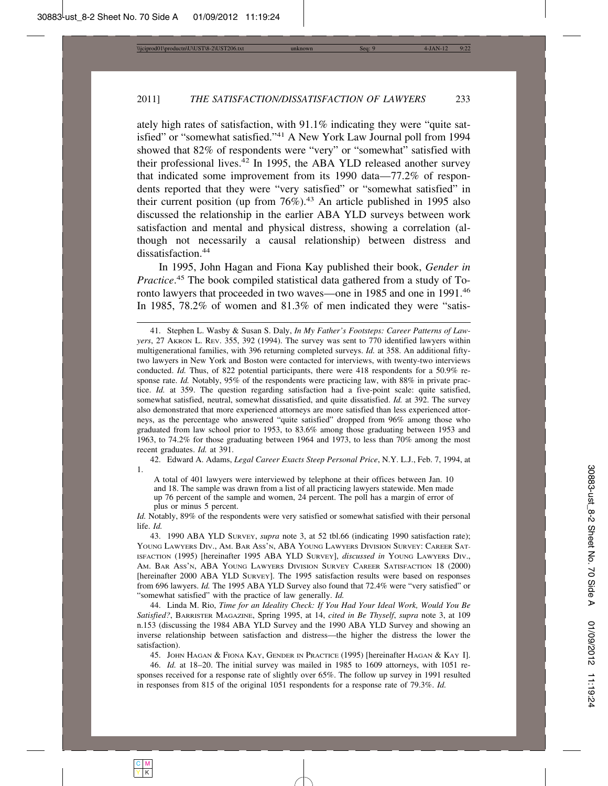ately high rates of satisfaction, with 91.1% indicating they were "quite satisfied" or "somewhat satisfied."41 A New York Law Journal poll from 1994 showed that 82% of respondents were "very" or "somewhat" satisfied with their professional lives.42 In 1995, the ABA YLD released another survey that indicated some improvement from its 1990 data—77.2% of respondents reported that they were "very satisfied" or "somewhat satisfied" in their current position (up from  $76\%$ ).<sup>43</sup> An article published in 1995 also discussed the relationship in the earlier ABA YLD surveys between work satisfaction and mental and physical distress, showing a correlation (although not necessarily a causal relationship) between distress and dissatisfaction.<sup>44</sup>

In 1995, John Hagan and Fiona Kay published their book, *Gender in Practice*. 45 The book compiled statistical data gathered from a study of Toronto lawyers that proceeded in two waves—one in 1985 and one in 1991.<sup>46</sup> In 1985, 78.2% of women and 81.3% of men indicated they were "satis-

42. Edward A. Adams, *Legal Career Exacts Steep Personal Price*, N.Y. L.J., Feb. 7, 1994, at 1.

A total of 401 lawyers were interviewed by telephone at their offices between Jan. 10 and 18. The sample was drawn from a list of all practicing lawyers statewide. Men made up 76 percent of the sample and women, 24 percent. The poll has a margin of error of plus or minus 5 percent.

*Id.* Notably, 89% of the respondents were very satisfied or somewhat satisfied with their personal life. *Id.*

43. 1990 ABA YLD SURVEY, *supra* note 3, at 52 tbl.66 (indicating 1990 satisfaction rate); YOUNG LAWYERS DIV., AM. BAR ASS'N, ABA YOUNG LAWYERS DIVISION SURVEY: CAREER SAT-ISFACTION (1995) [hereinafter 1995 ABA YLD SURVEY], *discussed in* YOUNG LAWYERS DIV., AM. BAR ASS'N, ABA YOUNG LAWYERS DIVISION SURVEY CAREER SATISFACTION 18 (2000) [hereinafter 2000 ABA YLD SURVEY]. The 1995 satisfaction results were based on responses from 696 lawyers. *Id.* The 1995 ABA YLD Survey also found that 72.4% were "very satisfied" or "somewhat satisfied" with the practice of law generally. *Id.*

44. Linda M. Rio, *Time for an Ideality Check: If You Had Your Ideal Work, Would You Be Satisfied?*, BARRISTER MAGAZINE, Spring 1995, at 14, *cited in Be Thyself*, *supra* note 3, at 109 n.153 (discussing the 1984 ABA YLD Survey and the 1990 ABA YLD Survey and showing an inverse relationship between satisfaction and distress—the higher the distress the lower the satisfaction).

45. JOHN HAGAN & FIONA KAY, GENDER IN PRACTICE (1995) [hereinafter HAGAN & KAY I].

46. *Id.* at 18–20. The initial survey was mailed in 1985 to 1609 attorneys, with 1051 responses received for a response rate of slightly over 65%. The follow up survey in 1991 resulted in responses from 815 of the original 1051 respondents for a response rate of 79.3%. *Id.*

<sup>41.</sup> Stephen L. Wasby & Susan S. Daly, *In My Father's Footsteps: Career Patterns of Lawyers*, 27 AKRON L. REV. 355, 392 (1994). The survey was sent to 770 identified lawyers within multigenerational families, with 396 returning completed surveys. *Id.* at 358. An additional fiftytwo lawyers in New York and Boston were contacted for interviews, with twenty-two interviews conducted. *Id.* Thus, of 822 potential participants, there were 418 respondents for a 50.9% response rate. *Id.* Notably, 95% of the respondents were practicing law, with 88% in private practice. *Id.* at 359. The question regarding satisfaction had a five-point scale: quite satisfied, somewhat satisfied, neutral, somewhat dissatisfied, and quite dissatisfied. *Id.* at 392. The survey also demonstrated that more experienced attorneys are more satisfied than less experienced attorneys, as the percentage who answered "quite satisfied" dropped from 96% among those who graduated from law school prior to 1953, to 83.6% among those graduating between 1953 and 1963, to 74.2% for those graduating between 1964 and 1973, to less than 70% among the most recent graduates. *Id.* at 391.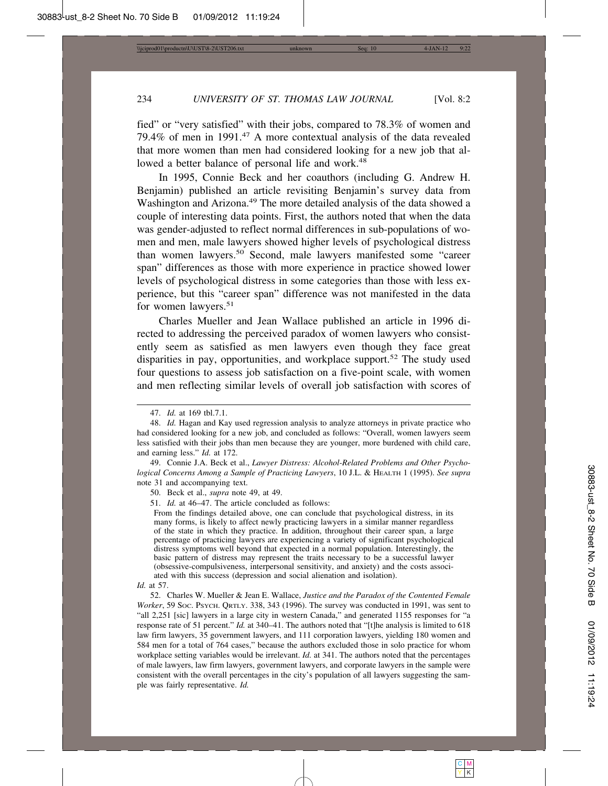fied" or "very satisfied" with their jobs, compared to 78.3% of women and 79.4% of men in 1991.47 A more contextual analysis of the data revealed that more women than men had considered looking for a new job that allowed a better balance of personal life and work.<sup>48</sup>

In 1995, Connie Beck and her coauthors (including G. Andrew H. Benjamin) published an article revisiting Benjamin's survey data from Washington and Arizona.<sup>49</sup> The more detailed analysis of the data showed a couple of interesting data points. First, the authors noted that when the data was gender-adjusted to reflect normal differences in sub-populations of women and men, male lawyers showed higher levels of psychological distress than women lawyers.50 Second, male lawyers manifested some "career span" differences as those with more experience in practice showed lower levels of psychological distress in some categories than those with less experience, but this "career span" difference was not manifested in the data for women lawyers.<sup>51</sup>

Charles Mueller and Jean Wallace published an article in 1996 directed to addressing the perceived paradox of women lawyers who consistently seem as satisfied as men lawyers even though they face great disparities in pay, opportunities, and workplace support.<sup>52</sup> The study used four questions to assess job satisfaction on a five-point scale, with women and men reflecting similar levels of overall job satisfaction with scores of

49. Connie J.A. Beck et al., *Lawyer Distress: Alcohol-Related Problems and Other Psychological Concerns Among a Sample of Practicing Lawyers*, 10 J.L. & HEALTH 1 (1995). *See supra* note 31 and accompanying text.

50. Beck et al., *supra* note 49, at 49.

51. *Id.* at 46–47. The article concluded as follows:

From the findings detailed above, one can conclude that psychological distress, in its many forms, is likely to affect newly practicing lawyers in a similar manner regardless of the state in which they practice. In addition, throughout their career span, a large percentage of practicing lawyers are experiencing a variety of significant psychological distress symptoms well beyond that expected in a normal population. Interestingly, the basic pattern of distress may represent the traits necessary to be a successful lawyer (obsessive-compulsiveness, interpersonal sensitivity, and anxiety) and the costs associated with this success (depression and social alienation and isolation).

52. Charles W. Mueller & Jean E. Wallace, *Justice and the Paradox of the Contented Female Worker*, 59 Soc. Psych. QRTLY. 338, 343 (1996). The survey was conducted in 1991, was sent to "all 2,251 [sic] lawyers in a large city in western Canada," and generated 1155 responses for "a response rate of 51 percent." *Id.* at 340–41. The authors noted that "[t]he analysis is limited to 618 law firm lawyers, 35 government lawyers, and 111 corporation lawyers, yielding 180 women and 584 men for a total of 764 cases," because the authors excluded those in solo practice for whom workplace setting variables would be irrelevant. *Id.* at 341. The authors noted that the percentages of male lawyers, law firm lawyers, government lawyers, and corporate lawyers in the sample were consistent with the overall percentages in the city's population of all lawyers suggesting the sample was fairly representative. *Id.*

<sup>47.</sup> *Id.* at 169 tbl.7.1.

<sup>48.</sup> *Id.* Hagan and Kay used regression analysis to analyze attorneys in private practice who had considered looking for a new job, and concluded as follows: "Overall, women lawyers seem less satisfied with their jobs than men because they are younger, more burdened with child care, and earning less." *Id.* at 172.

*Id.* at 57.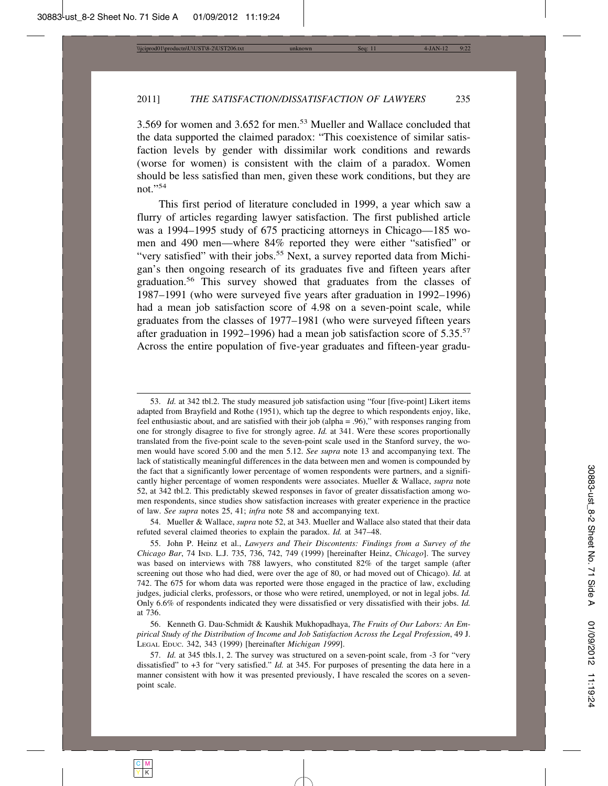3.569 for women and 3.652 for men.53 Mueller and Wallace concluded that the data supported the claimed paradox: "This coexistence of similar satisfaction levels by gender with dissimilar work conditions and rewards (worse for women) is consistent with the claim of a paradox. Women should be less satisfied than men, given these work conditions, but they are not."<sup>54</sup>

This first period of literature concluded in 1999, a year which saw a flurry of articles regarding lawyer satisfaction. The first published article was a 1994–1995 study of 675 practicing attorneys in Chicago—185 women and 490 men—where 84% reported they were either "satisfied" or "very satisfied" with their jobs.<sup>55</sup> Next, a survey reported data from Michigan's then ongoing research of its graduates five and fifteen years after graduation.56 This survey showed that graduates from the classes of 1987–1991 (who were surveyed five years after graduation in 1992–1996) had a mean job satisfaction score of 4.98 on a seven-point scale, while graduates from the classes of 1977–1981 (who were surveyed fifteen years after graduation in 1992–1996) had a mean job satisfaction score of 5.35.<sup>57</sup> Across the entire population of five-year graduates and fifteen-year gradu-

54. Mueller & Wallace, *supra* note 52, at 343. Mueller and Wallace also stated that their data refuted several claimed theories to explain the paradox. *Id.* at 347–48.

<sup>53.</sup> *Id.* at 342 tbl.2. The study measured job satisfaction using "four [five-point] Likert items adapted from Brayfield and Rothe (1951), which tap the degree to which respondents enjoy, like, feel enthusiastic about, and are satisfied with their job (alpha = .96)," with responses ranging from one for strongly disagree to five for strongly agree. *Id.* at 341. Were these scores proportionally translated from the five-point scale to the seven-point scale used in the Stanford survey, the women would have scored 5.00 and the men 5.12. *See supra* note 13 and accompanying text. The lack of statistically meaningful differences in the data between men and women is compounded by the fact that a significantly lower percentage of women respondents were partners, and a significantly higher percentage of women respondents were associates. Mueller & Wallace, *supra* note 52, at 342 tbl.2. This predictably skewed responses in favor of greater dissatisfaction among women respondents, since studies show satisfaction increases with greater experience in the practice of law. *See supra* notes 25, 41; *infra* note 58 and accompanying text.

<sup>55.</sup> John P. Heinz et al., *Lawyers and Their Discontents: Findings from a Survey of the Chicago Bar*, 74 IND. L.J. 735, 736, 742, 749 (1999) [hereinafter Heinz, *Chicago*]. The survey was based on interviews with 788 lawyers, who constituted 82% of the target sample (after screening out those who had died, were over the age of 80, or had moved out of Chicago). *Id.* at 742. The 675 for whom data was reported were those engaged in the practice of law, excluding judges, judicial clerks, professors, or those who were retired, unemployed, or not in legal jobs. *Id.* Only 6.6% of respondents indicated they were dissatisfied or very dissatisfied with their jobs. *Id.* at 736.

<sup>56.</sup> Kenneth G. Dau-Schmidt & Kaushik Mukhopadhaya, *The Fruits of Our Labors: An Empirical Study of the Distribution of Income and Job Satisfaction Across the Legal Profession*, 49 J. LEGAL EDUC. 342, 343 (1999) [hereinafter *Michigan 1999*].

<sup>57.</sup> *Id.* at 345 tbls.1, 2. The survey was structured on a seven-point scale, from -3 for "very dissatisfied" to +3 for "very satisfied." *Id.* at 345. For purposes of presenting the data here in a manner consistent with how it was presented previously, I have rescaled the scores on a sevenpoint scale.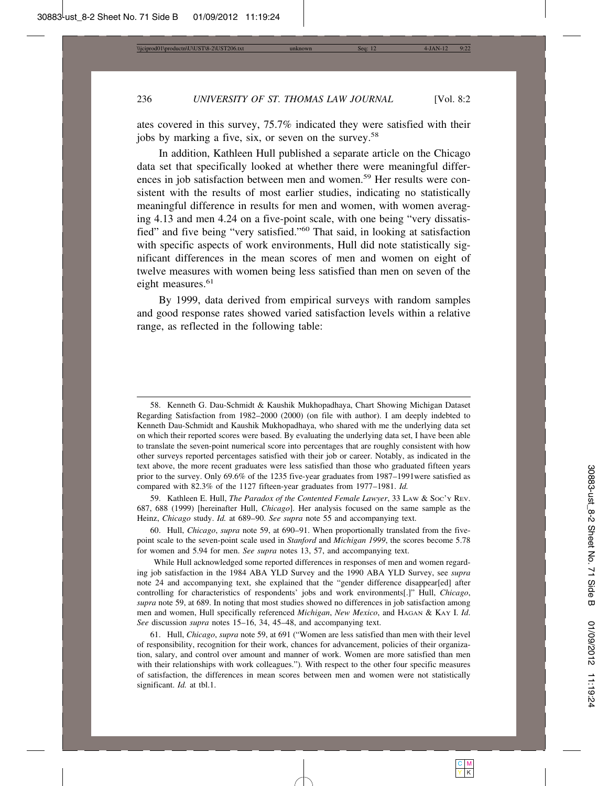ates covered in this survey, 75.7% indicated they were satisfied with their jobs by marking a five, six, or seven on the survey.<sup>58</sup>

In addition, Kathleen Hull published a separate article on the Chicago data set that specifically looked at whether there were meaningful differences in job satisfaction between men and women.59 Her results were consistent with the results of most earlier studies, indicating no statistically meaningful difference in results for men and women, with women averaging 4.13 and men 4.24 on a five-point scale, with one being "very dissatisfied" and five being "very satisfied."60 That said, in looking at satisfaction with specific aspects of work environments, Hull did note statistically significant differences in the mean scores of men and women on eight of twelve measures with women being less satisfied than men on seven of the eight measures.<sup>61</sup>

By 1999, data derived from empirical surveys with random samples and good response rates showed varied satisfaction levels within a relative range, as reflected in the following table:

59. Kathleen E. Hull, *The Paradox of the Contented Female Lawyer*, 33 LAW & SOC'Y REV. 687, 688 (1999) [hereinafter Hull, *Chicago*]. Her analysis focused on the same sample as the Heinz, *Chicago* study. *Id.* at 689–90. *See supra* note 55 and accompanying text.

60. Hull, *Chicago*, *supra* note 59, at 690–91. When proportionally translated from the fivepoint scale to the seven-point scale used in *Stanford* and *Michigan 1999*, the scores become 5.78 for women and 5.94 for men. *See supra* notes 13, 57, and accompanying text.

While Hull acknowledged some reported differences in responses of men and women regarding job satisfaction in the 1984 ABA YLD Survey and the 1990 ABA YLD Survey, see *supra* note 24 and accompanying text, she explained that the "gender difference disappear[ed] after controlling for characteristics of respondents' jobs and work environments[.]" Hull, *Chicago*, *supra* note 59, at 689. In noting that most studies showed no differences in job satisfaction among men and women, Hull specifically referenced *Michigan*, *New Mexico*, and HAGAN & KAY I. *Id*. *See* discussion *supra* notes 15–16, 34, 45–48, and accompanying text.

61. Hull, *Chicago*, *supra* note 59, at 691 ("Women are less satisfied than men with their level of responsibility, recognition for their work, chances for advancement, policies of their organization, salary, and control over amount and manner of work. Women are more satisfied than men with their relationships with work colleagues.")*.* With respect to the other four specific measures of satisfaction, the differences in mean scores between men and women were not statistically significant. *Id.* at tbl.1.

<sup>58.</sup> Kenneth G. Dau-Schmidt & Kaushik Mukhopadhaya, Chart Showing Michigan Dataset Regarding Satisfaction from 1982–2000 (2000) (on file with author). I am deeply indebted to Kenneth Dau-Schmidt and Kaushik Mukhopadhaya, who shared with me the underlying data set on which their reported scores were based. By evaluating the underlying data set, I have been able to translate the seven-point numerical score into percentages that are roughly consistent with how other surveys reported percentages satisfied with their job or career. Notably, as indicated in the text above, the more recent graduates were less satisfied than those who graduated fifteen years prior to the survey. Only 69.6% of the 1235 five-year graduates from 1987–1991were satisfied as compared with 82.3% of the 1127 fifteen-year graduates from 1977–1981. *Id.*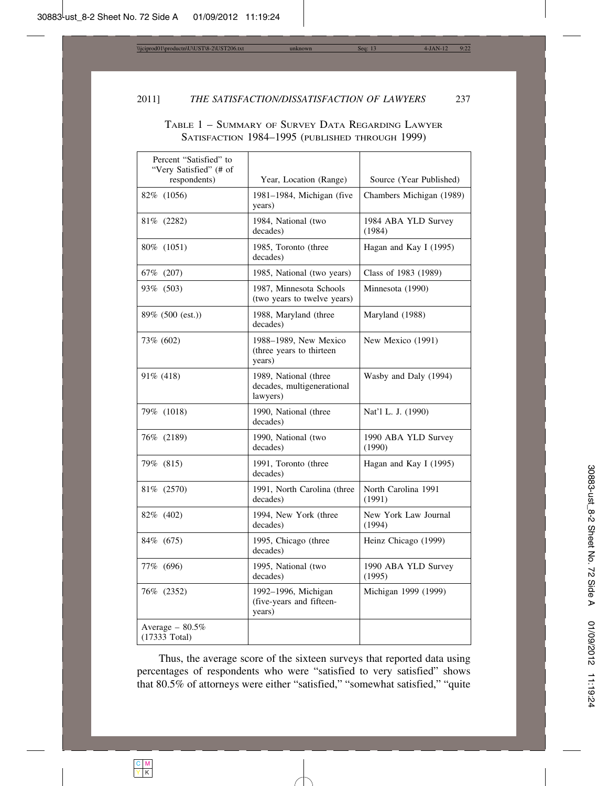# TABLE 1 – SUMMARY OF SURVEY DATA REGARDING LAWYER SATISFACTION 1984–1995 (PUBLISHED THROUGH 1999)

| Percent "Satisfied" to<br>"Very Satisfied" (# of |                                                                 |                                |
|--------------------------------------------------|-----------------------------------------------------------------|--------------------------------|
| respondents)                                     | Year, Location (Range)                                          | Source (Year Published)        |
| 82\% (1056)                                      | 1981-1984, Michigan (five<br>years)                             | Chambers Michigan (1989)       |
| 81\% (2282)                                      | 1984, National (two<br>decades)                                 | 1984 ABA YLD Survey<br>(1984)  |
| 80\% (1051)                                      | 1985, Toronto (three<br>decades)                                | Hagan and Kay I (1995)         |
| 67% (207)                                        | 1985, National (two years)                                      | Class of 1983 (1989)           |
| 93% (503)                                        | 1987, Minnesota Schools<br>(two years to twelve years)          | Minnesota (1990)               |
| 89% (500 (est.))                                 | 1988, Maryland (three<br>decades)                               | Maryland (1988)                |
| 73% (602)                                        | 1988-1989, New Mexico<br>(three years to thirteen<br>years)     | New Mexico (1991)              |
| 91% (418)                                        | 1989, National (three<br>decades, multigenerational<br>lawyers) | Wasby and Daly (1994)          |
| 79% (1018)                                       | 1990, National (three<br>decades)                               | Nat'l L. J. (1990)             |
| 76% (2189)                                       | 1990, National (two<br>decades)                                 | 1990 ABA YLD Survey<br>(1990)  |
| 79% (815)                                        | 1991, Toronto (three<br>decades)                                | Hagan and Kay I (1995)         |
| 81\% (2570)                                      | 1991, North Carolina (three<br>decades)                         | North Carolina 1991<br>(1991)  |
| 82\% (402)                                       | 1994, New York (three<br>decades)                               | New York Law Journal<br>(1994) |
| 84\% (675)                                       | 1995, Chicago (three<br>decades)                                | Heinz Chicago (1999)           |
| 77% (696)                                        | 1995, National (two<br>decades)                                 | 1990 ABA YLD Survey<br>(1995)  |
| 76\% (2352)                                      | 1992-1996, Michigan<br>(five-years and fifteen-<br>years)       | Michigan 1999 (1999)           |
| Average $-80.5\%$<br>$(17333$ Total)             |                                                                 |                                |

Thus, the average score of the sixteen surveys that reported data using percentages of respondents who were "satisfied to very satisfied" shows that 80.5% of attorneys were either "satisfied," "somewhat satisfied," "quite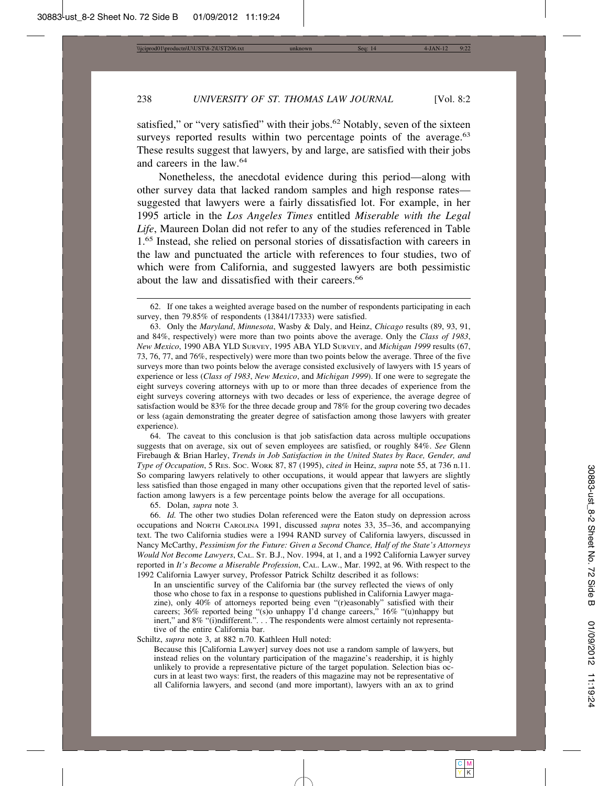satisfied," or "very satisfied" with their jobs.<sup>62</sup> Notably, seven of the sixteen surveys reported results within two percentage points of the average.<sup>63</sup> These results suggest that lawyers, by and large, are satisfied with their jobs and careers in the law.<sup>64</sup>

Nonetheless, the anecdotal evidence during this period—along with other survey data that lacked random samples and high response rates suggested that lawyers were a fairly dissatisfied lot. For example, in her 1995 article in the *Los Angeles Times* entitled *Miserable with the Legal Life*, Maureen Dolan did not refer to any of the studies referenced in Table 1.65 Instead, she relied on personal stories of dissatisfaction with careers in the law and punctuated the article with references to four studies, two of which were from California, and suggested lawyers are both pessimistic about the law and dissatisfied with their careers.<sup>66</sup>

64. The caveat to this conclusion is that job satisfaction data across multiple occupations suggests that on average, six out of seven employees are satisfied, or roughly 84%. *See* Glenn Firebaugh & Brian Harley, *Trends in Job Satisfaction in the United States by Race, Gender, and Type of Occupation*, 5 RES. SOC. WORK 87, 87 (1995), *cited in* Heinz, *supra* note 55, at 736 n.11. So comparing lawyers relatively to other occupations, it would appear that lawyers are slightly less satisfied than those engaged in many other occupations given that the reported level of satisfaction among lawyers is a few percentage points below the average for all occupations.

65. Dolan, *supra* note 3*.*

66. *Id.* The other two studies Dolan referenced were the Eaton study on depression across occupations and NORTH CAROLINA 1991, discussed *supra* notes 33, 35–36, and accompanying text. The two California studies were a 1994 RAND survey of California lawyers, discussed in Nancy McCarthy, *Pessimism for the Future: Given a Second Chance, Half of the State's Attorneys Would Not Become Lawyers*, CAL. ST. B.J., Nov. 1994, at 1, and a 1992 California Lawyer survey reported in *It's Become a Miserable Profession*, CAL. LAW., Mar. 1992, at 96. With respect to the 1992 California Lawyer survey, Professor Patrick Schiltz described it as follows:

In an unscientific survey of the California bar (the survey reflected the views of only those who chose to fax in a response to questions published in California Lawyer magazine), only 40% of attorneys reported being even "(r)easonably" satisfied with their careers; 36% reported being "(s)o unhappy I'd change careers," 16% "(u)nhappy but inert," and 8% "(i)ndifferent.". . . The respondents were almost certainly not representative of the entire California bar.

Schiltz, *supra* note 3, at 882 n.70. Kathleen Hull noted:

Because this [California Lawyer] survey does not use a random sample of lawyers, but instead relies on the voluntary participation of the magazine's readership, it is highly unlikely to provide a representative picture of the target population. Selection bias occurs in at least two ways: first, the readers of this magazine may not be representative of all California lawyers, and second (and more important), lawyers with an ax to grind

<sup>62.</sup> If one takes a weighted average based on the number of respondents participating in each survey, then 79.85% of respondents (13841/17333) were satisfied.

<sup>63.</sup> Only the *Maryland*, *Minnesota*, Wasby & Daly, and Heinz, *Chicago* results (89, 93, 91, and 84%, respectively) were more than two points above the average. Only the *Class of 1983*, *New Mexico*, 1990 ABA YLD SURVEY, 1995 ABA YLD SURVEY, and *Michigan 1999* results (67, 73, 76, 77, and 76%, respectively) were more than two points below the average. Three of the five surveys more than two points below the average consisted exclusively of lawyers with 15 years of experience or less (*Class of 1983*, *New Mexico*, and *Michigan 1999*). If one were to segregate the eight surveys covering attorneys with up to or more than three decades of experience from the eight surveys covering attorneys with two decades or less of experience, the average degree of satisfaction would be 83% for the three decade group and 78% for the group covering two decades or less (again demonstrating the greater degree of satisfaction among those lawyers with greater experience).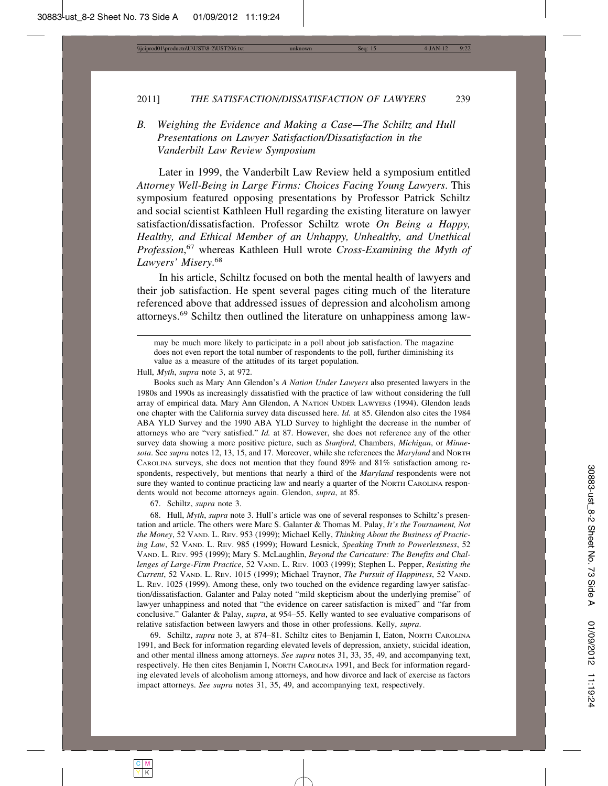*B. Weighing the Evidence and Making a Case—The Schiltz and Hull Presentations on Lawyer Satisfaction/Dissatisfaction in the Vanderbilt Law Review Symposium*

Later in 1999, the Vanderbilt Law Review held a symposium entitled *Attorney Well-Being in Large Firms: Choices Facing Young Lawyers*. This symposium featured opposing presentations by Professor Patrick Schiltz and social scientist Kathleen Hull regarding the existing literature on lawyer satisfaction/dissatisfaction. Professor Schiltz wrote *On Being a Happy, Healthy, and Ethical Member of an Unhappy, Unhealthy, and Unethical Profession*, 67 whereas Kathleen Hull wrote *Cross-Examining the Myth of Lawyers' Misery*. 68

In his article, Schiltz focused on both the mental health of lawyers and their job satisfaction. He spent several pages citing much of the literature referenced above that addressed issues of depression and alcoholism among attorneys.69 Schiltz then outlined the literature on unhappiness among law-

Hull, *Myth*, *supra* note 3, at 972.

Books such as Mary Ann Glendon's *A Nation Under Lawyers* also presented lawyers in the 1980s and 1990s as increasingly dissatisfied with the practice of law without considering the full array of empirical data. Mary Ann Glendon, A NATION UNDER LAWYERS (1994). Glendon leads one chapter with the California survey data discussed here. *Id.* at 85. Glendon also cites the 1984 ABA YLD Survey and the 1990 ABA YLD Survey to highlight the decrease in the number of attorneys who are "very satisfied." *Id.* at 87. However, she does not reference any of the other survey data showing a more positive picture, such as *Stanford*, Chambers, *Michigan*, or *Minnesota*. See *supra* notes 12, 13, 15, and 17. Moreover, while she references the *Maryland* and NORTH CAROLINA surveys, she does not mention that they found 89% and 81% satisfaction among respondents, respectively, but mentions that nearly a third of the *Maryland* respondents were not sure they wanted to continue practicing law and nearly a quarter of the NORTH CAROLINA respondents would not become attorneys again. Glendon, *supra*, at 85.

67. Schiltz, *supra* note 3.

68. Hull, *Myth*, *supra* note 3. Hull's article was one of several responses to Schiltz's presentation and article. The others were Marc S. Galanter & Thomas M. Palay, *It's the Tournament, Not the Money*, 52 VAND. L. REV. 953 (1999); Michael Kelly, *Thinking About the Business of Practicing Law*, 52 VAND. L. REV. 985 (1999); Howard Lesnick, *Speaking Truth to Powerlessness*, 52 VAND. L. REV. 995 (1999); Mary S. McLaughlin, *Beyond the Caricature: The Benefits and Challenges of Large-Firm Practice*, 52 VAND. L. REV. 1003 (1999); Stephen L. Pepper, *Resisting the Current*, 52 VAND. L. REV. 1015 (1999); Michael Traynor, *The Pursuit of Happiness*, 52 VAND. L. REV. 1025 (1999). Among these, only two touched on the evidence regarding lawyer satisfaction/dissatisfaction. Galanter and Palay noted "mild skepticism about the underlying premise" of lawyer unhappiness and noted that "the evidence on career satisfaction is mixed" and "far from conclusive." Galanter & Palay, *supra*, at 954–55. Kelly wanted to see evaluative comparisons of relative satisfaction between lawyers and those in other professions. Kelly, *supra*.

69. Schiltz, *supra* note 3, at 874–81. Schiltz cites to Benjamin I, Eaton, NORTH CAROLINA 1991, and Beck for information regarding elevated levels of depression, anxiety, suicidal ideation, and other mental illness among attorneys. *See supra* notes 31, 33, 35, 49, and accompanying text, respectively. He then cites Benjamin I, NORTH CAROLINA 1991, and Beck for information regarding elevated levels of alcoholism among attorneys, and how divorce and lack of exercise as factors impact attorneys. *See supra* notes 31, 35, 49, and accompanying text, respectively.

may be much more likely to participate in a poll about job satisfaction. The magazine does not even report the total number of respondents to the poll, further diminishing its value as a measure of the attitudes of its target population.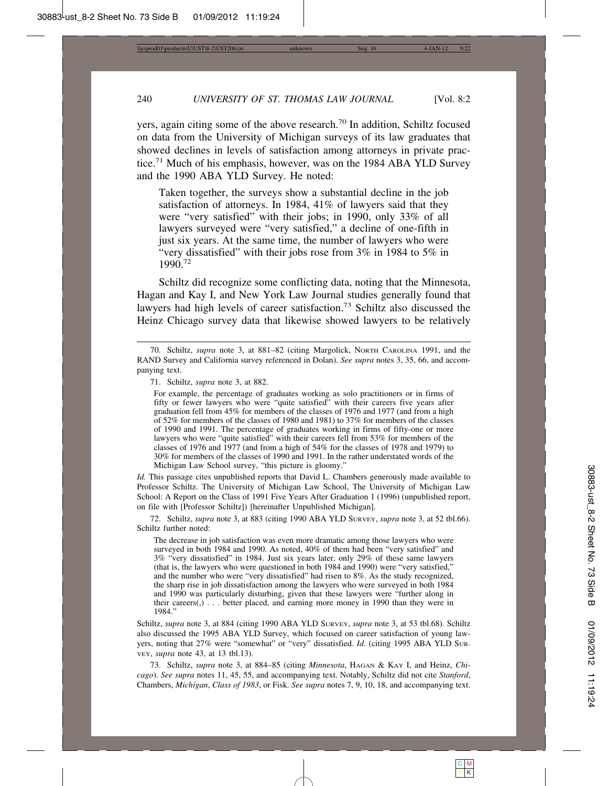yers, again citing some of the above research.70 In addition, Schiltz focused on data from the University of Michigan surveys of its law graduates that showed declines in levels of satisfaction among attorneys in private practice.<sup>71</sup> Much of his emphasis, however, was on the 1984 ABA YLD Survey and the 1990 ABA YLD Survey. He noted:

Taken together, the surveys show a substantial decline in the job satisfaction of attorneys. In 1984, 41% of lawyers said that they were "very satisfied" with their jobs; in 1990, only 33% of all lawyers surveyed were "very satisfied," a decline of one-fifth in just six years. At the same time, the number of lawyers who were "very dissatisfied" with their jobs rose from 3% in 1984 to 5% in 1990.<sup>72</sup>

Schiltz did recognize some conflicting data, noting that the Minnesota, Hagan and Kay I, and New York Law Journal studies generally found that lawyers had high levels of career satisfaction.<sup>73</sup> Schiltz also discussed the Heinz Chicago survey data that likewise showed lawyers to be relatively

For example, the percentage of graduates working as solo practitioners or in firms of fifty or fewer lawyers who were "quite satisfied" with their careers five years after graduation fell from 45% for members of the classes of 1976 and 1977 (and from a high of 52% for members of the classes of 1980 and 1981) to 37% for members of the classes of 1990 and 1991. The percentage of graduates working in firms of fifty-one or more lawyers who were "quite satisfied" with their careers fell from 53% for members of the classes of 1976 and 1977 (and from a high of 54% for the classes of 1978 and 1979) to 30% for members of the classes of 1990 and 1991. In the rather understated words of the Michigan Law School survey, "this picture is gloomy."

*Id.* This passage cites unpublished reports that David L. Chambers generously made available to Professor Schiltz. The University of Michigan Law School, The University of Michigan Law School: A Report on the Class of 1991 Five Years After Graduation 1 (1996) (unpublished report, on file with [Professor Schiltz]) [hereinafter Unpublished Michigan].

72. Schiltz, *supra* note 3, at 883 (citing 1990 ABA YLD SURVEY, *supra* note 3, at 52 tbl.66). Schiltz further noted:

The decrease in job satisfaction was even more dramatic among those lawyers who were surveyed in both 1984 and 1990. As noted, 40% of them had been "very satisfied" and 3% "very dissatisfied" in 1984. Just six years later, only 29% of these same lawyers (that is, the lawyers who were questioned in both 1984 and 1990) were "very satisfied," and the number who were "very dissatisfied" had risen to 8%. As the study recognized, the sharp rise in job dissatisfaction among the lawyers who were surveyed in both 1984 and 1990 was particularly disturbing, given that these lawyers were "further along in their careers(,) . . . better placed, and earning more money in 1990 than they were in 1984."

Schiltz, *supra* note 3, at 884 (citing 1990 ABA YLD SURVEY, *supra* note 3, at 53 tbl.68). Schiltz also discussed the 1995 ABA YLD Survey, which focused on career satisfaction of young lawyers, noting that 27% were "somewhat" or "very" dissatisfied. *Id.* (citing 1995 ABA YLD SUR-VEY, *supra* note 43, at 13 tbl.13).

73. Schiltz, *supra* note 3, at 884–85 (citing *Minnesota*, HAGAN & KAY I, and Heinz, *Chicago*). *See supra* notes 11, 45, 55, and accompanying text. Notably, Schiltz did not cite *Stanford*, Chambers, *Michigan*, *Class of 1983*, or Fisk. *See supra* notes 7, 9, 10, 18, and accompanying text.

<sup>70.</sup> Schiltz, *supra* note 3, at 881–82 (citing Margolick, NORTH CAROLINA 1991, and the RAND Survey and California survey referenced in Dolan). *See supra* notes 3, 35, 66, and accompanying text.

<sup>71.</sup> Schiltz, *supra* note 3, at 882.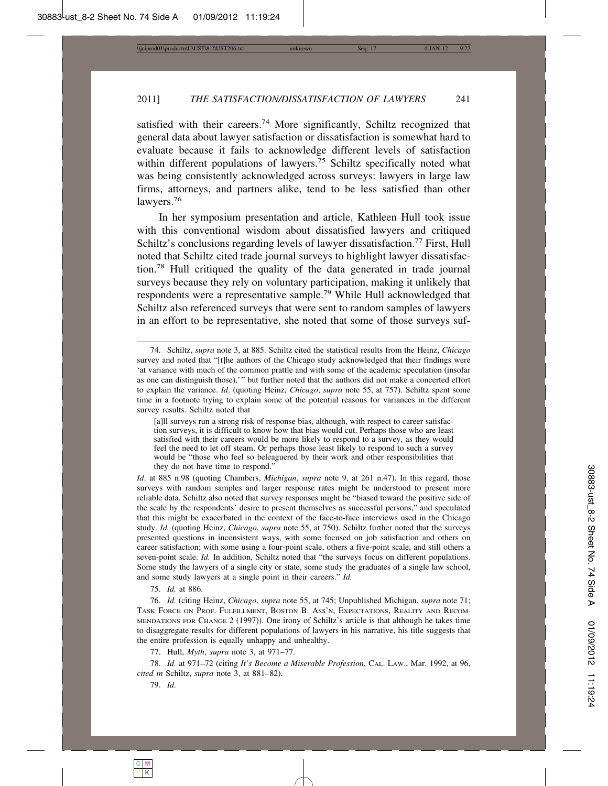satisfied with their careers.<sup>74</sup> More significantly, Schiltz recognized that general data about lawyer satisfaction or dissatisfaction is somewhat hard to evaluate because it fails to acknowledge different levels of satisfaction within different populations of lawyers.<sup>75</sup> Schiltz specifically noted what was being consistently acknowledged across surveys: lawyers in large law firms, attorneys, and partners alike, tend to be less satisfied than other lawyers.<sup>76</sup>

In her symposium presentation and article, Kathleen Hull took issue with this conventional wisdom about dissatisfied lawyers and critiqued Schiltz's conclusions regarding levels of lawyer dissatisfaction.<sup>77</sup> First, Hull noted that Schiltz cited trade journal surveys to highlight lawyer dissatisfaction.78 Hull critiqued the quality of the data generated in trade journal surveys because they rely on voluntary participation, making it unlikely that respondents were a representative sample.79 While Hull acknowledged that Schiltz also referenced surveys that were sent to random samples of lawyers in an effort to be representative, she noted that some of those surveys suf-

*Id*. at 885 n.98 (quoting Chambers, *Michigan*, *supra* note 9, at 261 n.47). In this regard, those surveys with random samples and larger response rates might be understood to present more reliable data. Schiltz also noted that survey responses might be "biased toward the positive side of the scale by the respondents' desire to present themselves as successful persons," and speculated that this might be exacerbated in the context of the face-to-face interviews used in the Chicago study. *Id.* (quoting Heinz, *Chicago*, *supra* note 55, at 750). Schiltz further noted that the surveys presented questions in inconsistent ways, with some focused on job satisfaction and others on career satisfaction; with some using a four-point scale, others a five-point scale, and still others a seven-point scale. *Id.* In addition, Schiltz noted that "the surveys focus on different populations. Some study the lawyers of a single city or state, some study the graduates of a single law school, and some study lawyers at a single point in their careers." *Id.*

75. *Id.* at 886.

76. *Id.* (citing Heinz, *Chicago*, *supra* note 55, at 745; Unpublished Michigan, *supra* note 71; TASK FORCE ON PROF. FULFILLMENT, BOSTON B. ASS'N, EXPECTATIONS, REALITY AND RECOM-MENDATIONS FOR CHANGE 2 (1997)). One irony of Schiltz's article is that although he takes time to disaggregate results for different populations of lawyers in his narrative, his title suggests that the entire profession is equally unhappy and unhealthy.

77. Hull, *Myth*, *supra* note 3, at 971–77.

78. *Id.* at 971–72 (citing *It's Become a Miserable Profession*, CAL. LAW., Mar. 1992, at 96, *cited in* Schiltz, *supra* note 3, at 881–82).

79. *Id.*

<sup>74.</sup> Schiltz, *supra* note 3, at 885. Schiltz cited the statistical results from the Heinz, *Chicago* survey and noted that "[t]he authors of the Chicago study acknowledged that their findings were 'at variance with much of the common prattle and with some of the academic speculation (insofar as one can distinguish those),'" but further noted that the authors did not make a concerted effort to explain the variance. *Id*. (quoting Heinz, *Chicago*, *supra* note 55, at 757). Schiltz spent some time in a footnote trying to explain some of the potential reasons for variances in the different survey results. Schiltz noted that

<sup>[</sup>a]ll surveys run a strong risk of response bias, although, with respect to career satisfaction surveys, it is difficult to know how that bias would cut. Perhaps those who are least satisfied with their careers would be more likely to respond to a survey, as they would feel the need to let off steam. Or perhaps those least likely to respond to such a survey would be "those who feel so beleaguered by their work and other responsibilities that they do not have time to respond."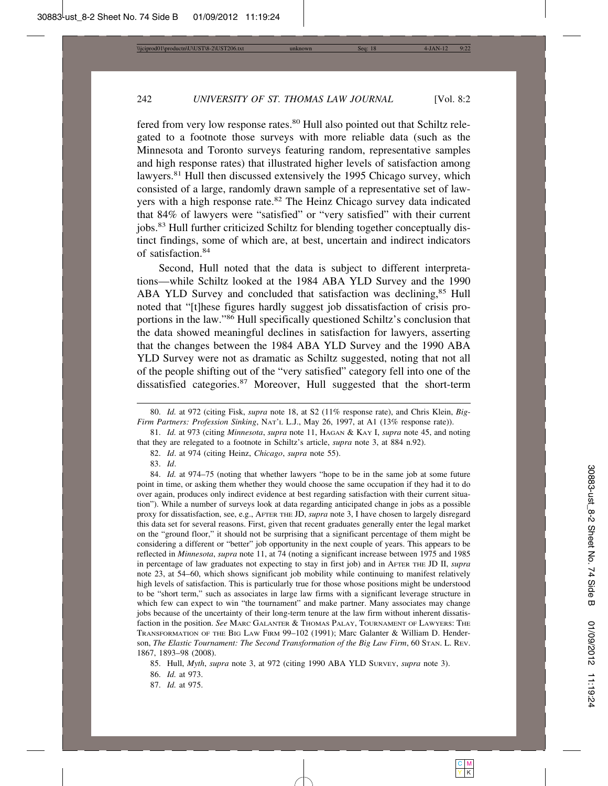fered from very low response rates.<sup>80</sup> Hull also pointed out that Schiltz relegated to a footnote those surveys with more reliable data (such as the Minnesota and Toronto surveys featuring random, representative samples and high response rates) that illustrated higher levels of satisfaction among lawyers.<sup>81</sup> Hull then discussed extensively the 1995 Chicago survey, which consisted of a large, randomly drawn sample of a representative set of lawyers with a high response rate.<sup>82</sup> The Heinz Chicago survey data indicated that 84% of lawyers were "satisfied" or "very satisfied" with their current jobs.<sup>83</sup> Hull further criticized Schiltz for blending together conceptually distinct findings, some of which are, at best, uncertain and indirect indicators of satisfaction.<sup>84</sup>

Second, Hull noted that the data is subject to different interpretations—while Schiltz looked at the 1984 ABA YLD Survey and the 1990 ABA YLD Survey and concluded that satisfaction was declining,<sup>85</sup> Hull noted that "[t]hese figures hardly suggest job dissatisfaction of crisis proportions in the law."86 Hull specifically questioned Schiltz's conclusion that the data showed meaningful declines in satisfaction for lawyers, asserting that the changes between the 1984 ABA YLD Survey and the 1990 ABA YLD Survey were not as dramatic as Schiltz suggested, noting that not all of the people shifting out of the "very satisfied" category fell into one of the dissatisfied categories.87 Moreover, Hull suggested that the short-term

82. *Id*. at 974 (citing Heinz, *Chicago*, *supra* note 55).

83. *Id*.

84. *Id.* at 974–75 (noting that whether lawyers "hope to be in the same job at some future point in time, or asking them whether they would choose the same occupation if they had it to do over again, produces only indirect evidence at best regarding satisfaction with their current situation"). While a number of surveys look at data regarding anticipated change in jobs as a possible proxy for dissatisfaction, see, e.g., AFTER THE JD, *supra* note 3, I have chosen to largely disregard this data set for several reasons. First, given that recent graduates generally enter the legal market on the "ground floor," it should not be surprising that a significant percentage of them might be considering a different or "better" job opportunity in the next couple of years. This appears to be reflected in *Minnesota*, *supra* note 11, at 74 (noting a significant increase between 1975 and 1985 in percentage of law graduates not expecting to stay in first job) and in AFTER THE JD II, *supra* note 23, at 54–60, which shows significant job mobility while continuing to manifest relatively high levels of satisfaction. This is particularly true for those whose positions might be understood to be "short term," such as associates in large law firms with a significant leverage structure in which few can expect to win "the tournament" and make partner. Many associates may change jobs because of the uncertainty of their long-term tenure at the law firm without inherent dissatisfaction in the position. *See* MARC GALANTER & THOMAS PALAY, TOURNAMENT OF LAWYERS: THE TRANSFORMATION OF THE BIG LAW FIRM 99–102 (1991); Marc Galanter & William D. Henderson, *The Elastic Tournament: The Second Transformation of the Big Law Firm*, 60 STAN. L. REV. 1867, 1893–98 (2008).

86. *Id.* at 973.

87. *Id.* at 975.

<sup>80.</sup> *Id.* at 972 (citing Fisk, *supra* note 18, at S2 (11% response rate), and Chris Klein, *Big-Firm Partners: Profession Sinking*, NAT'L L.J., May 26, 1997, at A1 (13% response rate)).

<sup>81.</sup> *Id.* at 973 (citing *Minnesota*, *supra* note 11, HAGAN & KAY I, *supra* note 45, and noting that they are relegated to a footnote in Schiltz's article, *supra* note 3, at 884 n.92).

<sup>85.</sup> Hull, *Myth*, *supra* note 3, at 972 (citing 1990 ABA YLD SURVEY, *supra* note 3).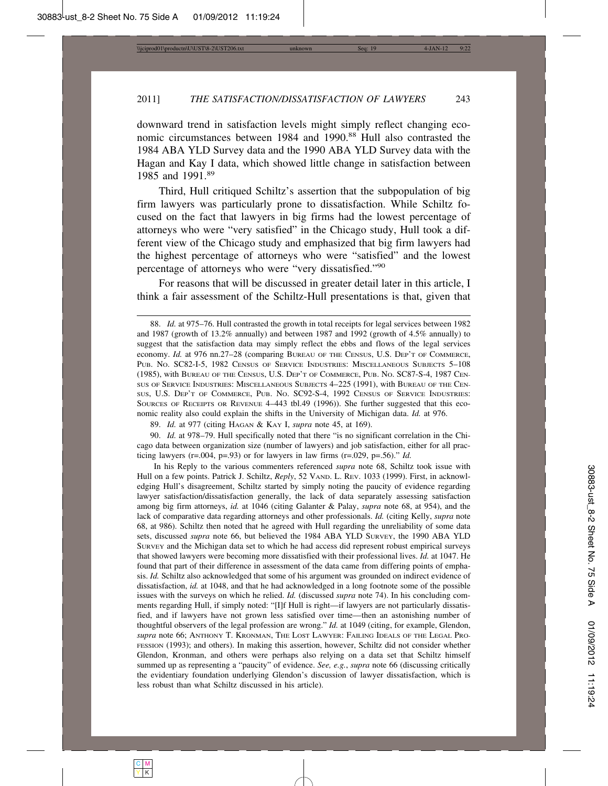downward trend in satisfaction levels might simply reflect changing economic circumstances between 1984 and 1990.<sup>88</sup> Hull also contrasted the 1984 ABA YLD Survey data and the 1990 ABA YLD Survey data with the Hagan and Kay I data, which showed little change in satisfaction between 1985 and 1991.<sup>89</sup>

Third, Hull critiqued Schiltz's assertion that the subpopulation of big firm lawyers was particularly prone to dissatisfaction. While Schiltz focused on the fact that lawyers in big firms had the lowest percentage of attorneys who were "very satisfied" in the Chicago study, Hull took a different view of the Chicago study and emphasized that big firm lawyers had the highest percentage of attorneys who were "satisfied" and the lowest percentage of attorneys who were "very dissatisfied."<sup>90</sup>

For reasons that will be discussed in greater detail later in this article, I think a fair assessment of the Schiltz-Hull presentations is that, given that

<sup>88.</sup> *Id.* at 975–76. Hull contrasted the growth in total receipts for legal services between 1982 and 1987 (growth of 13.2% annually) and between 1987 and 1992 (growth of 4.5% annually) to suggest that the satisfaction data may simply reflect the ebbs and flows of the legal services economy. *Id.* at 976 nn.27–28 (comparing BUREAU OF THE CENSUS, U.S. DEP'T OF COMMERCE, PUB. No. SC82-I-5, 1982 CENSUS OF SERVICE INDUSTRIES: MISCELLANEOUS SUBJECTS 5-108 (1985), with BUREAU OF THE CENSUS, U.S. DEP'T OF COMMERCE, PUB. NO. SC87-S-4, 1987 CEN-SUS OF SERVICE INDUSTRIES: MISCELLANEOUS SUBJECTS 4–225 (1991), with BUREAU OF THE CEN-SUS, U.S. DEP'T OF COMMERCE, PUB. NO. SC92-S-4, 1992 CENSUS OF SERVICE INDUSTRIES: SOURCES OF RECEIPTS OR REVENUE 4–443 tbl.49 (1996)). She further suggested that this economic reality also could explain the shifts in the University of Michigan data. *Id.* at 976.

<sup>89.</sup> *Id.* at 977 (citing HAGAN & KAY I, *supra* note 45, at 169).

<sup>90.</sup> *Id.* at 978–79. Hull specifically noted that there "is no significant correlation in the Chicago data between organization size (number of lawyers) and job satisfaction, either for all practicing lawyers ( $r = .004$ ,  $p = .93$ ) or for lawyers in law firms ( $r = .029$ ,  $p = .56$ )." *Id.* 

In his Reply to the various commenters referenced *supra* note 68, Schiltz took issue with Hull on a few points. Patrick J. Schiltz, Reply, 52 VAND. L. REV. 1033 (1999). First, in acknowledging Hull's disagreement, Schiltz started by simply noting the paucity of evidence regarding lawyer satisfaction/dissatisfaction generally, the lack of data separately assessing satisfaction among big firm attorneys, *id.* at 1046 (citing Galanter & Palay, *supra* note 68, at 954), and the lack of comparative data regarding attorneys and other professionals. *Id.* (citing Kelly, *supra* note 68, at 986). Schiltz then noted that he agreed with Hull regarding the unreliability of some data sets, discussed *supra* note 66, but believed the 1984 ABA YLD SURVEY, the 1990 ABA YLD SURVEY and the Michigan data set to which he had access did represent robust empirical surveys that showed lawyers were becoming more dissatisfied with their professional lives. *Id.* at 1047. He found that part of their difference in assessment of the data came from differing points of emphasis. *Id.* Schiltz also acknowledged that some of his argument was grounded on indirect evidence of dissatisfaction, *id.* at 1048, and that he had acknowledged in a long footnote some of the possible issues with the surveys on which he relied. *Id.* (discussed *supra* note 74). In his concluding comments regarding Hull, if simply noted: "[I]f Hull is right—if lawyers are not particularly dissatisfied, and if lawyers have not grown less satisfied over time—then an astonishing number of thoughtful observers of the legal profession are wrong." *Id.* at 1049 (citing, for example, Glendon, *supra* note 66; ANTHONY T. KRONMAN, THE LOST LAWYER: FAILING IDEALS OF THE LEGAL PRO-FESSION (1993); and others). In making this assertion, however, Schiltz did not consider whether Glendon, Kronman, and others were perhaps also relying on a data set that Schiltz himself summed up as representing a "paucity" of evidence. *See, e.g.*, *supra* note 66 (discussing critically the evidentiary foundation underlying Glendon's discussion of lawyer dissatisfaction, which is less robust than what Schiltz discussed in his article).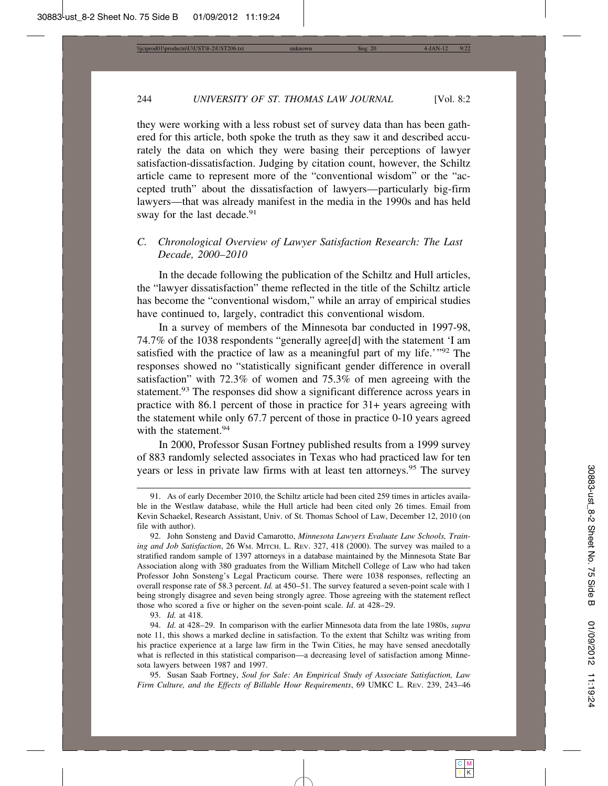they were working with a less robust set of survey data than has been gathered for this article, both spoke the truth as they saw it and described accurately the data on which they were basing their perceptions of lawyer satisfaction-dissatisfaction. Judging by citation count, however, the Schiltz article came to represent more of the "conventional wisdom" or the "accepted truth" about the dissatisfaction of lawyers—particularly big-firm lawyers—that was already manifest in the media in the 1990s and has held sway for the last decade.<sup>91</sup>

## *C. Chronological Overview of Lawyer Satisfaction Research: The Last Decade, 2000–2010*

In the decade following the publication of the Schiltz and Hull articles, the "lawyer dissatisfaction" theme reflected in the title of the Schiltz article has become the "conventional wisdom," while an array of empirical studies have continued to, largely, contradict this conventional wisdom.

In a survey of members of the Minnesota bar conducted in 1997-98, 74.7% of the 1038 respondents "generally agree[d] with the statement 'I am satisfied with the practice of law as a meaningful part of my life.'"<sup>92</sup> The responses showed no "statistically significant gender difference in overall satisfaction" with 72.3% of women and 75.3% of men agreeing with the statement.<sup>93</sup> The responses did show a significant difference across years in practice with 86.1 percent of those in practice for 31+ years agreeing with the statement while only 67.7 percent of those in practice 0-10 years agreed with the statement.<sup>94</sup>

In 2000, Professor Susan Fortney published results from a 1999 survey of 883 randomly selected associates in Texas who had practiced law for ten years or less in private law firms with at least ten attorneys.<sup>95</sup> The survey

93. *Id.* at 418.

<sup>91.</sup> As of early December 2010, the Schiltz article had been cited 259 times in articles available in the Westlaw database, while the Hull article had been cited only 26 times. Email from Kevin Schaekel, Research Assistant, Univ. of St. Thomas School of Law, December 12, 2010 (on file with author).

<sup>92.</sup> John Sonsteng and David Camarotto, *Minnesota Lawyers Evaluate Law Schools, Training and Job Satisfaction*, 26 WM. MITCH. L. REV. 327, 418 (2000). The survey was mailed to a stratified random sample of 1397 attorneys in a database maintained by the Minnesota State Bar Association along with 380 graduates from the William Mitchell College of Law who had taken Professor John Sonsteng's Legal Practicum course. There were 1038 responses, reflecting an overall response rate of 58.3 percent. *Id.* at 450–51. The survey featured a seven-point scale with 1 being strongly disagree and seven being strongly agree. Those agreeing with the statement reflect those who scored a five or higher on the seven-point scale. *Id*. at 428–29.

<sup>94.</sup> *Id.* at 428–29. In comparison with the earlier Minnesota data from the late 1980s, *supra* note 11, this shows a marked decline in satisfaction. To the extent that Schiltz was writing from his practice experience at a large law firm in the Twin Cities, he may have sensed anecdotally what is reflected in this statistical comparison—a decreasing level of satisfaction among Minnesota lawyers between 1987 and 1997.

<sup>95.</sup> Susan Saab Fortney, *Soul for Sale: An Empirical Study of Associate Satisfaction, Law Firm Culture, and the Effects of Billable Hour Requirements*, 69 UMKC L. REV. 239, 243–46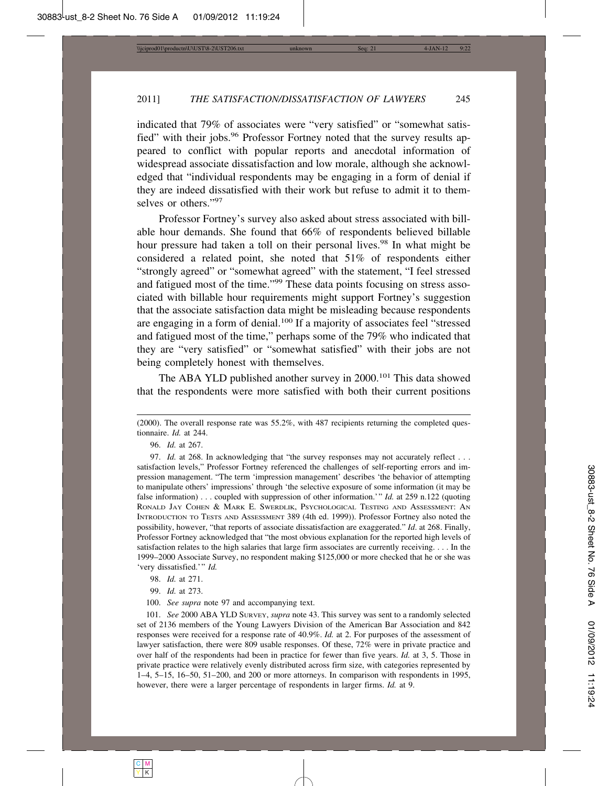indicated that 79% of associates were "very satisfied" or "somewhat satisfied" with their jobs.<sup>96</sup> Professor Fortney noted that the survey results appeared to conflict with popular reports and anecdotal information of widespread associate dissatisfaction and low morale, although she acknowledged that "individual respondents may be engaging in a form of denial if they are indeed dissatisfied with their work but refuse to admit it to themselves or others."97

Professor Fortney's survey also asked about stress associated with billable hour demands. She found that 66% of respondents believed billable hour pressure had taken a toll on their personal lives.<sup>98</sup> In what might be considered a related point, she noted that 51% of respondents either "strongly agreed" or "somewhat agreed" with the statement, "I feel stressed and fatigued most of the time."99 These data points focusing on stress associated with billable hour requirements might support Fortney's suggestion that the associate satisfaction data might be misleading because respondents are engaging in a form of denial.<sup>100</sup> If a majority of associates feel "stressed and fatigued most of the time," perhaps some of the 79% who indicated that they are "very satisfied" or "somewhat satisfied" with their jobs are not being completely honest with themselves.

The ABA YLD published another survey in 2000.101 This data showed that the respondents were more satisfied with both their current positions

98. *Id.* at 271.

100. *See supra* note 97 and accompanying text.

<sup>(2000).</sup> The overall response rate was 55.2%, with 487 recipients returning the completed questionnaire. *Id.* at 244.

<sup>96.</sup> *Id.* at 267.

<sup>97.</sup> *Id.* at 268. In acknowledging that "the survey responses may not accurately reflect . . . satisfaction levels," Professor Fortney referenced the challenges of self-reporting errors and impression management. "The term 'impression management' describes 'the behavior of attempting to manipulate others' impressions' through 'the selective exposure of some information (it may be false information) . . . coupled with suppression of other information.'" *Id.* at 259 n.122 (quoting RONALD JAY COHEN & MARK E. SWERDLIK, PSYCHOLOGICAL TESTING AND ASSESSMENT: AN INTRODUCTION TO TESTS AND ASSESSMENT 389 (4th ed. 1999)). Professor Fortney also noted the possibility, however, "that reports of associate dissatisfaction are exaggerated." *Id*. at 268. Finally, Professor Fortney acknowledged that "the most obvious explanation for the reported high levels of satisfaction relates to the high salaries that large firm associates are currently receiving. . . . In the 1999–2000 Associate Survey, no respondent making \$125,000 or more checked that he or she was 'very dissatisfied.'" *Id.*

<sup>99.</sup> *Id.* at 273.

<sup>101.</sup> *See* 2000 ABA YLD SURVEY, *supra* note 43. This survey was sent to a randomly selected set of 2136 members of the Young Lawyers Division of the American Bar Association and 842 responses were received for a response rate of 40.9%. *Id.* at 2. For purposes of the assessment of lawyer satisfaction, there were 809 usable responses. Of these, 72% were in private practice and over half of the respondents had been in practice for fewer than five years. *Id.* at 3, 5. Those in private practice were relatively evenly distributed across firm size, with categories represented by 1–4, 5–15, 16–50, 51–200, and 200 or more attorneys. In comparison with respondents in 1995, however, there were a larger percentage of respondents in larger firms. *Id.* at 9.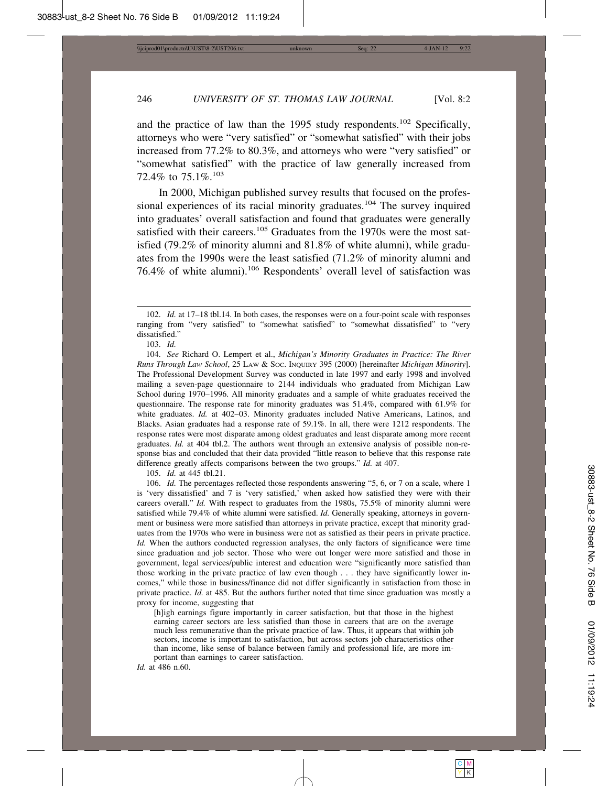and the practice of law than the 1995 study respondents.<sup>102</sup> Specifically, attorneys who were "very satisfied" or "somewhat satisfied" with their jobs increased from 77.2% to 80.3%, and attorneys who were "very satisfied" or "somewhat satisfied" with the practice of law generally increased from 72.4% to 75.1%.<sup>103</sup>

In 2000, Michigan published survey results that focused on the professional experiences of its racial minority graduates.<sup>104</sup> The survey inquired into graduates' overall satisfaction and found that graduates were generally satisfied with their careers.<sup>105</sup> Graduates from the 1970s were the most satisfied (79.2% of minority alumni and 81.8% of white alumni), while graduates from the 1990s were the least satisfied (71.2% of minority alumni and 76.4% of white alumni).106 Respondents' overall level of satisfaction was

103. *Id.*

104. *See* Richard O. Lempert et al., *Michigan's Minority Graduates in Practice: The River Runs Through Law School*, 25 LAW & SOC. INQUIRY 395 (2000) [hereinafter *Michigan Minority*]. The Professional Development Survey was conducted in late 1997 and early 1998 and involved mailing a seven-page questionnaire to 2144 individuals who graduated from Michigan Law School during 1970–1996. All minority graduates and a sample of white graduates received the questionnaire. The response rate for minority graduates was 51.4%, compared with 61.9% for white graduates. *Id.* at 402–03. Minority graduates included Native Americans, Latinos, and Blacks. Asian graduates had a response rate of 59.1%. In all, there were 1212 respondents. The response rates were most disparate among oldest graduates and least disparate among more recent graduates. *Id.* at 404 tbl.2. The authors went through an extensive analysis of possible non-response bias and concluded that their data provided "little reason to believe that this response rate difference greatly affects comparisons between the two groups." *Id.* at 407.

105. *Id.* at 445 tbl.21.

106. *Id.* The percentages reflected those respondents answering "5, 6, or 7 on a scale, where 1 is 'very dissatisfied' and 7 is 'very satisfied,' when asked how satisfied they were with their careers overall." *Id.* With respect to graduates from the 1980s, 75.5% of minority alumni were satisfied while 79.4% of white alumni were satisfied. *Id.* Generally speaking, attorneys in government or business were more satisfied than attorneys in private practice, except that minority graduates from the 1970s who were in business were not as satisfied as their peers in private practice. *Id.* When the authors conducted regression analyses, the only factors of significance were time since graduation and job sector. Those who were out longer were more satisfied and those in government, legal services/public interest and education were "significantly more satisfied than those working in the private practice of law even though . . . they have significantly lower incomes," while those in business/finance did not differ significantly in satisfaction from those in private practice. *Id.* at 485. But the authors further noted that time since graduation was mostly a proxy for income, suggesting that

[h]igh earnings figure importantly in career satisfaction, but that those in the highest earning career sectors are less satisfied than those in careers that are on the average much less remunerative than the private practice of law. Thus, it appears that within job sectors, income is important to satisfaction, but across sectors job characteristics other than income, like sense of balance between family and professional life, are more important than earnings to career satisfaction.

*Id.* at 486 n.60.

<sup>102.</sup> *Id.* at 17–18 tbl.14. In both cases, the responses were on a four-point scale with responses ranging from "very satisfied" to "somewhat satisfied" to "somewhat dissatisfied" to "very dissatisfied."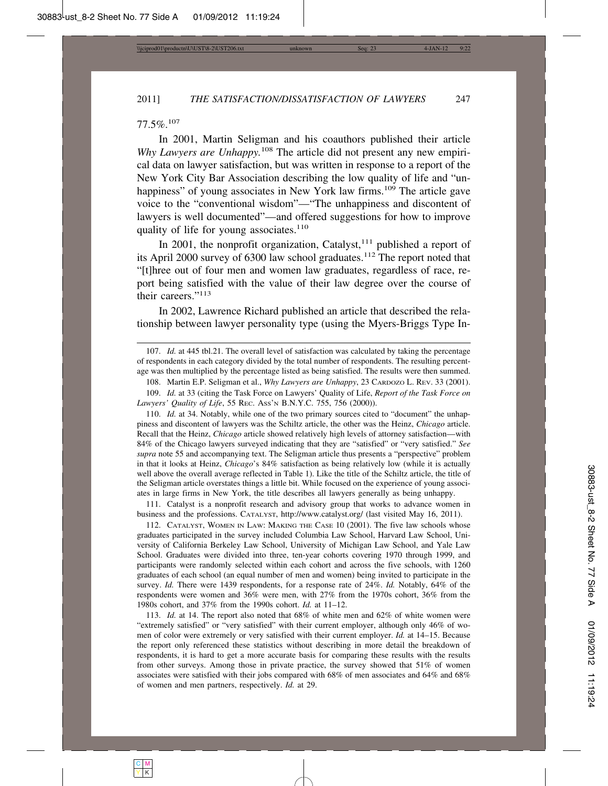#### 77.5%.<sup>107</sup>

In 2001, Martin Seligman and his coauthors published their article *Why Lawyers are Unhappy.*108 The article did not present any new empirical data on lawyer satisfaction, but was written in response to a report of the New York City Bar Association describing the low quality of life and "unhappiness" of young associates in New York law firms.<sup>109</sup> The article gave voice to the "conventional wisdom"—"The unhappiness and discontent of lawyers is well documented"—and offered suggestions for how to improve quality of life for young associates. $110$ 

In 2001, the nonprofit organization, Catalyst, $111$  published a report of its April 2000 survey of 6300 law school graduates.<sup>112</sup> The report noted that "[t]hree out of four men and women law graduates, regardless of race, report being satisfied with the value of their law degree over the course of their careers."113

In 2002, Lawrence Richard published an article that described the relationship between lawyer personality type (using the Myers-Briggs Type In-

110. *Id.* at 34. Notably, while one of the two primary sources cited to "document" the unhappiness and discontent of lawyers was the Schiltz article, the other was the Heinz, *Chicago* article. Recall that the Heinz, *Chicago* article showed relatively high levels of attorney satisfaction—with 84% of the Chicago lawyers surveyed indicating that they are "satisfied" or "very satisfied." *See supra* note 55 and accompanying text. The Seligman article thus presents a "perspective" problem in that it looks at Heinz, *Chicago*'s 84% satisfaction as being relatively low (while it is actually well above the overall average reflected in Table 1). Like the title of the Schiltz article, the title of the Seligman article overstates things a little bit. While focused on the experience of young associates in large firms in New York, the title describes all lawyers generally as being unhappy.

111. Catalyst is a nonprofit research and advisory group that works to advance women in business and the professions. CATALYST, http://www.catalyst.org/ (last visited May 16, 2011).

112. CATALYST, WOMEN IN LAW: MAKING THE CASE 10 (2001). The five law schools whose graduates participated in the survey included Columbia Law School, Harvard Law School, University of California Berkeley Law School, University of Michigan Law School, and Yale Law School. Graduates were divided into three, ten-year cohorts covering 1970 through 1999, and participants were randomly selected within each cohort and across the five schools, with 1260 graduates of each school (an equal number of men and women) being invited to participate in the survey. *Id.* There were 1439 respondents, for a response rate of 24%. *Id.* Notably, 64% of the respondents were women and 36% were men, with 27% from the 1970s cohort, 36% from the 1980s cohort, and 37% from the 1990s cohort. *Id.* at 11–12.

113. *Id.* at 14. The report also noted that 68% of white men and 62% of white women were "extremely satisfied" or "very satisfied" with their current employer, although only 46% of women of color were extremely or very satisfied with their current employer. *Id.* at 14–15. Because the report only referenced these statistics without describing in more detail the breakdown of respondents, it is hard to get a more accurate basis for comparing these results with the results from other surveys. Among those in private practice, the survey showed that 51% of women associates were satisfied with their jobs compared with 68% of men associates and 64% and 68% of women and men partners, respectively. *Id.* at 29.

<sup>107.</sup> *Id.* at 445 tbl.21. The overall level of satisfaction was calculated by taking the percentage of respondents in each category divided by the total number of respondents. The resulting percentage was then multiplied by the percentage listed as being satisfied. The results were then summed.

<sup>108.</sup> Martin E.P. Seligman et al., *Why Lawyers are Unhappy*, 23 CARDOZO L. REV. 33 (2001).

<sup>109.</sup> *Id.* at 33 (citing the Task Force on Lawyers' Quality of Life, *Report of the Task Force on Lawyers' Quality of Life*, 55 REC. ASS'N B.N.Y.C. 755, 756 (2000)).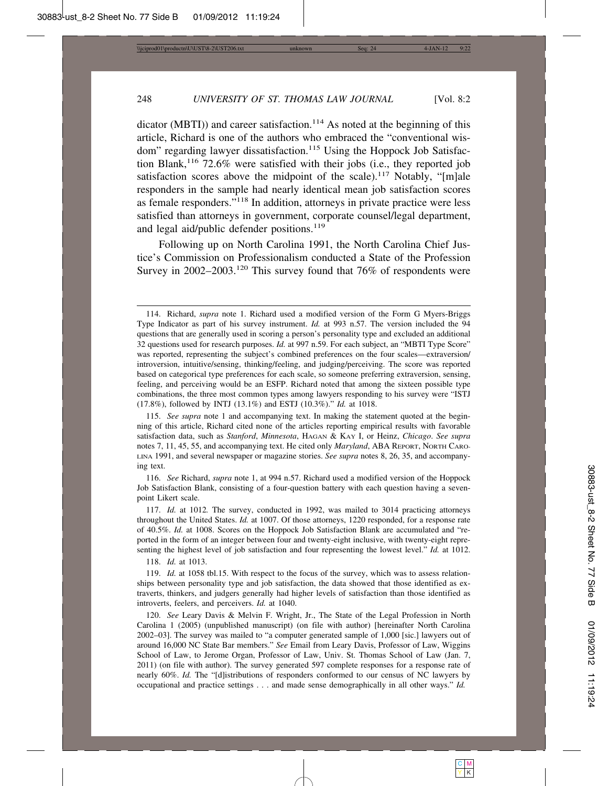dicator (MBTI)) and career satisfaction.<sup>114</sup> As noted at the beginning of this article, Richard is one of the authors who embraced the "conventional wisdom" regarding lawyer dissatisfaction.<sup>115</sup> Using the Hoppock Job Satisfaction Blank,<sup>116</sup> 72.6% were satisfied with their jobs (i.e., they reported job satisfaction scores above the midpoint of the scale).<sup>117</sup> Notably, "[m]ale responders in the sample had nearly identical mean job satisfaction scores as female responders."118 In addition, attorneys in private practice were less satisfied than attorneys in government, corporate counsel/legal department, and legal aid/public defender positions.<sup>119</sup>

Following up on North Carolina 1991, the North Carolina Chief Justice's Commission on Professionalism conducted a State of the Profession Survey in 2002–2003.<sup>120</sup> This survey found that 76% of respondents were

116. *See* Richard, *supra* note 1, at 994 n.57. Richard used a modified version of the Hoppock Job Satisfaction Blank, consisting of a four-question battery with each question having a sevenpoint Likert scale.

117. *Id.* at 1012*.* The survey, conducted in 1992, was mailed to 3014 practicing attorneys throughout the United States. *Id.* at 1007. Of those attorneys, 1220 responded, for a response rate of 40.5%. *Id.* at 1008. Scores on the Hoppock Job Satisfaction Blank are accumulated and "reported in the form of an integer between four and twenty-eight inclusive, with twenty-eight representing the highest level of job satisfaction and four representing the lowest level." *Id.* at 1012.

118. *Id.* at 1013.

119. *Id.* at 1058 tbl.15. With respect to the focus of the survey, which was to assess relationships between personality type and job satisfaction, the data showed that those identified as extraverts, thinkers, and judgers generally had higher levels of satisfaction than those identified as introverts, feelers, and perceivers. *Id.* at 1040.

120. *See* Leary Davis & Melvin F. Wright, Jr., The State of the Legal Profession in North Carolina 1 (2005) (unpublished manuscript) (on file with author) [hereinafter North Carolina 2002–03]. The survey was mailed to "a computer generated sample of 1,000 [sic.] lawyers out of around 16,000 NC State Bar members." *See* Email from Leary Davis, Professor of Law, Wiggins School of Law, to Jerome Organ, Professor of Law, Univ. St. Thomas School of Law (Jan. 7, 2011) (on file with author). The survey generated 597 complete responses for a response rate of nearly 60%. *Id.* The "[d]istributions of responders conformed to our census of NC lawyers by occupational and practice settings . . . and made sense demographically in all other ways." *Id.*

<sup>114.</sup> Richard, *supra* note 1. Richard used a modified version of the Form G Myers-Briggs Type Indicator as part of his survey instrument. *Id.* at 993 n.57. The version included the 94 questions that are generally used in scoring a person's personality type and excluded an additional 32 questions used for research purposes. *Id.* at 997 n.59. For each subject, an "MBTI Type Score" was reported, representing the subject's combined preferences on the four scales—extraversion/ introversion, intuitive/sensing, thinking/feeling, and judging/perceiving. The score was reported based on categorical type preferences for each scale, so someone preferring extraversion, sensing, feeling, and perceiving would be an ESFP. Richard noted that among the sixteen possible type combinations, the three most common types among lawyers responding to his survey were "ISTJ (17.8%), followed by INTJ (13.1%) and ESTJ (10.3%)." *Id.* at 1018.

<sup>115.</sup> *See supra* note 1 and accompanying text. In making the statement quoted at the beginning of this article, Richard cited none of the articles reporting empirical results with favorable satisfaction data, such as *Stanford*, *Minnesota*, HAGAN & KAY I, or Heinz, *Chicago*. *See supra* notes 7, 11, 45, 55, and accompanying text. He cited only *Maryland*, ABA REPORT, NORTH CARO-LINA 1991, and several newspaper or magazine stories. *See supra* notes 8, 26, 35, and accompanying text.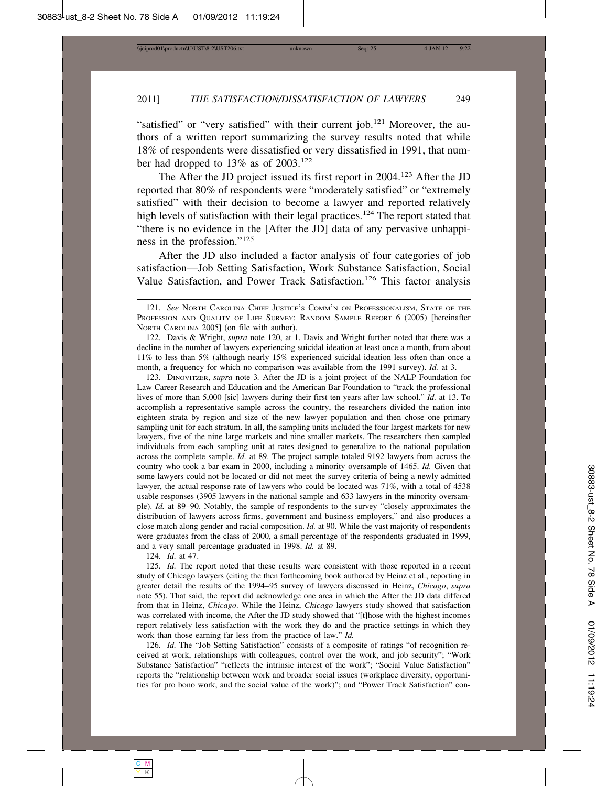"satisfied" or "very satisfied" with their current job.<sup>121</sup> Moreover, the authors of a written report summarizing the survey results noted that while 18% of respondents were dissatisfied or very dissatisfied in 1991, that number had dropped to 13% as of 2003.<sup>122</sup>

The After the JD project issued its first report in 2004.123 After the JD reported that 80% of respondents were "moderately satisfied" or "extremely satisfied" with their decision to become a lawyer and reported relatively high levels of satisfaction with their legal practices.<sup>124</sup> The report stated that "there is no evidence in the [After the JD] data of any pervasive unhappiness in the profession."125

After the JD also included a factor analysis of four categories of job satisfaction—Job Setting Satisfaction, Work Substance Satisfaction, Social Value Satisfaction, and Power Track Satisfaction.126 This factor analysis

123. DINOVITZER, *supra* note 3*.* After the JD is a joint project of the NALP Foundation for Law Career Research and Education and the American Bar Foundation to "track the professional lives of more than 5,000 [sic] lawyers during their first ten years after law school." *Id.* at 13. To accomplish a representative sample across the country, the researchers divided the nation into eighteen strata by region and size of the new lawyer population and then chose one primary sampling unit for each stratum. In all, the sampling units included the four largest markets for new lawyers, five of the nine large markets and nine smaller markets. The researchers then sampled individuals from each sampling unit at rates designed to generalize to the national population across the complete sample. *Id.* at 89. The project sample totaled 9192 lawyers from across the country who took a bar exam in 2000, including a minority oversample of 1465. *Id.* Given that some lawyers could not be located or did not meet the survey criteria of being a newly admitted lawyer, the actual response rate of lawyers who could be located was 71%, with a total of 4538 usable responses (3905 lawyers in the national sample and 633 lawyers in the minority oversample). *Id.* at 89–90. Notably, the sample of respondents to the survey "closely approximates the distribution of lawyers across firms, government and business employers," and also produces a close match along gender and racial composition. *Id.* at 90. While the vast majority of respondents were graduates from the class of 2000, a small percentage of the respondents graduated in 1999, and a very small percentage graduated in 1998. *Id.* at 89.

124. *Id.* at 47.

125. *Id.* The report noted that these results were consistent with those reported in a recent study of Chicago lawyers (citing the then forthcoming book authored by Heinz et al., reporting in greater detail the results of the 1994–95 survey of lawyers discussed in Heinz, *Chicago*, *supra* note 55). That said, the report did acknowledge one area in which the After the JD data differed from that in Heinz, *Chicago*. While the Heinz, *Chicago* lawyers study showed that satisfaction was correlated with income, the After the JD study showed that "[t]hose with the highest incomes report relatively less satisfaction with the work they do and the practice settings in which they work than those earning far less from the practice of law." *Id.*

126. *Id.* The "Job Setting Satisfaction" consists of a composite of ratings "of recognition received at work, relationships with colleagues, control over the work, and job security"; "Work Substance Satisfaction" "reflects the intrinsic interest of the work"; "Social Value Satisfaction" reports the "relationship between work and broader social issues (workplace diversity, opportunities for pro bono work, and the social value of the work)"; and "Power Track Satisfaction" con-

<sup>121.</sup> *See* NORTH CAROLINA CHIEF JUSTICE'S COMM'N ON PROFESSIONALISM, STATE OF THE PROFESSION AND QUALITY OF LIFE SURVEY: RANDOM SAMPLE REPORT 6 (2005) [hereinafter NORTH CAROLINA 2005] (on file with author).

<sup>122.</sup> Davis & Wright, *supra* note 120, at 1. Davis and Wright further noted that there was a decline in the number of lawyers experiencing suicidal ideation at least once a month, from about 11% to less than 5% (although nearly 15% experienced suicidal ideation less often than once a month, a frequency for which no comparison was available from the 1991 survey). *Id.* at 3.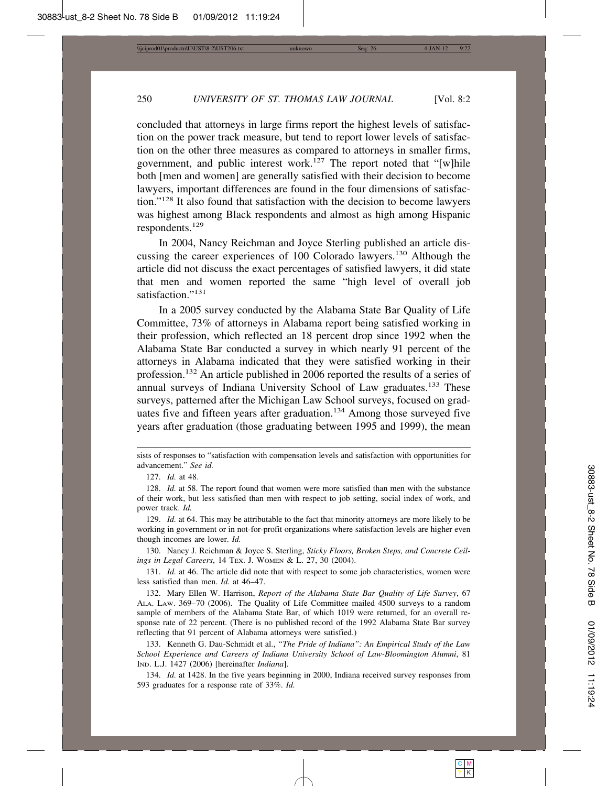concluded that attorneys in large firms report the highest levels of satisfaction on the power track measure, but tend to report lower levels of satisfaction on the other three measures as compared to attorneys in smaller firms, government, and public interest work.<sup>127</sup> The report noted that "[w]hile both [men and women] are generally satisfied with their decision to become lawyers, important differences are found in the four dimensions of satisfaction."128 It also found that satisfaction with the decision to become lawyers was highest among Black respondents and almost as high among Hispanic respondents.<sup>129</sup>

In 2004, Nancy Reichman and Joyce Sterling published an article discussing the career experiences of 100 Colorado lawyers.130 Although the article did not discuss the exact percentages of satisfied lawyers, it did state that men and women reported the same "high level of overall job satisfaction."<sup>131</sup>

In a 2005 survey conducted by the Alabama State Bar Quality of Life Committee, 73% of attorneys in Alabama report being satisfied working in their profession, which reflected an 18 percent drop since 1992 when the Alabama State Bar conducted a survey in which nearly 91 percent of the attorneys in Alabama indicated that they were satisfied working in their profession.132 An article published in 2006 reported the results of a series of annual surveys of Indiana University School of Law graduates.<sup>133</sup> These surveys, patterned after the Michigan Law School surveys, focused on graduates five and fifteen years after graduation.<sup>134</sup> Among those surveyed five years after graduation (those graduating between 1995 and 1999), the mean

sists of responses to "satisfaction with compensation levels and satisfaction with opportunities for advancement." *See id.*

<sup>127.</sup> *Id.* at 48.

<sup>128.</sup> *Id.* at 58. The report found that women were more satisfied than men with the substance of their work, but less satisfied than men with respect to job setting, social index of work, and power track. *Id.*

<sup>129.</sup> *Id.* at 64. This may be attributable to the fact that minority attorneys are more likely to be working in government or in not-for-profit organizations where satisfaction levels are higher even though incomes are lower. *Id.*

<sup>130.</sup> Nancy J. Reichman & Joyce S. Sterling, *Sticky Floors, Broken Steps, and Concrete Ceilings in Legal Careers*, 14 TEX. J. WOMEN & L. 27, 30 (2004).

<sup>131.</sup> *Id.* at 46. The article did note that with respect to some job characteristics, women were less satisfied than men. *Id.* at 46–47.

<sup>132.</sup> Mary Ellen W. Harrison, *Report of the Alabama State Bar Quality of Life Survey*, 67 ALA. LAW. 369–70 (2006). The Quality of Life Committee mailed 4500 surveys to a random sample of members of the Alabama State Bar, of which 1019 were returned, for an overall response rate of 22 percent. (There is no published record of the 1992 Alabama State Bar survey reflecting that 91 percent of Alabama attorneys were satisfied.)

<sup>133.</sup> Kenneth G. Dau-Schmidt et al., *"The Pride of Indiana": An Empirical Study of the Law School Experience and Careers of Indiana University School of Law-Bloomington Alumni*, 81 IND. L.J. 1427 (2006) [hereinafter *Indiana*].

<sup>134.</sup> *Id.* at 1428. In the five years beginning in 2000, Indiana received survey responses from 593 graduates for a response rate of 33%. *Id.*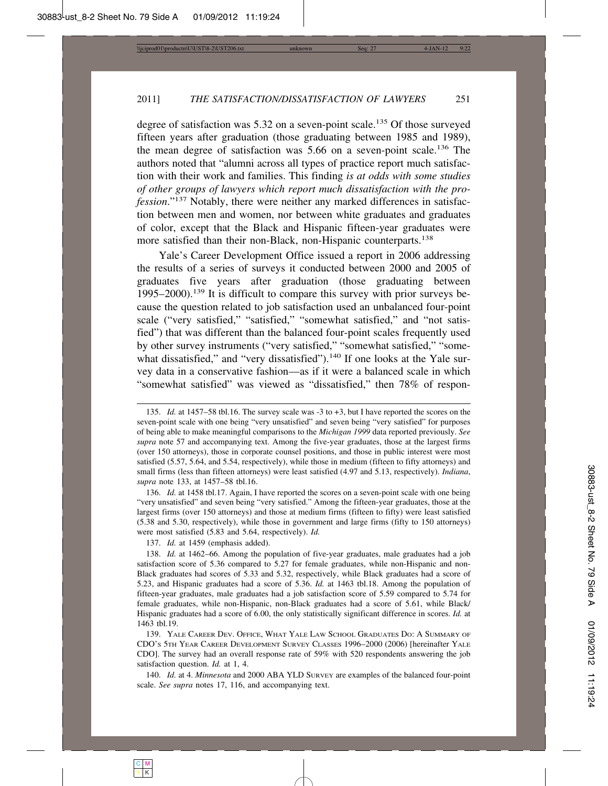degree of satisfaction was 5.32 on a seven-point scale.135 Of those surveyed fifteen years after graduation (those graduating between 1985 and 1989), the mean degree of satisfaction was 5.66 on a seven-point scale.136 The authors noted that "alumni across all types of practice report much satisfaction with their work and families. This finding *is at odds with some studies of other groups of lawyers which report much dissatisfaction with the profession*."137 Notably, there were neither any marked differences in satisfaction between men and women, nor between white graduates and graduates of color, except that the Black and Hispanic fifteen-year graduates were more satisfied than their non-Black, non-Hispanic counterparts.<sup>138</sup>

Yale's Career Development Office issued a report in 2006 addressing the results of a series of surveys it conducted between 2000 and 2005 of graduates five years after graduation (those graduating between 1995–2000).139 It is difficult to compare this survey with prior surveys because the question related to job satisfaction used an unbalanced four-point scale ("very satisfied," "satisfied," "somewhat satisfied," and "not satisfied") that was different than the balanced four-point scales frequently used by other survey instruments ("very satisfied," "somewhat satisfied," "somewhat dissatisfied," and "very dissatisfied"). $140$  If one looks at the Yale survey data in a conservative fashion—as if it were a balanced scale in which "somewhat satisfied" was viewed as "dissatisfied," then 78% of respon-

136. *Id.* at 1458 tbl.17. Again, I have reported the scores on a seven-point scale with one being "very unsatisfied" and seven being "very satisfied." Among the fifteen-year graduates, those at the largest firms (over 150 attorneys) and those at medium firms (fifteen to fifty) were least satisfied (5.38 and 5.30, respectively), while those in government and large firms (fifty to 150 attorneys) were most satisfied (5.83 and 5.64, respectively). *Id.*

<sup>135.</sup> *Id.* at 1457–58 tbl.16. The survey scale was -3 to +3, but I have reported the scores on the seven-point scale with one being "very unsatisfied" and seven being "very satisfied" for purposes of being able to make meaningful comparisons to the *Michigan 1999* data reported previously. *See supra* note 57 and accompanying text. Among the five-year graduates, those at the largest firms (over 150 attorneys), those in corporate counsel positions, and those in public interest were most satisfied (5.57, 5.64, and 5.54, respectively), while those in medium (fifteen to fifty attorneys) and small firms (less than fifteen attorneys) were least satisfied (4.97 and 5.13, respectively). *Indiana*, *supra* note 133, at 1457–58 tbl.16.

<sup>137.</sup> *Id.* at 1459 (emphasis added).

<sup>138.</sup> *Id.* at 1462–66. Among the population of five-year graduates, male graduates had a job satisfaction score of 5.36 compared to 5.27 for female graduates, while non-Hispanic and non-Black graduates had scores of 5.33 and 5.32, respectively, while Black graduates had a score of 5.23, and Hispanic graduates had a score of 5.36. *Id.* at 1463 tbl.18. Among the population of fifteen-year graduates, male graduates had a job satisfaction score of 5.59 compared to 5.74 for female graduates, while non-Hispanic, non-Black graduates had a score of 5.61, while Black/ Hispanic graduates had a score of 6.00, the only statistically significant difference in scores. *Id.* at 1463 tbl.19.

<sup>139.</sup> YALE CAREER DEV. OFFICE, WHAT YALE LAW SCHOOL GRADUATES DO: A SUMMARY OF CDO'S 5TH YEAR CAREER DEVELOPMENT SURVEY CLASSES 1996–2000 (2006) [hereinafter YALE CDO]. The survey had an overall response rate of 59% with 520 respondents answering the job satisfaction question. *Id.* at 1, 4.

<sup>140.</sup> *Id.* at 4. *Minnesota* and 2000 ABA YLD SURVEY are examples of the balanced four-point scale. *See supra* notes 17, 116, and accompanying text.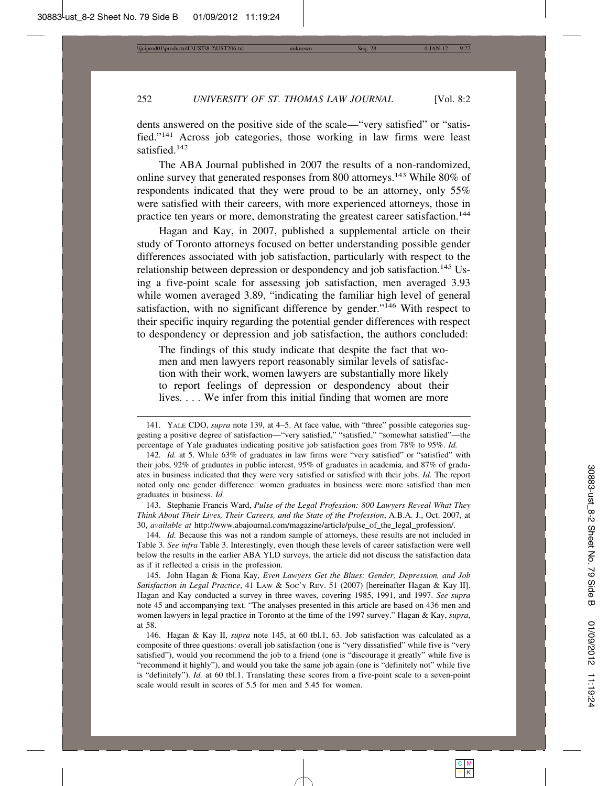dents answered on the positive side of the scale—"very satisfied" or "satisfied."141 Across job categories, those working in law firms were least satisfied.<sup>142</sup>

The ABA Journal published in 2007 the results of a non-randomized, online survey that generated responses from 800 attorneys.143 While 80% of respondents indicated that they were proud to be an attorney, only 55% were satisfied with their careers, with more experienced attorneys, those in practice ten years or more, demonstrating the greatest career satisfaction.<sup>144</sup>

Hagan and Kay, in 2007, published a supplemental article on their study of Toronto attorneys focused on better understanding possible gender differences associated with job satisfaction, particularly with respect to the relationship between depression or despondency and job satisfaction.<sup>145</sup> Using a five-point scale for assessing job satisfaction, men averaged 3.93 while women averaged 3.89, "indicating the familiar high level of general satisfaction, with no significant difference by gender."146 With respect to their specific inquiry regarding the potential gender differences with respect to despondency or depression and job satisfaction, the authors concluded:

The findings of this study indicate that despite the fact that women and men lawyers report reasonably similar levels of satisfaction with their work, women lawyers are substantially more likely to report feelings of depression or despondency about their lives. . . . We infer from this initial finding that women are more

143. Stephanie Francis Ward, *Pulse of the Legal Profession: 800 Lawyers Reveal What They Think About Their Lives, Their Careers, and the State of the Profession*, A.B.A. J., Oct. 2007, at 30, *available at* http://www.abajournal.com/magazine/article/pulse\_of\_the\_legal\_profession/.

144. *Id.* Because this was not a random sample of attorneys, these results are not included in Table 3. *See infra* Table 3. Interestingly, even though these levels of career satisfaction were well below the results in the earlier ABA YLD surveys, the article did not discuss the satisfaction data as if it reflected a crisis in the profession.

145. John Hagan & Fiona Kay, *Even Lawyers Get the Blues: Gender, Depression, and Job Satisfaction in Legal Practice*, 41 LAW & SOC'Y REV. 51 (2007) [hereinafter Hagan & Kay II]. Hagan and Kay conducted a survey in three waves, covering 1985, 1991, and 1997. *See supra* note 45 and accompanying text. "The analyses presented in this article are based on 436 men and women lawyers in legal practice in Toronto at the time of the 1997 survey." Hagan & Kay, *supra*, at 58.

146. Hagan & Kay II, *supra* note 145, at 60 tbl.1, 63. Job satisfaction was calculated as a composite of three questions: overall job satisfaction (one is "very dissatisfied" while five is "very satisfied"), would you recommend the job to a friend (one is "discourage it greatly" while five is "recommend it highly"), and would you take the same job again (one is "definitely not" while five is "definitely"). *Id.* at 60 tbl.1. Translating these scores from a five-point scale to a seven-point scale would result in scores of 5.5 for men and 5.45 for women.

<sup>141.</sup> YALE CDO, *supra* note 139, at 4–5. At face value, with "three" possible categories suggesting a positive degree of satisfaction—"very satisfied," "satisfied," "somewhat satisfied"—the percentage of Yale graduates indicating positive job satisfaction goes from 78% to 95%. *Id.*

<sup>142.</sup> *Id.* at 5. While 63% of graduates in law firms were "very satisfied" or "satisfied" with their jobs, 92% of graduates in public interest, 95% of graduates in academia, and 87% of graduates in business indicated that they were very satisfied or satisfied with their jobs. *Id.* The report noted only one gender difference: women graduates in business were more satisfied than men graduates in business. *Id.*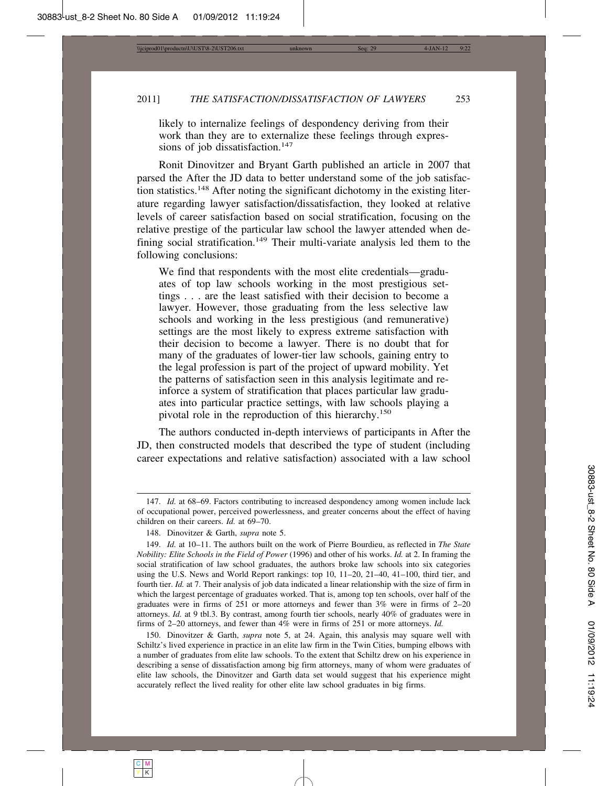likely to internalize feelings of despondency deriving from their work than they are to externalize these feelings through expressions of job dissatisfaction.<sup>147</sup>

Ronit Dinovitzer and Bryant Garth published an article in 2007 that parsed the After the JD data to better understand some of the job satisfaction statistics.148 After noting the significant dichotomy in the existing literature regarding lawyer satisfaction/dissatisfaction, they looked at relative levels of career satisfaction based on social stratification, focusing on the relative prestige of the particular law school the lawyer attended when defining social stratification.<sup>149</sup> Their multi-variate analysis led them to the following conclusions:

We find that respondents with the most elite credentials—graduates of top law schools working in the most prestigious settings . . . are the least satisfied with their decision to become a lawyer. However, those graduating from the less selective law schools and working in the less prestigious (and remunerative) settings are the most likely to express extreme satisfaction with their decision to become a lawyer. There is no doubt that for many of the graduates of lower-tier law schools, gaining entry to the legal profession is part of the project of upward mobility. Yet the patterns of satisfaction seen in this analysis legitimate and reinforce a system of stratification that places particular law graduates into particular practice settings, with law schools playing a pivotal role in the reproduction of this hierarchy.<sup>150</sup>

The authors conducted in-depth interviews of participants in After the JD, then constructed models that described the type of student (including career expectations and relative satisfaction) associated with a law school

150. Dinovitzer & Garth, *supra* note 5, at 24. Again, this analysis may square well with Schiltz's lived experience in practice in an elite law firm in the Twin Cities, bumping elbows with a number of graduates from elite law schools. To the extent that Schiltz drew on his experience in describing a sense of dissatisfaction among big firm attorneys, many of whom were graduates of elite law schools, the Dinovitzer and Garth data set would suggest that his experience might accurately reflect the lived reality for other elite law school graduates in big firms.

<sup>147.</sup> *Id.* at 68–69. Factors contributing to increased despondency among women include lack of occupational power, perceived powerlessness, and greater concerns about the effect of having children on their careers. *Id.* at 69–70.

<sup>148.</sup> Dinovitzer & Garth, *supra* note 5.

<sup>149.</sup> *Id.* at 10–11. The authors built on the work of Pierre Bourdieu, as reflected in *The State Nobility: Elite Schools in the Field of Power* (1996) and other of his works. *Id.* at 2. In framing the social stratification of law school graduates, the authors broke law schools into six categories using the U.S. News and World Report rankings: top 10, 11–20, 21–40, 41–100, third tier, and fourth tier. *Id.* at 7. Their analysis of job data indicated a linear relationship with the size of firm in which the largest percentage of graduates worked. That is, among top ten schools, over half of the graduates were in firms of 251 or more attorneys and fewer than 3% were in firms of 2–20 attorneys. *Id.* at 9 tbl.3. By contrast, among fourth tier schools, nearly 40% of graduates were in firms of 2–20 attorneys, and fewer than 4% were in firms of 251 or more attorneys. *Id.*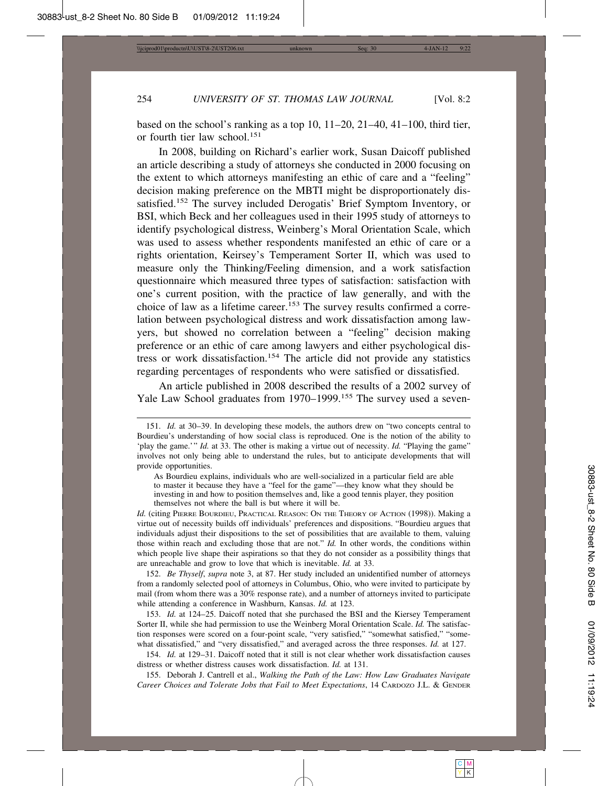based on the school's ranking as a top 10, 11–20, 21–40, 41–100, third tier, or fourth tier law school.<sup>151</sup>

In 2008, building on Richard's earlier work, Susan Daicoff published an article describing a study of attorneys she conducted in 2000 focusing on the extent to which attorneys manifesting an ethic of care and a "feeling" decision making preference on the MBTI might be disproportionately dissatisfied.<sup>152</sup> The survey included Derogatis' Brief Symptom Inventory, or BSI, which Beck and her colleagues used in their 1995 study of attorneys to identify psychological distress, Weinberg's Moral Orientation Scale, which was used to assess whether respondents manifested an ethic of care or a rights orientation, Keirsey's Temperament Sorter II, which was used to measure only the Thinking/Feeling dimension, and a work satisfaction questionnaire which measured three types of satisfaction: satisfaction with one's current position, with the practice of law generally, and with the choice of law as a lifetime career.<sup>153</sup> The survey results confirmed a correlation between psychological distress and work dissatisfaction among lawyers, but showed no correlation between a "feeling" decision making preference or an ethic of care among lawyers and either psychological distress or work dissatisfaction.<sup>154</sup> The article did not provide any statistics regarding percentages of respondents who were satisfied or dissatisfied.

An article published in 2008 described the results of a 2002 survey of Yale Law School graduates from 1970–1999.<sup>155</sup> The survey used a seven-

Id. (citing PIERRE BOURDIEU, PRACTICAL REASON: ON THE THEORY OF ACTION (1998)). Making a virtue out of necessity builds off individuals' preferences and dispositions. "Bourdieu argues that individuals adjust their dispositions to the set of possibilities that are available to them, valuing those within reach and excluding those that are not." *Id*. In other words, the conditions within which people live shape their aspirations so that they do not consider as a possibility things that are unreachable and grow to love that which is inevitable. *Id.* at 33.

152. *Be Thyself*, *supra* note 3, at 87. Her study included an unidentified number of attorneys from a randomly selected pool of attorneys in Columbus, Ohio, who were invited to participate by mail (from whom there was a 30% response rate), and a number of attorneys invited to participate while attending a conference in Washburn, Kansas. *Id.* at 123.

153. *Id.* at 124–25. Daicoff noted that she purchased the BSI and the Kiersey Temperament Sorter II, while she had permission to use the Weinberg Moral Orientation Scale. *Id.* The satisfaction responses were scored on a four-point scale, "very satisfied," "somewhat satisfied," "somewhat dissatisfied," and "very dissatisfied," and averaged across the three responses. *Id.* at 127.

154. *Id.* at 129–31. Daicoff noted that it still is not clear whether work dissatisfaction causes distress or whether distress causes work dissatisfaction. *Id.* at 131.

155. Deborah J. Cantrell et al., *Walking the Path of the Law: How Law Graduates Navigate Career Choices and Tolerate Jobs that Fail to Meet Expectations*, 14 CARDOZO J.L. & GENDER

<sup>151.</sup> *Id.* at 30–39. In developing these models, the authors drew on "two concepts central to Bourdieu's understanding of how social class is reproduced. One is the notion of the ability to 'play the game.'" *Id.* at 33. The other is making a virtue out of necessity. *Id.* "Playing the game" involves not only being able to understand the rules, but to anticipate developments that will provide opportunities.

As Bourdieu explains, individuals who are well-socialized in a particular field are able to master it because they have a "feel for the game"—they know what they should be investing in and how to position themselves and, like a good tennis player, they position themselves not where the ball is but where it will be.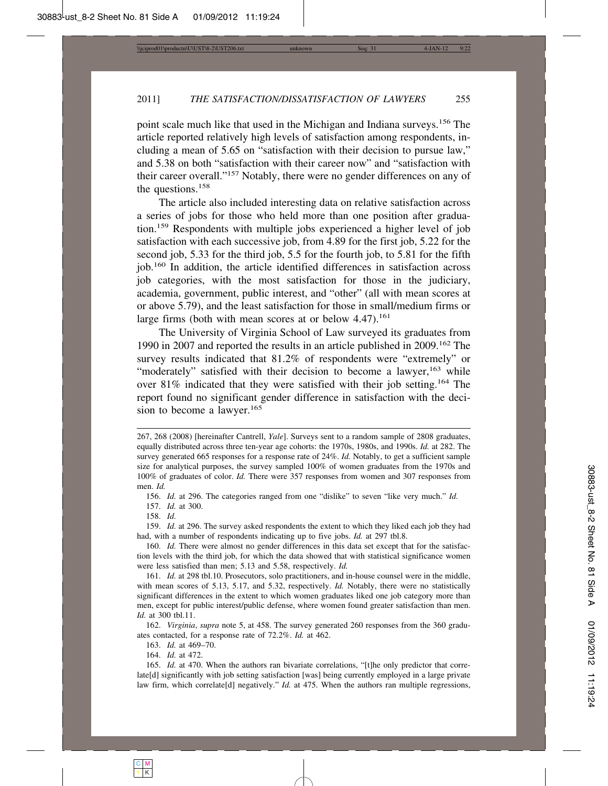point scale much like that used in the Michigan and Indiana surveys.156 The article reported relatively high levels of satisfaction among respondents, including a mean of 5.65 on "satisfaction with their decision to pursue law," and 5.38 on both "satisfaction with their career now" and "satisfaction with their career overall."157 Notably, there were no gender differences on any of the questions.<sup>158</sup>

The article also included interesting data on relative satisfaction across a series of jobs for those who held more than one position after graduation.159 Respondents with multiple jobs experienced a higher level of job satisfaction with each successive job, from 4.89 for the first job, 5.22 for the second job, 5.33 for the third job, 5.5 for the fourth job, to 5.81 for the fifth job.160 In addition, the article identified differences in satisfaction across job categories, with the most satisfaction for those in the judiciary, academia, government, public interest, and "other" (all with mean scores at or above 5.79), and the least satisfaction for those in small/medium firms or large firms (both with mean scores at or below  $4.47$ ).<sup>161</sup>

The University of Virginia School of Law surveyed its graduates from 1990 in 2007 and reported the results in an article published in 2009.162 The survey results indicated that 81.2% of respondents were "extremely" or "moderately" satisfied with their decision to become a lawyer,<sup>163</sup> while over 81% indicated that they were satisfied with their job setting.164 The report found no significant gender difference in satisfaction with the decision to become a lawyer.<sup>165</sup>

162. *Virginia*, *supra* note 5, at 458. The survey generated 260 responses from the 360 graduates contacted, for a response rate of 72.2%. *Id.* at 462.

163. *Id.* at 469–70.

164. *Id.* at 472.

<sup>267, 268 (2008) [</sup>hereinafter Cantrell, *Yale*]. Surveys sent to a random sample of 2808 graduates, equally distributed across three ten-year age cohorts: the 1970s, 1980s, and 1990s. *Id.* at 282. The survey generated 665 responses for a response rate of 24%. *Id.* Notably, to get a sufficient sample size for analytical purposes, the survey sampled 100% of women graduates from the 1970s and 100% of graduates of color. *Id.* There were 357 responses from women and 307 responses from men. *Id.*

<sup>156.</sup> *Id.* at 296. The categories ranged from one "dislike" to seven "like very much." *Id.*

<sup>157.</sup> *Id.* at 300.

<sup>158.</sup> *Id.*

<sup>159.</sup> *Id.* at 296. The survey asked respondents the extent to which they liked each job they had had, with a number of respondents indicating up to five jobs. *Id.* at 297 tbl.8.

<sup>160.</sup> *Id.* There were almost no gender differences in this data set except that for the satisfaction levels with the third job, for which the data showed that with statistical significance women were less satisfied than men; 5.13 and 5.58, respectively. *Id.*

<sup>161.</sup> *Id.* at 298 tbl.10. Prosecutors, solo practitioners, and in-house counsel were in the middle, with mean scores of 5.13, 5.17, and 5.32, respectively. *Id.* Notably, there were no statistically significant differences in the extent to which women graduates liked one job category more than men, except for public interest/public defense, where women found greater satisfaction than men. *Id.* at 300 tbl.11.

<sup>165.</sup> *Id.* at 470. When the authors ran bivariate correlations, "[t]he only predictor that correlate[d] significantly with job setting satisfaction [was] being currently employed in a large private law firm, which correlate[d] negatively." *Id.* at 475. When the authors ran multiple regressions,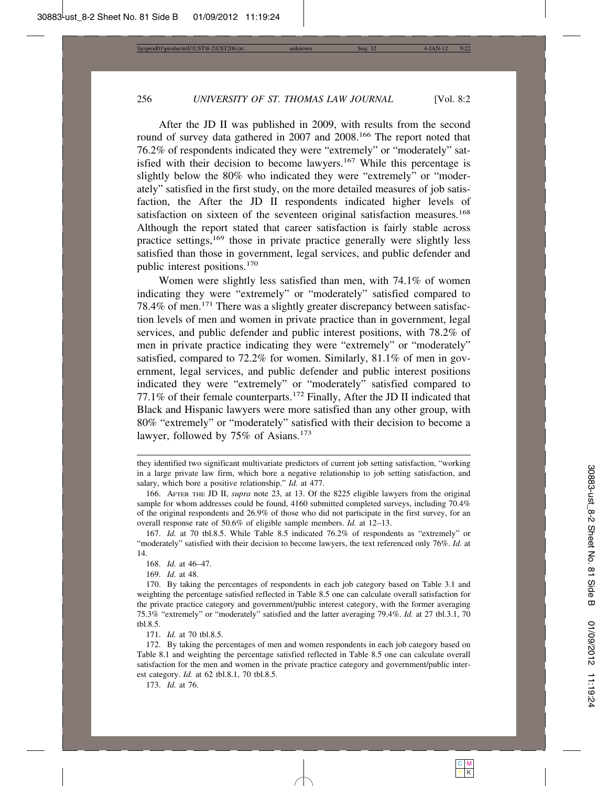After the JD II was published in 2009, with results from the second round of survey data gathered in 2007 and 2008.166 The report noted that 76.2% of respondents indicated they were "extremely" or "moderately" satisfied with their decision to become lawyers.<sup>167</sup> While this percentage is slightly below the 80% who indicated they were "extremely" or "moderately" satisfied in the first study, on the more detailed measures of job satisfaction, the After the JD II respondents indicated higher levels of satisfaction on sixteen of the seventeen original satisfaction measures.<sup>168</sup> Although the report stated that career satisfaction is fairly stable across practice settings,<sup>169</sup> those in private practice generally were slightly less satisfied than those in government, legal services, and public defender and public interest positions.<sup>170</sup>

Women were slightly less satisfied than men, with 74.1% of women indicating they were "extremely" or "moderately" satisfied compared to 78.4% of men.171 There was a slightly greater discrepancy between satisfaction levels of men and women in private practice than in government, legal services, and public defender and public interest positions, with 78.2% of men in private practice indicating they were "extremely" or "moderately" satisfied, compared to 72.2% for women. Similarly, 81.1% of men in government, legal services, and public defender and public interest positions indicated they were "extremely" or "moderately" satisfied compared to 77.1% of their female counterparts.172 Finally, After the JD II indicated that Black and Hispanic lawyers were more satisfied than any other group, with 80% "extremely" or "moderately" satisfied with their decision to become a lawyer, followed by 75% of Asians.<sup>173</sup>

169. *Id.* at 48.

171. *Id.* at 70 tbl.8.5.

173. *Id.* at 76.

they identified two significant multivariate predictors of current job setting satisfaction, "working in a large private law firm, which bore a negative relationship to job setting satisfaction, and salary, which bore a positive relationship." *Id.* at 477.

<sup>166.</sup> AFTER THE JD II, *supra* note 23, at 13. Of the 8225 eligible lawyers from the original sample for whom addresses could be found, 4160 submitted completed surveys, including 70.4% of the original respondents and 26.9% of those who did not participate in the first survey, for an overall response rate of 50.6% of eligible sample members. *Id.* at 12–13.

<sup>167.</sup> *Id.* at 70 tbl.8.5. While Table 8.5 indicated 76.2% of respondents as "extremely" or "moderately" satisfied with their decision to become lawyers, the text referenced only 76%. *Id.* at 14.

<sup>168.</sup> *Id.* at 46–47*.*

<sup>170.</sup> By taking the percentages of respondents in each job category based on Table 3.1 and weighting the percentage satisfied reflected in Table 8.5 one can calculate overall satisfaction for the private practice category and government/public interest category, with the former averaging 75.3% "extremely" or "moderately" satisfied and the latter averaging 79.4%. *Id.* at 27 tbl.3.1, 70 tbl.8.5.

<sup>172.</sup> By taking the percentages of men and women respondents in each job category based on Table 8.1 and weighting the percentage satisfied reflected in Table 8.5 one can calculate overall satisfaction for the men and women in the private practice category and government/public interest category. *Id.* at 62 tbl.8.1, 70 tbl.8.5.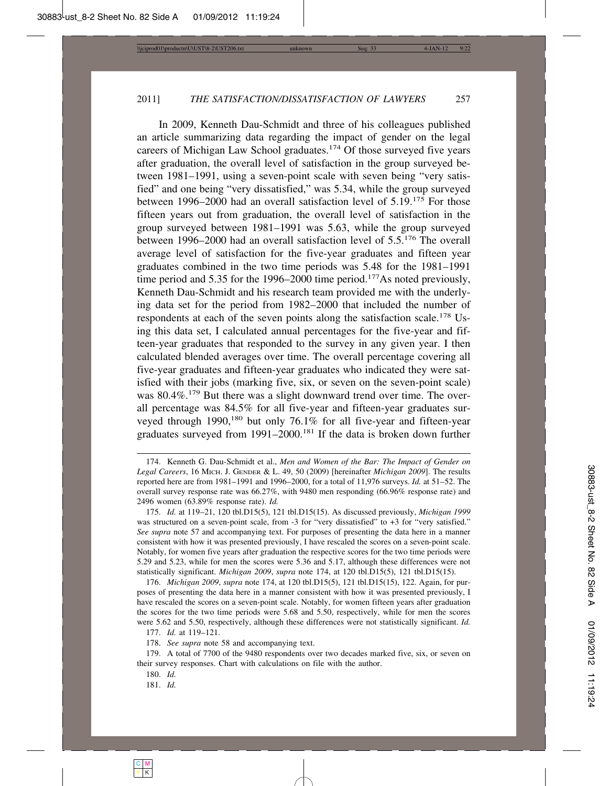In 2009, Kenneth Dau-Schmidt and three of his colleagues published an article summarizing data regarding the impact of gender on the legal careers of Michigan Law School graduates.<sup>174</sup> Of those surveyed five years after graduation, the overall level of satisfaction in the group surveyed between 1981–1991, using a seven-point scale with seven being "very satisfied" and one being "very dissatisfied," was 5.34, while the group surveyed between 1996–2000 had an overall satisfaction level of 5.19.175 For those fifteen years out from graduation, the overall level of satisfaction in the group surveyed between 1981–1991 was 5.63, while the group surveyed between 1996–2000 had an overall satisfaction level of 5.5.176 The overall average level of satisfaction for the five-year graduates and fifteen year graduates combined in the two time periods was 5.48 for the 1981–1991 time period and 5.35 for the 1996–2000 time period.<sup>177</sup>As noted previously, Kenneth Dau-Schmidt and his research team provided me with the underlying data set for the period from 1982–2000 that included the number of respondents at each of the seven points along the satisfaction scale.<sup>178</sup> Using this data set, I calculated annual percentages for the five-year and fifteen-year graduates that responded to the survey in any given year. I then calculated blended averages over time. The overall percentage covering all five-year graduates and fifteen-year graduates who indicated they were satisfied with their jobs (marking five, six, or seven on the seven-point scale) was 80.4%.<sup>179</sup> But there was a slight downward trend over time. The overall percentage was 84.5% for all five-year and fifteen-year graduates surveyed through 1990,<sup>180</sup> but only 76.1% for all five-year and fifteen-year graduates surveyed from 1991–2000.181 If the data is broken down further

177. *Id.* at 119–121.

178. *See supra* note 58 and accompanying text.

181. *Id.*

<sup>174.</sup> Kenneth G. Dau-Schmidt et al., *Men and Women of the Bar: The Impact of Gender on Legal Careers*, 16 MICH. J. GENDER & L. 49, 50 (2009) [hereinafter *Michigan 2009*]. The results reported here are from 1981–1991 and 1996–2000, for a total of 11,976 surveys. *Id.* at 51–52. The overall survey response rate was 66.27%, with 9480 men responding (66.96% response rate) and 2496 women (63.89% response rate). *Id.*

<sup>175.</sup> *Id.* at 119–21, 120 tbl.D15(5), 121 tbl.D15(15). As discussed previously, *Michigan 1999* was structured on a seven-point scale, from -3 for "very dissatisfied" to +3 for "very satisfied." *See supra* note 57 and accompanying text. For purposes of presenting the data here in a manner consistent with how it was presented previously, I have rescaled the scores on a seven-point scale. Notably, for women five years after graduation the respective scores for the two time periods were 5.29 and 5.23, while for men the scores were 5.36 and 5.17, although these differences were not statistically significant. *Michigan 2009*, *supra* note 174, at 120 tbl.D15(5), 121 tbl.D15(15).

<sup>176.</sup> *Michigan 2009*, *supra* note 174, at 120 tbl.D15(5), 121 tbl.D15(15), 122. Again, for purposes of presenting the data here in a manner consistent with how it was presented previously, I have rescaled the scores on a seven-point scale. Notably, for women fifteen years after graduation the scores for the two time periods were 5.68 and 5.50, respectively, while for men the scores were 5.62 and 5.50, respectively, although these differences were not statistically significant. *Id.*

<sup>179.</sup> A total of 7700 of the 9480 respondents over two decades marked five, six, or seven on their survey responses. Chart with calculations on file with the author.

<sup>180.</sup> *Id.*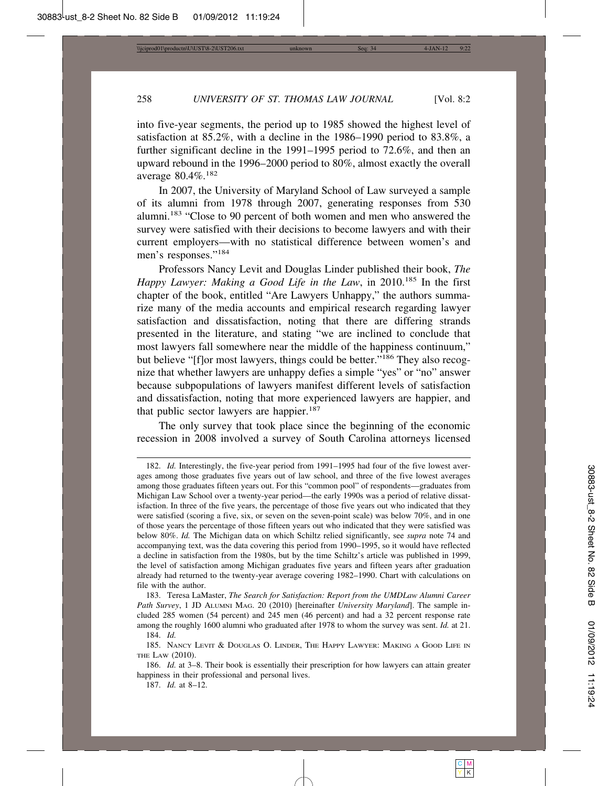into five-year segments, the period up to 1985 showed the highest level of satisfaction at 85.2%, with a decline in the 1986–1990 period to 83.8%, a further significant decline in the 1991–1995 period to 72.6%, and then an upward rebound in the 1996–2000 period to 80%, almost exactly the overall average 80.4%.<sup>182</sup>

In 2007, the University of Maryland School of Law surveyed a sample of its alumni from 1978 through 2007, generating responses from 530 alumni.183 "Close to 90 percent of both women and men who answered the survey were satisfied with their decisions to become lawyers and with their current employers—with no statistical difference between women's and men's responses."<sup>184</sup>

Professors Nancy Levit and Douglas Linder published their book, *The Happy Lawyer: Making a Good Life in the Law*, in 2010.<sup>185</sup> In the first chapter of the book, entitled "Are Lawyers Unhappy," the authors summarize many of the media accounts and empirical research regarding lawyer satisfaction and dissatisfaction, noting that there are differing strands presented in the literature, and stating "we are inclined to conclude that most lawyers fall somewhere near the middle of the happiness continuum," but believe "[f]or most lawyers, things could be better."186 They also recognize that whether lawyers are unhappy defies a simple "yes" or "no" answer because subpopulations of lawyers manifest different levels of satisfaction and dissatisfaction, noting that more experienced lawyers are happier, and that public sector lawyers are happier.<sup>187</sup>

The only survey that took place since the beginning of the economic recession in 2008 involved a survey of South Carolina attorneys licensed

183. Teresa LaMaster, *The Search for Satisfaction: Report from the UMDLaw Alumni Career Path Survey*, 1 JD ALUMNI MAG. 20 (2010) [hereinafter *University Maryland*]. The sample included 285 women (54 percent) and 245 men (46 percent) and had a 32 percent response rate among the roughly 1600 alumni who graduated after 1978 to whom the survey was sent. *Id.* at 21. 184. *Id.*

<sup>182.</sup> *Id.* Interestingly, the five-year period from 1991–1995 had four of the five lowest averages among those graduates five years out of law school, and three of the five lowest averages among those graduates fifteen years out. For this "common pool" of respondents—graduates from Michigan Law School over a twenty-year period—the early 1990s was a period of relative dissatisfaction. In three of the five years, the percentage of those five years out who indicated that they were satisfied (scoring a five, six, or seven on the seven-point scale) was below 70%, and in one of those years the percentage of those fifteen years out who indicated that they were satisfied was below 80%. *Id.* The Michigan data on which Schiltz relied significantly, see *supra* note 74 and accompanying text, was the data covering this period from 1990–1995, so it would have reflected a decline in satisfaction from the 1980s, but by the time Schiltz's article was published in 1999, the level of satisfaction among Michigan graduates five years and fifteen years after graduation already had returned to the twenty-year average covering 1982–1990. Chart with calculations on file with the author.

<sup>185.</sup> NANCY LEVIT & DOUGLAS O. LINDER, THE HAPPY LAWYER: MAKING A GOOD LIFE IN THE LAW (2010).

<sup>186.</sup> *Id.* at 3–8. Their book is essentially their prescription for how lawyers can attain greater happiness in their professional and personal lives.

<sup>187.</sup> *Id.* at 8–12.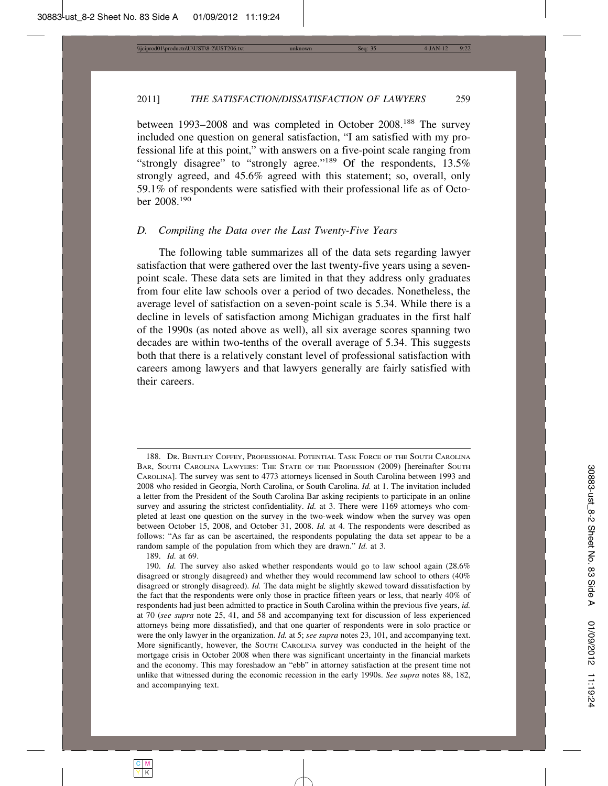between 1993–2008 and was completed in October 2008.188 The survey included one question on general satisfaction, "I am satisfied with my professional life at this point," with answers on a five-point scale ranging from "strongly disagree" to "strongly agree."<sup>189</sup> Of the respondents, 13.5% strongly agreed, and 45.6% agreed with this statement; so, overall, only 59.1% of respondents were satisfied with their professional life as of October 2008.190

#### *D. Compiling the Data over the Last Twenty-Five Years*

The following table summarizes all of the data sets regarding lawyer satisfaction that were gathered over the last twenty-five years using a sevenpoint scale. These data sets are limited in that they address only graduates from four elite law schools over a period of two decades. Nonetheless, the average level of satisfaction on a seven-point scale is 5.34. While there is a decline in levels of satisfaction among Michigan graduates in the first half of the 1990s (as noted above as well), all six average scores spanning two decades are within two-tenths of the overall average of 5.34. This suggests both that there is a relatively constant level of professional satisfaction with careers among lawyers and that lawyers generally are fairly satisfied with their careers.

189. *Id.* at 69.

<sup>188.</sup> DR. BENTLEY COFFEY, PROFESSIONAL POTENTIAL TASK FORCE OF THE SOUTH CAROLINA BAR, SOUTH CAROLINA LAWYERS: THE STATE OF THE PROFESSION (2009) [hereinafter SOUTH CAROLINA]. The survey was sent to 4773 attorneys licensed in South Carolina between 1993 and 2008 who resided in Georgia, North Carolina, or South Carolina. *Id.* at 1. The invitation included a letter from the President of the South Carolina Bar asking recipients to participate in an online survey and assuring the strictest confidentiality. *Id.* at 3. There were 1169 attorneys who completed at least one question on the survey in the two-week window when the survey was open between October 15, 2008, and October 31, 2008. *Id.* at 4. The respondents were described as follows: "As far as can be ascertained, the respondents populating the data set appear to be a random sample of the population from which they are drawn." *Id.* at 3.

<sup>190.</sup> *Id.* The survey also asked whether respondents would go to law school again (28.6% disagreed or strongly disagreed) and whether they would recommend law school to others (40% disagreed or strongly disagreed). *Id.* The data might be slightly skewed toward dissatisfaction by the fact that the respondents were only those in practice fifteen years or less, that nearly 40% of respondents had just been admitted to practice in South Carolina within the previous five years, *id.* at 70 (*see supra* note 25, 41, and 58 and accompanying text for discussion of less experienced attorneys being more dissatisfied), and that one quarter of respondents were in solo practice or were the only lawyer in the organization. *Id.* at 5; *see supra* notes 23, 101, and accompanying text. More significantly, however, the SOUTH CAROLINA survey was conducted in the height of the mortgage crisis in October 2008 when there was significant uncertainty in the financial markets and the economy. This may foreshadow an "ebb" in attorney satisfaction at the present time not unlike that witnessed during the economic recession in the early 1990s. *See supra* notes 88, 182, and accompanying text.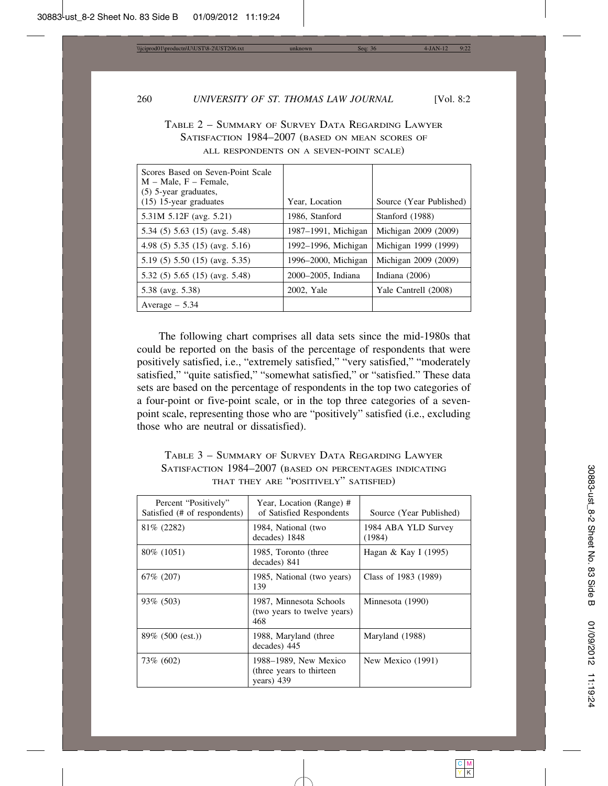| Scores Based on Seven-Point Scale<br>$M - Male$ , $F - Female$ ,<br>$(5)$ 5-year graduates, |                     |                         |
|---------------------------------------------------------------------------------------------|---------------------|-------------------------|
| $(15)$ 15-year graduates                                                                    | Year, Location      | Source (Year Published) |
| 5.31M 5.12F (avg. 5.21)                                                                     | 1986, Stanford      | Stanford (1988)         |
| 5.34 (5) 5.63 (15) (avg. 5.48)                                                              | 1987–1991, Michigan | Michigan 2009 (2009)    |
| 4.98 (5) $5.35$ (15) (avg. 5.16)                                                            | 1992–1996, Michigan | Michigan 1999 (1999)    |
| 5.19 (5) 5.50 (15) (avg. 5.35)                                                              | 1996–2000, Michigan | Michigan 2009 (2009)    |
| $5.32(5) 5.65(15)$ (avg. 5.48)                                                              | 2000-2005, Indiana  | Indiana $(2006)$        |
| 5.38 (avg. 5.38)                                                                            | 2002, Yale          | Yale Cantrell (2008)    |
| Average $-5.34$                                                                             |                     |                         |

TABLE 2 – SUMMARY OF SURVEY DATA REGARDING LAWYER SATISFACTION 1984–2007 (BASED ON MEAN SCORES OF ALL RESPONDENTS ON A SEVEN-POINT SCALE)

The following chart comprises all data sets since the mid-1980s that could be reported on the basis of the percentage of respondents that were positively satisfied, i.e., "extremely satisfied," "very satisfied," "moderately satisfied," "quite satisfied," "somewhat satisfied," or "satisfied." These data sets are based on the percentage of respondents in the top two categories of a four-point or five-point scale, or in the top three categories of a sevenpoint scale, representing those who are "positively" satisfied (i.e., excluding those who are neutral or dissatisfied).

TABLE 3 – SUMMARY OF SURVEY DATA REGARDING LAWYER SATISFACTION 1984–2007 (BASED ON PERCENTAGES INDICATING THAT THEY ARE "POSITIVELY" SATISFIED)

| Percent "Positively"<br>Satisfied (# of respondents) | Year, Location (Range) #<br>of Satisfied Respondents             | Source (Year Published)       |
|------------------------------------------------------|------------------------------------------------------------------|-------------------------------|
| 81\% (2282)                                          | 1984, National (two<br>decades) 1848                             | 1984 ABA YLD Survey<br>(1984) |
| 80\% (1051)                                          | 1985, Toronto (three<br>decades) 841                             | Hagan & Kay I (1995)          |
| 67\% (207)                                           | 1985, National (two years)<br>139                                | Class of 1983 (1989)          |
| 93\% (503)                                           | 1987, Minnesota Schools<br>(two years to twelve years)<br>468    | Minnesota (1990)              |
| $89\%$ (500 (est.))                                  | 1988, Maryland (three<br>decades) 445                            | Maryland (1988)               |
| 73\% (602)                                           | 1988–1989, New Mexico<br>(three years to thirteen)<br>years) 439 | New Mexico (1991)             |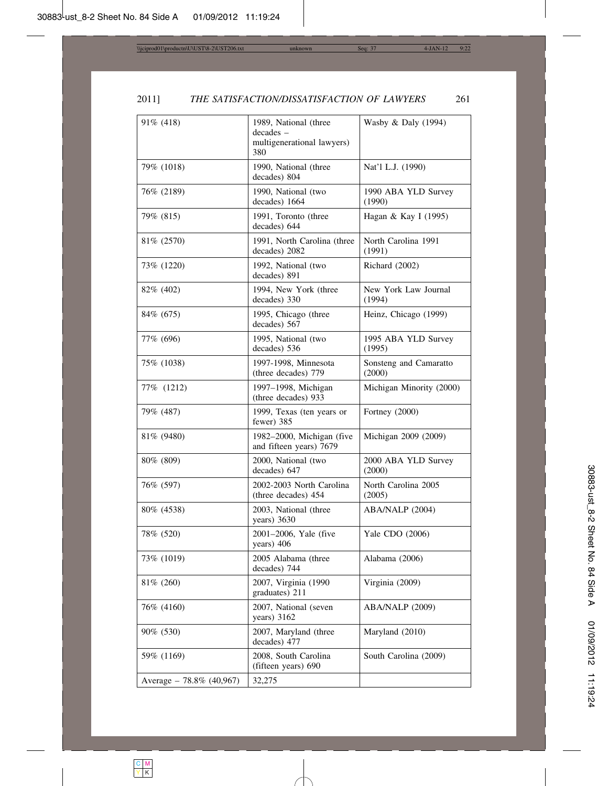| 91% (418)                | 1989, National (three<br>decades -<br>multigenerational lawyers)<br>380 | Wasby & Daly (1994)              |
|--------------------------|-------------------------------------------------------------------------|----------------------------------|
| 79% (1018)               | 1990, National (three<br>decades) 804                                   | Nat'l L.J. (1990)                |
| 76% (2189)               | 1990, National (two<br>decades) 1664                                    | 1990 ABA YLD Survey<br>(1990)    |
| 79% (815)                | 1991, Toronto (three<br>decades) 644                                    | Hagan & Kay I (1995)             |
| 81\% (2570)              | 1991, North Carolina (three<br>decades) 2082                            | North Carolina 1991<br>(1991)    |
| 73% (1220)               | 1992, National (two<br>decades) 891                                     | Richard (2002)                   |
| 82\% (402)               | 1994, New York (three<br>decades) 330                                   | New York Law Journal<br>(1994)   |
| 84\% (675)               | 1995, Chicago (three<br>decades) 567                                    | Heinz, Chicago (1999)            |
| 77\% (696)               | 1995, National (two<br>decades) 536                                     | 1995 ABA YLD Survey<br>(1995)    |
| 75% (1038)               | 1997-1998, Minnesota<br>(three decades) 779                             | Sonsteng and Camaratto<br>(2000) |
| 77% (1212)               | 1997-1998, Michigan<br>(three decades) 933                              | Michigan Minority (2000)         |
| 79% (487)                | 1999, Texas (ten years or<br>fewer) 385                                 | Fortney (2000)                   |
| 81\% (9480)              | 1982-2000, Michigan (five<br>and fifteen years) 7679                    | Michigan 2009 (2009)             |
| 80\% (809)               | 2000, National (two<br>decades) 647                                     | 2000 ABA YLD Survey<br>(2000)    |
| 76% (597)                | 2002-2003 North Carolina<br>(three decades) 454                         | North Carolina 2005<br>(2005)    |
| 80\% (4538)              | 2003, National (three<br>years) 3630                                    | ABA/NALP (2004)                  |
| 78% (520)                | 2001-2006, Yale (five<br>years) 406                                     | Yale CDO (2006)                  |
| 73% (1019)               | 2005 Alabama (three<br>decades) 744                                     | Alabama (2006)                   |
| 81% (260)                | 2007, Virginia (1990<br>graduates) 211                                  | Virginia (2009)                  |
| 76% (4160)               | 2007, National (seven<br>years) 3162                                    | ABA/NALP (2009)                  |
| 90% (530)                | 2007, Maryland (three<br>decades) 477                                   | Maryland (2010)                  |
| 59% (1169)               | 2008, South Carolina<br>(fifteen years) 690                             | South Carolina (2009)            |
| Average - 78.8% (40,967) | 32,275                                                                  |                                  |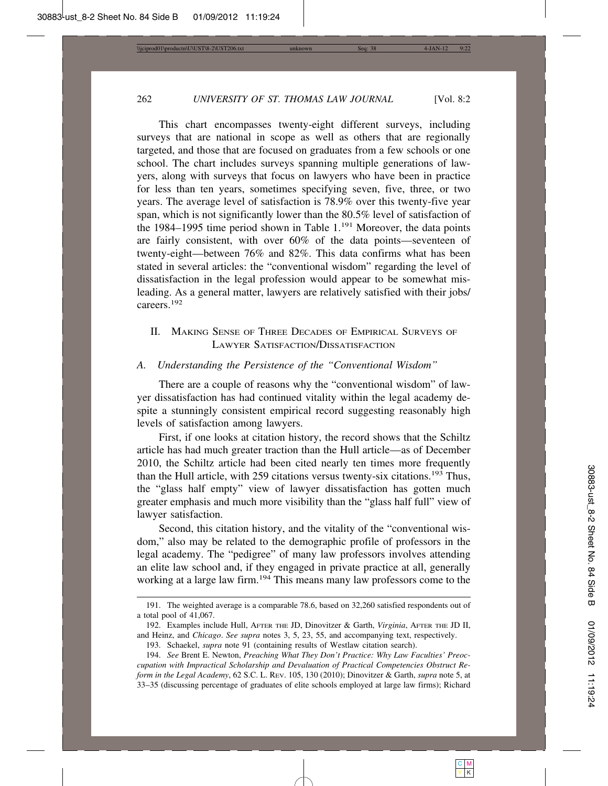This chart encompasses twenty-eight different surveys, including surveys that are national in scope as well as others that are regionally targeted, and those that are focused on graduates from a few schools or one school. The chart includes surveys spanning multiple generations of lawyers, along with surveys that focus on lawyers who have been in practice for less than ten years, sometimes specifying seven, five, three, or two years. The average level of satisfaction is 78.9% over this twenty-five year span, which is not significantly lower than the 80.5% level of satisfaction of the 1984–1995 time period shown in Table  $1.^{191}$  Moreover, the data points are fairly consistent, with over 60% of the data points—seventeen of twenty-eight—between 76% and 82%. This data confirms what has been stated in several articles: the "conventional wisdom" regarding the level of dissatisfaction in the legal profession would appear to be somewhat misleading. As a general matter, lawyers are relatively satisfied with their jobs/ careers.192

# II. MAKING SENSE OF THREE DECADES OF EMPIRICAL SURVEYS OF LAWYER SATISFACTION/DISSATISFACTION

# *A. Understanding the Persistence of the "Conventional Wisdom"*

There are a couple of reasons why the "conventional wisdom" of lawyer dissatisfaction has had continued vitality within the legal academy despite a stunningly consistent empirical record suggesting reasonably high levels of satisfaction among lawyers.

First, if one looks at citation history, the record shows that the Schiltz article has had much greater traction than the Hull article—as of December 2010, the Schiltz article had been cited nearly ten times more frequently than the Hull article, with 259 citations versus twenty-six citations.193 Thus, the "glass half empty" view of lawyer dissatisfaction has gotten much greater emphasis and much more visibility than the "glass half full" view of lawyer satisfaction.

Second, this citation history, and the vitality of the "conventional wisdom," also may be related to the demographic profile of professors in the legal academy. The "pedigree" of many law professors involves attending an elite law school and, if they engaged in private practice at all, generally working at a large law firm.194 This means many law professors come to the

<sup>191.</sup> The weighted average is a comparable 78.6, based on 32,260 satisfied respondents out of a total pool of 41,067.

<sup>192.</sup> Examples include Hull, AFTER THE JD, Dinovitzer & Garth, *Virginia*, AFTER THE JD II, and Heinz, and *Chicago*. *See supra* notes 3, 5, 23, 55, and accompanying text, respectively.

<sup>193.</sup> Schaekel, *supra* note 91 (containing results of Westlaw citation search).

<sup>194.</sup> *See* Brent E. Newton, *Preaching What They Don't Practice: Why Law Faculties' Preoccupation with Impractical Scholarship and Devaluation of Practical Competencies Obstruct Reform in the Legal Academy*, 62 S.C. L. REV. 105, 130 (2010); Dinovitzer & Garth, *supra* note 5, at 33–35 (discussing percentage of graduates of elite schools employed at large law firms); Richard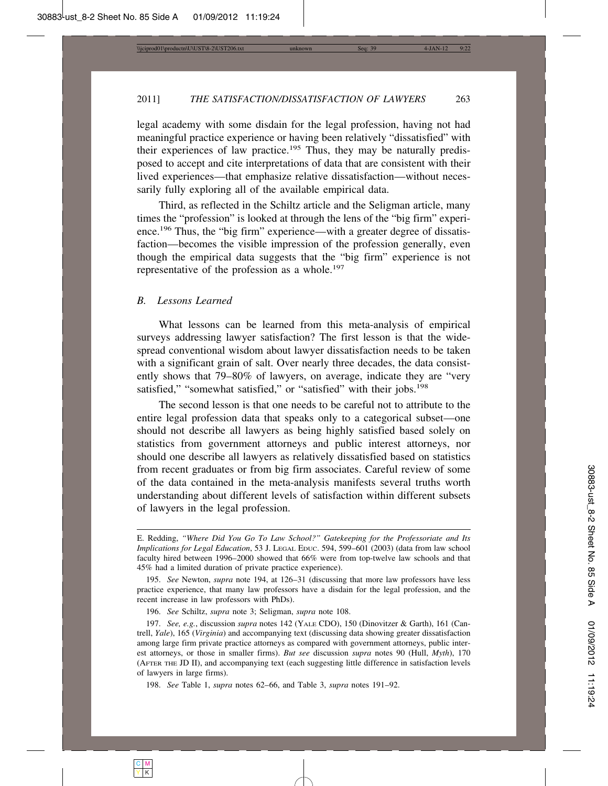legal academy with some disdain for the legal profession, having not had meaningful practice experience or having been relatively "dissatisfied" with their experiences of law practice.<sup>195</sup> Thus, they may be naturally predisposed to accept and cite interpretations of data that are consistent with their lived experiences—that emphasize relative dissatisfaction—without necessarily fully exploring all of the available empirical data.

Third, as reflected in the Schiltz article and the Seligman article, many times the "profession" is looked at through the lens of the "big firm" experience.<sup>196</sup> Thus, the "big firm" experience—with a greater degree of dissatisfaction—becomes the visible impression of the profession generally, even though the empirical data suggests that the "big firm" experience is not representative of the profession as a whole.<sup>197</sup>

#### *B. Lessons Learned*

What lessons can be learned from this meta-analysis of empirical surveys addressing lawyer satisfaction? The first lesson is that the widespread conventional wisdom about lawyer dissatisfaction needs to be taken with a significant grain of salt. Over nearly three decades, the data consistently shows that 79–80% of lawyers, on average, indicate they are "very satisfied," "somewhat satisfied," or "satisfied" with their jobs.<sup>198</sup>

The second lesson is that one needs to be careful not to attribute to the entire legal profession data that speaks only to a categorical subset—one should not describe all lawyers as being highly satisfied based solely on statistics from government attorneys and public interest attorneys, nor should one describe all lawyers as relatively dissatisfied based on statistics from recent graduates or from big firm associates. Careful review of some of the data contained in the meta-analysis manifests several truths worth understanding about different levels of satisfaction within different subsets of lawyers in the legal profession.

E. Redding, *"Where Did You Go To Law School?" Gatekeeping for the Professoriate and Its Implications for Legal Education*, 53 J. LEGAL EDUC. 594, 599–601 (2003) (data from law school faculty hired between 1996–2000 showed that 66% were from top-twelve law schools and that 45% had a limited duration of private practice experience).

<sup>195.</sup> *See* Newton, *supra* note 194, at 126–31 (discussing that more law professors have less practice experience, that many law professors have a disdain for the legal profession, and the recent increase in law professors with PhDs).

<sup>196.</sup> *See* Schiltz, *supra* note 3; Seligman, *supra* note 108.

<sup>197.</sup> *See, e.g.*, discussion *supra* notes 142 (YALE CDO), 150 (Dinovitzer & Garth), 161 (Cantrell, *Yale*), 165 (*Virginia*) and accompanying text (discussing data showing greater dissatisfaction among large firm private practice attorneys as compared with government attorneys, public interest attorneys, or those in smaller firms). *But see* discussion *supra* notes 90 (Hull, *Myth*), 170 (AFTER THE JD II), and accompanying text (each suggesting little difference in satisfaction levels of lawyers in large firms).

<sup>198.</sup> *See* Table 1, *supra* notes 62–66, and Table 3, *supra* notes 191–92.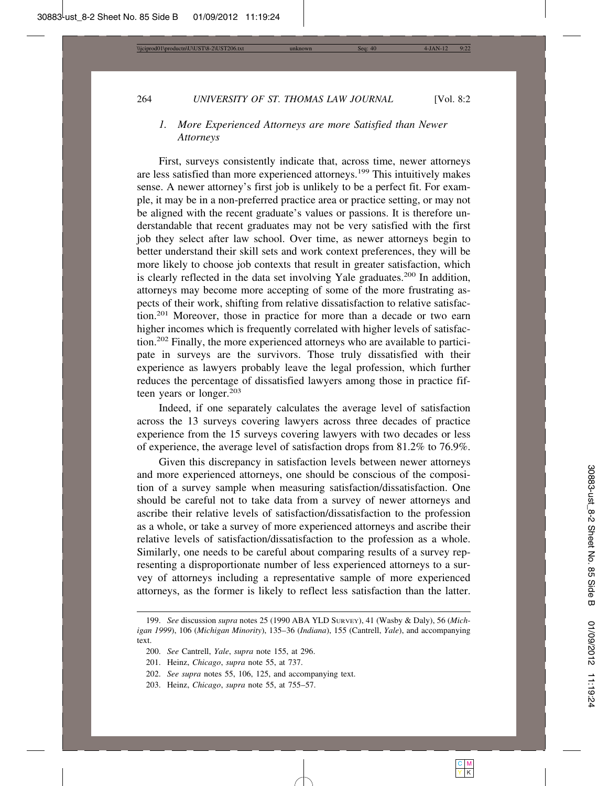# *1. More Experienced Attorneys are more Satisfied than Newer Attorneys*

First, surveys consistently indicate that, across time, newer attorneys are less satisfied than more experienced attorneys.199 This intuitively makes sense. A newer attorney's first job is unlikely to be a perfect fit. For example, it may be in a non-preferred practice area or practice setting, or may not be aligned with the recent graduate's values or passions. It is therefore understandable that recent graduates may not be very satisfied with the first job they select after law school. Over time, as newer attorneys begin to better understand their skill sets and work context preferences, they will be more likely to choose job contexts that result in greater satisfaction, which is clearly reflected in the data set involving Yale graduates.<sup>200</sup> In addition, attorneys may become more accepting of some of the more frustrating aspects of their work, shifting from relative dissatisfaction to relative satisfaction.201 Moreover, those in practice for more than a decade or two earn higher incomes which is frequently correlated with higher levels of satisfaction.202 Finally, the more experienced attorneys who are available to participate in surveys are the survivors. Those truly dissatisfied with their experience as lawyers probably leave the legal profession, which further reduces the percentage of dissatisfied lawyers among those in practice fifteen years or longer.<sup>203</sup>

Indeed, if one separately calculates the average level of satisfaction across the 13 surveys covering lawyers across three decades of practice experience from the 15 surveys covering lawyers with two decades or less of experience, the average level of satisfaction drops from 81.2% to 76.9%.

Given this discrepancy in satisfaction levels between newer attorneys and more experienced attorneys, one should be conscious of the composition of a survey sample when measuring satisfaction/dissatisfaction. One should be careful not to take data from a survey of newer attorneys and ascribe their relative levels of satisfaction/dissatisfaction to the profession as a whole, or take a survey of more experienced attorneys and ascribe their relative levels of satisfaction/dissatisfaction to the profession as a whole. Similarly, one needs to be careful about comparing results of a survey representing a disproportionate number of less experienced attorneys to a survey of attorneys including a representative sample of more experienced attorneys, as the former is likely to reflect less satisfaction than the latter.

<sup>199.</sup> *See* discussion *supra* notes 25 (1990 ABA YLD SURVEY), 41 (Wasby & Daly), 56 (*Michigan 1999*), 106 (*Michigan Minority*), 135–36 (*Indiana*), 155 (Cantrell, *Yale*), and accompanying text.

<sup>200.</sup> *See* Cantrell, *Yale*, *supra* note 155, at 296.

<sup>201.</sup> Heinz, *Chicago*, *supra* note 55, at 737.

<sup>202.</sup> *See supra* notes 55, 106, 125, and accompanying text.

<sup>203.</sup> Heinz, *Chicago*, *supra* note 55, at 755–57.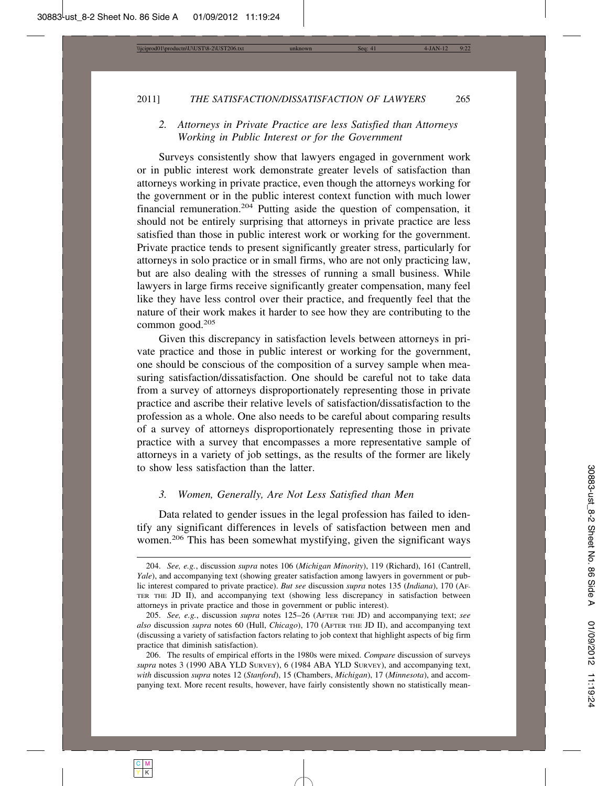# *2. Attorneys in Private Practice are less Satisfied than Attorneys Working in Public Interest or for the Government*

Surveys consistently show that lawyers engaged in government work or in public interest work demonstrate greater levels of satisfaction than attorneys working in private practice, even though the attorneys working for the government or in the public interest context function with much lower financial remuneration.204 Putting aside the question of compensation, it should not be entirely surprising that attorneys in private practice are less satisfied than those in public interest work or working for the government. Private practice tends to present significantly greater stress, particularly for attorneys in solo practice or in small firms, who are not only practicing law, but are also dealing with the stresses of running a small business. While lawyers in large firms receive significantly greater compensation, many feel like they have less control over their practice, and frequently feel that the nature of their work makes it harder to see how they are contributing to the common good.205

Given this discrepancy in satisfaction levels between attorneys in private practice and those in public interest or working for the government, one should be conscious of the composition of a survey sample when measuring satisfaction/dissatisfaction. One should be careful not to take data from a survey of attorneys disproportionately representing those in private practice and ascribe their relative levels of satisfaction/dissatisfaction to the profession as a whole. One also needs to be careful about comparing results of a survey of attorneys disproportionately representing those in private practice with a survey that encompasses a more representative sample of attorneys in a variety of job settings, as the results of the former are likely to show less satisfaction than the latter.

#### *3. Women, Generally, Are Not Less Satisfied than Men*

Data related to gender issues in the legal profession has failed to identify any significant differences in levels of satisfaction between men and women.206 This has been somewhat mystifying, given the significant ways

<sup>204.</sup> *See, e.g.*, discussion *supra* notes 106 (*Michigan Minority*), 119 (Richard), 161 (Cantrell, *Yale*), and accompanying text (showing greater satisfaction among lawyers in government or public interest compared to private practice). *But see* discussion *supra* notes 135 (*Indiana*), 170 (AF-TER THE JD II), and accompanying text (showing less discrepancy in satisfaction between attorneys in private practice and those in government or public interest).

<sup>205.</sup> *See, e.g.*, discussion *supra* notes 125–26 (AFTER THE JD) and accompanying text; *see also* discussion *supra* notes 60 (Hull, *Chicago*), 170 (AFTER THE JD II), and accompanying text (discussing a variety of satisfaction factors relating to job context that highlight aspects of big firm practice that diminish satisfaction).

<sup>206.</sup> The results of empirical efforts in the 1980s were mixed. *Compare* discussion of surveys *supra* notes 3 (1990 ABA YLD SURVEY), 6 (1984 ABA YLD SURVEY), and accompanying text, *with* discussion *supra* notes 12 (*Stanford*), 15 (Chambers, *Michigan*), 17 (*Minnesota*), and accompanying text. More recent results, however, have fairly consistently shown no statistically mean-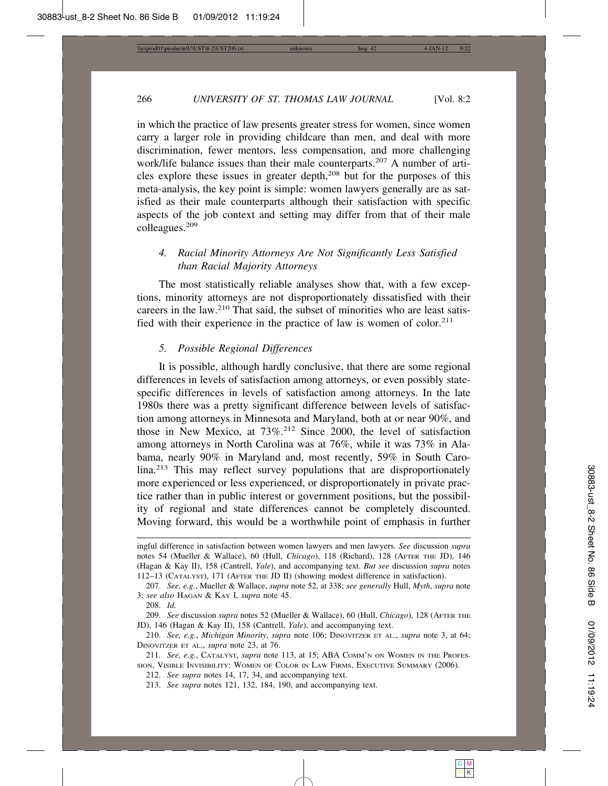in which the practice of law presents greater stress for women, since women carry a larger role in providing childcare than men, and deal with more discrimination, fewer mentors, less compensation, and more challenging work/life balance issues than their male counterparts.<sup>207</sup> A number of articles explore these issues in greater depth, $208$  but for the purposes of this meta-analysis, the key point is simple: women lawyers generally are as satisfied as their male counterparts although their satisfaction with specific aspects of the job context and setting may differ from that of their male colleagues.209

# *4. Racial Minority Attorneys Are Not Significantly Less Satisfied than Racial Majority Attorneys*

The most statistically reliable analyses show that, with a few exceptions, minority attorneys are not disproportionately dissatisfied with their careers in the law.210 That said, the subset of minorities who are least satisfied with their experience in the practice of law is women of color.<sup>211</sup>

#### *5. Possible Regional Differences*

It is possible, although hardly conclusive, that there are some regional differences in levels of satisfaction among attorneys, or even possibly statespecific differences in levels of satisfaction among attorneys. In the late 1980s there was a pretty significant difference between levels of satisfaction among attorneys in Minnesota and Maryland, both at or near 90%, and those in New Mexico, at  $73\%$ <sup>212</sup> Since 2000, the level of satisfaction among attorneys in North Carolina was at 76%, while it was 73% in Alabama, nearly 90% in Maryland and, most recently, 59% in South Carolina.213 This may reflect survey populations that are disproportionately more experienced or less experienced, or disproportionately in private practice rather than in public interest or government positions, but the possibility of regional and state differences cannot be completely discounted. Moving forward, this would be a worthwhile point of emphasis in further

ingful difference in satisfaction between women lawyers and men lawyers. *See* discussion *supra* notes 54 (Mueller & Wallace), 60 (Hull, *Chicago*), 118 (Richard), 128 (AFTER THE JD), 146 (Hagan & Kay II), 158 (Cantrell, *Yale*), and accompanying text. *But see* discussion *supra* notes 112–13 (CATALYST), 171 (AFTER THE JD II) (showing modest difference in satisfaction).

<sup>207.</sup> *See, e.g.*, Mueller & Wallace, *supra* note 52, at 338; *see generally* Hull, *Myth*, *supra* note 3; *see also* HAGAN & KAY I, *supra* note 45.

<sup>208.</sup> *Id.*

<sup>209.</sup> *See* discussion *supra* notes 52 (Mueller & Wallace), 60 (Hull, *Chicago*), 128 (AFTER THE JD), 146 (Hagan & Kay II), 158 (Cantrell, *Yale*), and accompanying text.

<sup>210.</sup> *See, e.g.*, *Michigan Minority*, *supra* note 106; DINOVITZER ET AL., *supra* note 3, at 64; DINOVITZER ET AL., *supra* note 23, at 76.

<sup>211.</sup> *See, e.g.*, CATALYST, *supra* note 113, at 15; ABA COMM'N ON WOMEN IN THE PROFES-SION, VISIBLE INVISIBILITY: WOMEN OF COLOR IN LAW FIRMS, EXECUTIVE SUMMARY (2006)*.*

<sup>212.</sup> *See supra* notes 14, 17, 34, and accompanying text.

<sup>213.</sup> *See supra* notes 121, 132, 184, 190, and accompanying text.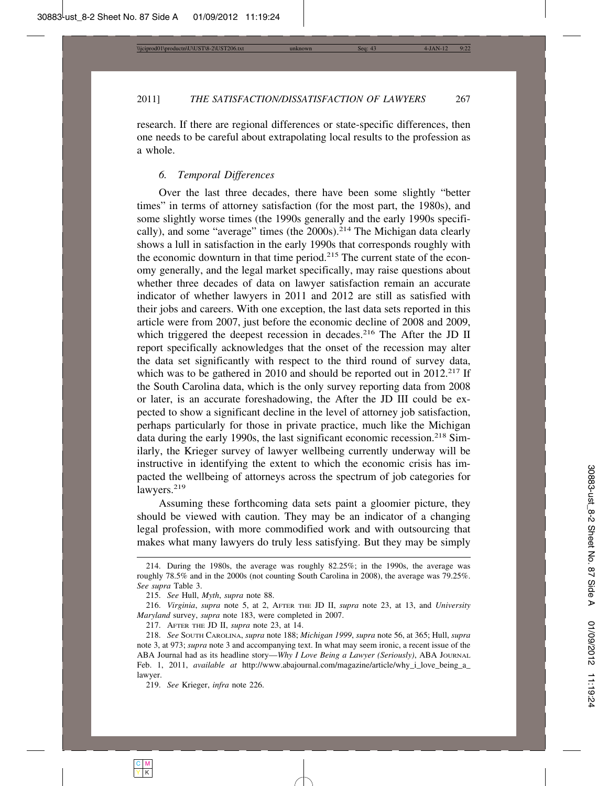research. If there are regional differences or state-specific differences, then one needs to be careful about extrapolating local results to the profession as a whole.

#### *6. Temporal Differences*

Over the last three decades, there have been some slightly "better times" in terms of attorney satisfaction (for the most part, the 1980s), and some slightly worse times (the 1990s generally and the early 1990s specifically), and some "average" times (the 2000s).<sup>214</sup> The Michigan data clearly shows a lull in satisfaction in the early 1990s that corresponds roughly with the economic downturn in that time period.<sup>215</sup> The current state of the economy generally, and the legal market specifically, may raise questions about whether three decades of data on lawyer satisfaction remain an accurate indicator of whether lawyers in 2011 and 2012 are still as satisfied with their jobs and careers. With one exception, the last data sets reported in this article were from 2007, just before the economic decline of 2008 and 2009, which triggered the deepest recession in decades.<sup>216</sup> The After the JD II report specifically acknowledges that the onset of the recession may alter the data set significantly with respect to the third round of survey data, which was to be gathered in 2010 and should be reported out in 2012.<sup>217</sup> If the South Carolina data, which is the only survey reporting data from 2008 or later, is an accurate foreshadowing, the After the JD III could be expected to show a significant decline in the level of attorney job satisfaction, perhaps particularly for those in private practice, much like the Michigan data during the early 1990s, the last significant economic recession.<sup>218</sup> Similarly, the Krieger survey of lawyer wellbeing currently underway will be instructive in identifying the extent to which the economic crisis has impacted the wellbeing of attorneys across the spectrum of job categories for lawyers.<sup>219</sup>

Assuming these forthcoming data sets paint a gloomier picture, they should be viewed with caution. They may be an indicator of a changing legal profession, with more commodified work and with outsourcing that makes what many lawyers do truly less satisfying. But they may be simply

<sup>214.</sup> During the 1980s, the average was roughly 82.25%; in the 1990s, the average was roughly 78.5% and in the 2000s (not counting South Carolina in 2008), the average was 79.25%. *See supra* Table 3.

<sup>215.</sup> *See* Hull, *Myth*, *supra* note 88.

<sup>216.</sup> *Virginia*, *supra* note 5, at 2, AFTER THE JD II, *supra* note 23, at 13, and *University Maryland* survey, *supra* note 183, were completed in 2007.

<sup>217.</sup> AFTER THE JD II, *supra* note 23, at 14.

<sup>218.</sup> *See* SOUTH CAROLINA, *supra* note 188; *Michigan 1999*, *supra* note 56, at 365; Hull, *supra* note 3, at 973; *supra* note 3 and accompanying text. In what may seem ironic, a recent issue of the ABA Journal had as its headline story—*Why I Love Being a Lawyer (Seriously)*, ABA JOURNAL Feb. 1, 2011, *available at* http://www.abajournal.com/magazine/article/why\_i\_love\_being\_a\_ lawyer.

<sup>219.</sup> *See* Krieger, *infra* note 226.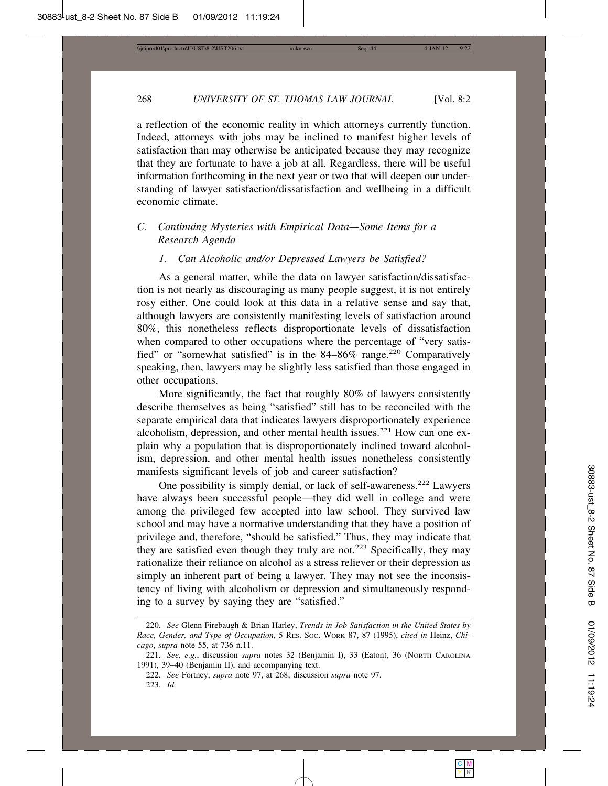a reflection of the economic reality in which attorneys currently function. Indeed, attorneys with jobs may be inclined to manifest higher levels of satisfaction than may otherwise be anticipated because they may recognize that they are fortunate to have a job at all. Regardless, there will be useful information forthcoming in the next year or two that will deepen our understanding of lawyer satisfaction/dissatisfaction and wellbeing in a difficult economic climate.

# *C. Continuing Mysteries with Empirical Data—Some Items for a Research Agenda*

#### *1. Can Alcoholic and/or Depressed Lawyers be Satisfied?*

As a general matter, while the data on lawyer satisfaction/dissatisfaction is not nearly as discouraging as many people suggest, it is not entirely rosy either. One could look at this data in a relative sense and say that, although lawyers are consistently manifesting levels of satisfaction around 80%, this nonetheless reflects disproportionate levels of dissatisfaction when compared to other occupations where the percentage of "very satisfied" or "somewhat satisfied" is in the  $84-86\%$  range.<sup>220</sup> Comparatively speaking, then, lawyers may be slightly less satisfied than those engaged in other occupations.

More significantly, the fact that roughly 80% of lawyers consistently describe themselves as being "satisfied" still has to be reconciled with the separate empirical data that indicates lawyers disproportionately experience alcoholism, depression, and other mental health issues.<sup>221</sup> How can one explain why a population that is disproportionately inclined toward alcoholism, depression, and other mental health issues nonetheless consistently manifests significant levels of job and career satisfaction?

One possibility is simply denial, or lack of self-awareness.222 Lawyers have always been successful people—they did well in college and were among the privileged few accepted into law school. They survived law school and may have a normative understanding that they have a position of privilege and, therefore, "should be satisfied." Thus, they may indicate that they are satisfied even though they truly are not.<sup>223</sup> Specifically, they may rationalize their reliance on alcohol as a stress reliever or their depression as simply an inherent part of being a lawyer. They may not see the inconsistency of living with alcoholism or depression and simultaneously responding to a survey by saying they are "satisfied."

<sup>220.</sup> *See* Glenn Firebaugh & Brian Harley, *Trends in Job Satisfaction in the United States by Race, Gender, and Type of Occupation*, 5 RES. SOC. WORK 87, 87 (1995), *cited in* Heinz, *Chicago*, *supra* note 55, at 736 n.11.

<sup>221.</sup> *See, e.g.*, discussion *supra* notes 32 (Benjamin I), 33 (Eaton), 36 (NORTH CAROLINA 1991), 39–40 (Benjamin II), and accompanying text.

<sup>222.</sup> *See* Fortney, *supra* note 97, at 268; discussion *supra* note 97. 223. *Id.*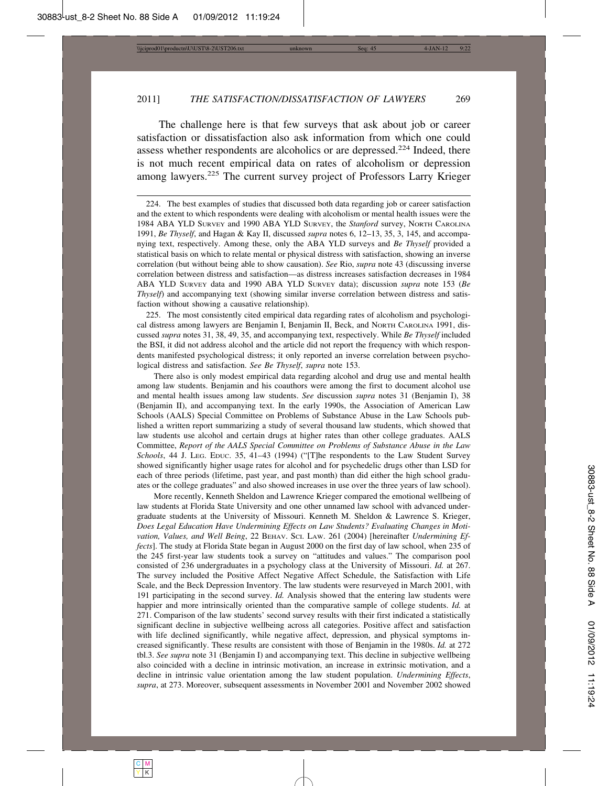The challenge here is that few surveys that ask about job or career satisfaction or dissatisfaction also ask information from which one could assess whether respondents are alcoholics or are depressed.<sup>224</sup> Indeed, there is not much recent empirical data on rates of alcoholism or depression among lawyers.<sup>225</sup> The current survey project of Professors Larry Krieger

225. The most consistently cited empirical data regarding rates of alcoholism and psychological distress among lawyers are Benjamin I, Benjamin II, Beck, and NORTH CAROLINA 1991, discussed *supra* notes 31, 38, 49, 35, and accompanying text, respectively. While *Be Thyself* included the BSI, it did not address alcohol and the article did not report the frequency with which respondents manifested psychological distress; it only reported an inverse correlation between psychological distress and satisfaction. *See Be Thyself*, *supra* note 153.

There also is only modest empirical data regarding alcohol and drug use and mental health among law students. Benjamin and his coauthors were among the first to document alcohol use and mental health issues among law students. *See* discussion *supra* notes 31 (Benjamin I), 38 (Benjamin II), and accompanying text. In the early 1990s, the Association of American Law Schools (AALS) Special Committee on Problems of Substance Abuse in the Law Schools published a written report summarizing a study of several thousand law students, which showed that law students use alcohol and certain drugs at higher rates than other college graduates. AALS Committee, *Report of the AALS Special Committee on Problems of Substance Abuse in the Law Schools*, 44 J. LEG. EDUC. 35, 41–43 (1994) ("[T]he respondents to the Law Student Survey showed significantly higher usage rates for alcohol and for psychedelic drugs other than LSD for each of three periods (lifetime, past year, and past month) than did either the high school graduates or the college graduates" and also showed increases in use over the three years of law school).

More recently, Kenneth Sheldon and Lawrence Krieger compared the emotional wellbeing of law students at Florida State University and one other unnamed law school with advanced undergraduate students at the University of Missouri. Kenneth M. Sheldon & Lawrence S. Krieger, *Does Legal Education Have Undermining Effects on Law Students? Evaluating Changes in Motivation, Values, and Well Being*, 22 BEHAV. SCI. LAW. 261 (2004) [hereinafter *Undermining Effects*]. The study at Florida State began in August 2000 on the first day of law school, when 235 of the 245 first-year law students took a survey on "attitudes and values." The comparison pool consisted of 236 undergraduates in a psychology class at the University of Missouri. *Id.* at 267. The survey included the Positive Affect Negative Affect Schedule, the Satisfaction with Life Scale, and the Beck Depression Inventory. The law students were resurveyed in March 2001, with 191 participating in the second survey. *Id.* Analysis showed that the entering law students were happier and more intrinsically oriented than the comparative sample of college students. *Id.* at 271. Comparison of the law students' second survey results with their first indicated a statistically significant decline in subjective wellbeing across all categories. Positive affect and satisfaction with life declined significantly, while negative affect, depression, and physical symptoms increased significantly. These results are consistent with those of Benjamin in the 1980s. *Id.* at 272 tbl.3. *See supra* note 31 (Benjamin I) and accompanying text. This decline in subjective wellbeing also coincided with a decline in intrinsic motivation, an increase in extrinsic motivation, and a decline in intrinsic value orientation among the law student population. *Undermining Effects*, *supra*, at 273. Moreover, subsequent assessments in November 2001 and November 2002 showed

<sup>224.</sup> The best examples of studies that discussed both data regarding job or career satisfaction and the extent to which respondents were dealing with alcoholism or mental health issues were the 1984 ABA YLD SURVEY and 1990 ABA YLD SURVEY, the *Stanford* survey, NORTH CAROLINA 1991, *Be Thyself*, and Hagan & Kay II, discussed *supra* notes 6, 12–13, 35, 3, 145, and accompanying text, respectively. Among these, only the ABA YLD surveys and *Be Thyself* provided a statistical basis on which to relate mental or physical distress with satisfaction, showing an inverse correlation (but without being able to show causation). *See* Rio, *supra* note 43 (discussing inverse correlation between distress and satisfaction—as distress increases satisfaction decreases in 1984 ABA YLD SURVEY data and 1990 ABA YLD SURVEY data); discussion *supra* note 153 (*Be Thyself*) and accompanying text (showing similar inverse correlation between distress and satisfaction without showing a causative relationship).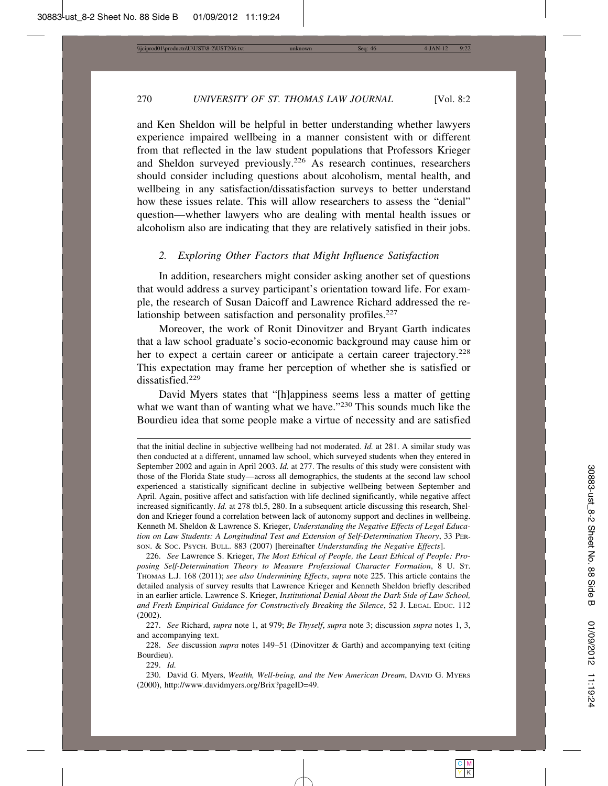and Ken Sheldon will be helpful in better understanding whether lawyers experience impaired wellbeing in a manner consistent with or different from that reflected in the law student populations that Professors Krieger and Sheldon surveyed previously.<sup>226</sup> As research continues, researchers should consider including questions about alcoholism, mental health, and wellbeing in any satisfaction/dissatisfaction surveys to better understand how these issues relate. This will allow researchers to assess the "denial" question—whether lawyers who are dealing with mental health issues or alcoholism also are indicating that they are relatively satisfied in their jobs.

#### *2. Exploring Other Factors that Might Influence Satisfaction*

In addition, researchers might consider asking another set of questions that would address a survey participant's orientation toward life. For example, the research of Susan Daicoff and Lawrence Richard addressed the relationship between satisfaction and personality profiles. $227$ 

Moreover, the work of Ronit Dinovitzer and Bryant Garth indicates that a law school graduate's socio-economic background may cause him or her to expect a certain career or anticipate a certain career trajectory.<sup>228</sup> This expectation may frame her perception of whether she is satisfied or dissatisfied.<sup>229</sup>

David Myers states that "[h]appiness seems less a matter of getting what we want than of wanting what we have."<sup>230</sup> This sounds much like the Bourdieu idea that some people make a virtue of necessity and are satisfied

226. *See* Lawrence S. Krieger, *The Most Ethical of People, the Least Ethical of People: Proposing Self-Determination Theory to Measure Professional Character Formation*, 8 U. ST. THOMAS L.J. 168 (2011); *see also Undermining Effects*, *supra* note 225. This article contains the detailed analysis of survey results that Lawrence Krieger and Kenneth Sheldon briefly described in an earlier article. Lawrence S. Krieger, *Institutional Denial About the Dark Side of Law School, and Fresh Empirical Guidance for Constructively Breaking the Silence*, 52 J. LEGAL EDUC. 112 (2002).

227. *See* Richard, *supra* note 1, at 979; *Be Thyself*, *supra* note 3; discussion *supra* notes 1, 3, and accompanying text.

228. *See* discussion *supra* notes 149–51 (Dinovitzer & Garth) and accompanying text (citing Bourdieu).

229. *Id.*

230. David G. Myers, *Wealth, Well-being, and the New American Dream*, DAVID G. MYERS (2000), http://www.davidmyers.org/Brix?pageID=49.

that the initial decline in subjective wellbeing had not moderated. *Id.* at 281. A similar study was then conducted at a different, unnamed law school, which surveyed students when they entered in September 2002 and again in April 2003. *Id.* at 277. The results of this study were consistent with those of the Florida State study—across all demographics, the students at the second law school experienced a statistically significant decline in subjective wellbeing between September and April. Again, positive affect and satisfaction with life declined significantly, while negative affect increased significantly. *Id.* at 278 tbl.5, 280. In a subsequent article discussing this research, Sheldon and Krieger found a correlation between lack of autonomy support and declines in wellbeing. Kenneth M. Sheldon & Lawrence S. Krieger, *Understanding the Negative Effects of Legal Education on Law Students: A Longitudinal Test and Extension of Self-Determination Theory*, 33 PER-SON. & SOC. PSYCH. BULL. 883 (2007) [hereinafter *Understanding the Negative Effects*].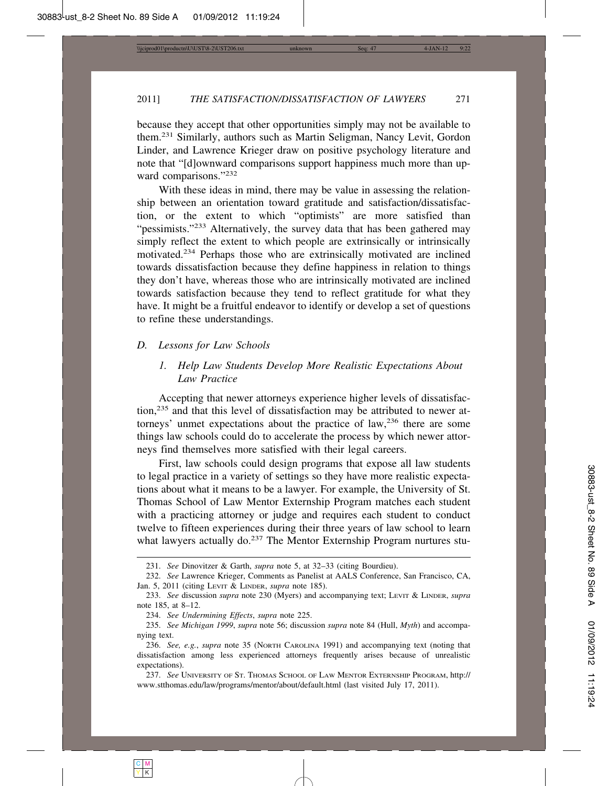because they accept that other opportunities simply may not be available to them.231 Similarly, authors such as Martin Seligman, Nancy Levit, Gordon Linder, and Lawrence Krieger draw on positive psychology literature and note that "[d]ownward comparisons support happiness much more than upward comparisons."232

With these ideas in mind, there may be value in assessing the relationship between an orientation toward gratitude and satisfaction/dissatisfaction, or the extent to which "optimists" are more satisfied than "pessimists."<sup>233</sup> Alternatively, the survey data that has been gathered may simply reflect the extent to which people are extrinsically or intrinsically motivated.234 Perhaps those who are extrinsically motivated are inclined towards dissatisfaction because they define happiness in relation to things they don't have, whereas those who are intrinsically motivated are inclined towards satisfaction because they tend to reflect gratitude for what they have. It might be a fruitful endeavor to identify or develop a set of questions to refine these understandings.

#### *D. Lessons for Law Schools*

### *1. Help Law Students Develop More Realistic Expectations About Law Practice*

Accepting that newer attorneys experience higher levels of dissatisfaction,235 and that this level of dissatisfaction may be attributed to newer attorneys' unmet expectations about the practice of law,<sup>236</sup> there are some things law schools could do to accelerate the process by which newer attorneys find themselves more satisfied with their legal careers.

First, law schools could design programs that expose all law students to legal practice in a variety of settings so they have more realistic expectations about what it means to be a lawyer. For example, the University of St. Thomas School of Law Mentor Externship Program matches each student with a practicing attorney or judge and requires each student to conduct twelve to fifteen experiences during their three years of law school to learn what lawyers actually do.<sup>237</sup> The Mentor Externship Program nurtures stu-

<sup>231.</sup> *See* Dinovitzer & Garth, *supra* note 5, at 32–33 (citing Bourdieu).

<sup>232.</sup> *See* Lawrence Krieger, Comments as Panelist at AALS Conference, San Francisco, CA, Jan. 5, 2011 (citing LEVIT & LINDER, *supra* note 185).

<sup>233.</sup> *See* discussion *supra* note 230 (Myers) and accompanying text; LEVIT & LINDER, *supra* note 185, at 8–12.

<sup>234.</sup> *See Undermining Effects*, *supra* note 225.

<sup>235.</sup> *See Michigan 1999*, *supra* note 56; discussion *supra* note 84 (Hull, *Myth*) and accompanying text.

<sup>236.</sup> *See, e.g.*, *supra* note 35 (NORTH CAROLINA 1991) and accompanying text (noting that dissatisfaction among less experienced attorneys frequently arises because of unrealistic expectations).

<sup>237.</sup> *See* UNIVERSITY OF ST. THOMAS SCHOOL OF LAW MENTOR EXTERNSHIP PROGRAM, http:// www.stthomas.edu/law/programs/mentor/about/default.html (last visited July 17, 2011).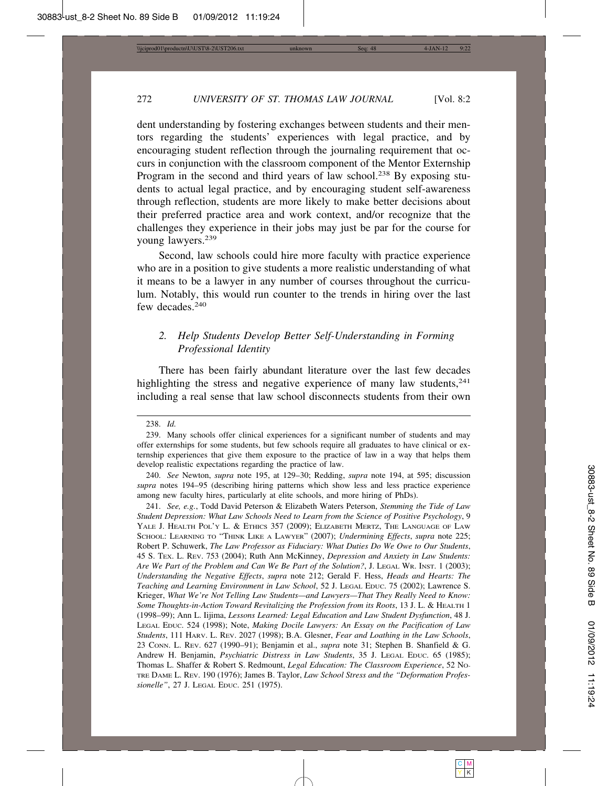dent understanding by fostering exchanges between students and their mentors regarding the students' experiences with legal practice, and by encouraging student reflection through the journaling requirement that occurs in conjunction with the classroom component of the Mentor Externship Program in the second and third years of law school.<sup>238</sup> By exposing students to actual legal practice, and by encouraging student self-awareness through reflection, students are more likely to make better decisions about their preferred practice area and work context, and/or recognize that the challenges they experience in their jobs may just be par for the course for young lawyers.<sup>239</sup>

Second, law schools could hire more faculty with practice experience who are in a position to give students a more realistic understanding of what it means to be a lawyer in any number of courses throughout the curriculum. Notably, this would run counter to the trends in hiring over the last few decades.<sup>240</sup>

### *2. Help Students Develop Better Self-Understanding in Forming Professional Identity*

There has been fairly abundant literature over the last few decades highlighting the stress and negative experience of many law students,  $241$ including a real sense that law school disconnects students from their own

#### 238. *Id.*

241. *See, e.g.*, Todd David Peterson & Elizabeth Waters Peterson, *Stemming the Tide of Law Student Depression: What Law Schools Need to Learn from the Science of Positive Psychology*, 9 YALE J. HEALTH POL'Y L. & ETHICS 357 (2009); ELIZABETH MERTZ, THE LANGUAGE OF LAW SCHOOL: LEARNING TO "THINK LIKE A LAWYER" (2007); *Undermining Effects*, *supra* note 225; Robert P. Schuwerk, *The Law Professor as Fiduciary: What Duties Do We Owe to Our Students*, 45 S. TEX. L. REV. 753 (2004); Ruth Ann McKinney, *Depression and Anxiety in Law Students: Are We Part of the Problem and Can We Be Part of the Solution?*, J. LEGAL WR. INST. 1 (2003); *Understanding the Negative Effects*, *supra* note 212; Gerald F. Hess, *Heads and Hearts: The Teaching and Learning Environment in Law School*, 52 J. LEGAL EDUC. 75 (2002); Lawrence S. Krieger, *What We're Not Telling Law Students—and Lawyers—That They Really Need to Know: Some Thoughts-in-Action Toward Revitalizing the Profession from its Roots*, 13 J. L. & HEALTH 1 (1998–99); Ann L. Iijima, *Lessons Learned: Legal Education and Law Student Dysfunction*, 48 J. LEGAL EDUC. 524 (1998); Note, *Making Docile Lawyers: An Essay on the Pacification of Law Students*, 111 HARV. L. REV. 2027 (1998); B.A. Glesner, *Fear and Loathing in the Law Schools*, 23 CONN. L. REV. 627 (1990–91); Benjamin et al., *supra* note 31; Stephen B. Shanfield & G. Andrew H. Benjamin, *Psychiatric Distress in Law Students*, 35 J. LEGAL EDUC. 65 (1985); Thomas L. Shaffer & Robert S. Redmount, *Legal Education: The Classroom Experience*, 52 NO-TRE DAME L. REV. 190 (1976); James B. Taylor, *Law School Stress and the "Deformation Professionelle"*, 27 J. LEGAL EDUC. 251 (1975).

<sup>239.</sup> Many schools offer clinical experiences for a significant number of students and may offer externships for some students, but few schools require all graduates to have clinical or externship experiences that give them exposure to the practice of law in a way that helps them develop realistic expectations regarding the practice of law.

<sup>240.</sup> *See* Newton, *supra* note 195, at 129–30; Redding, *supra* note 194, at 595; discussion *supra* notes 194–95 (describing hiring patterns which show less and less practice experience among new faculty hires, particularly at elite schools, and more hiring of PhDs).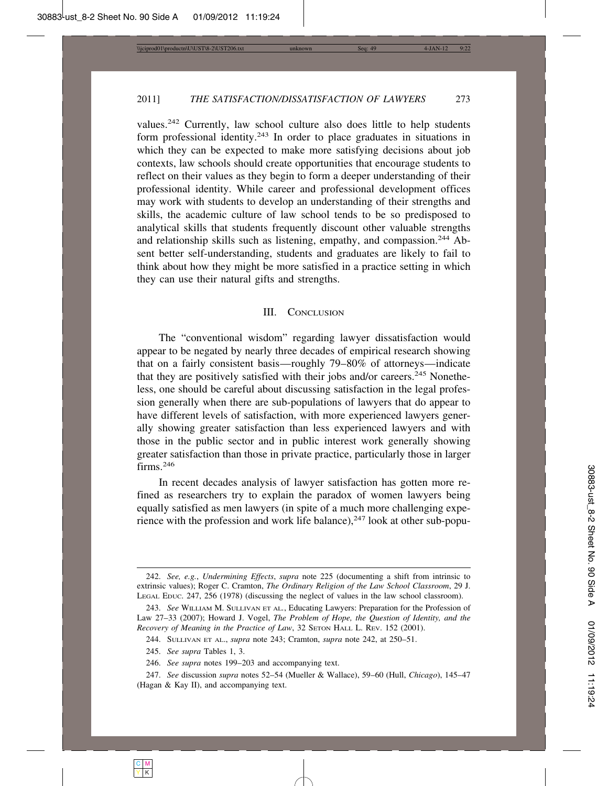values.<sup>242</sup> Currently, law school culture also does little to help students form professional identity.<sup>243</sup> In order to place graduates in situations in which they can be expected to make more satisfying decisions about job contexts, law schools should create opportunities that encourage students to reflect on their values as they begin to form a deeper understanding of their professional identity. While career and professional development offices may work with students to develop an understanding of their strengths and skills, the academic culture of law school tends to be so predisposed to analytical skills that students frequently discount other valuable strengths and relationship skills such as listening, empathy, and compassion.<sup>244</sup> Absent better self-understanding, students and graduates are likely to fail to think about how they might be more satisfied in a practice setting in which they can use their natural gifts and strengths.

#### III. CONCLUSION

The "conventional wisdom" regarding lawyer dissatisfaction would appear to be negated by nearly three decades of empirical research showing that on a fairly consistent basis—roughly 79–80% of attorneys—indicate that they are positively satisfied with their jobs and/or careers.<sup>245</sup> Nonetheless, one should be careful about discussing satisfaction in the legal profession generally when there are sub-populations of lawyers that do appear to have different levels of satisfaction, with more experienced lawyers generally showing greater satisfaction than less experienced lawyers and with those in the public sector and in public interest work generally showing greater satisfaction than those in private practice, particularly those in larger firms.<sup>246</sup>

In recent decades analysis of lawyer satisfaction has gotten more refined as researchers try to explain the paradox of women lawyers being equally satisfied as men lawyers (in spite of a much more challenging experience with the profession and work life balance),<sup>247</sup> look at other sub-popu-

<sup>242.</sup> *See, e.g.*, *Undermining Effects*, *supra* note 225 (documenting a shift from intrinsic to extrinsic values); Roger C. Cramton, *The Ordinary Religion of the Law School Classroom*, 29 J. LEGAL EDUC. 247, 256 (1978) (discussing the neglect of values in the law school classroom).

<sup>243.</sup> *See* WILLIAM M. SULLIVAN ET AL*.*, Educating Lawyers: Preparation for the Profession of Law 27–33 (2007); Howard J. Vogel, *The Problem of Hope, the Question of Identity, and the Recovery of Meaning in the Practice of Law*, 32 SETON HALL L. REV. 152 (2001).

<sup>244.</sup> SULLIVAN ET AL., *supra* note 243; Cramton, *supra* note 242, at 250–51.

<sup>245.</sup> *See supra* Tables 1, 3.

<sup>246.</sup> *See supra* notes 199–203 and accompanying text.

<sup>247.</sup> *See* discussion *supra* notes 52–54 (Mueller & Wallace), 59–60 (Hull, *Chicago*), 145–47 (Hagan & Kay II), and accompanying text.